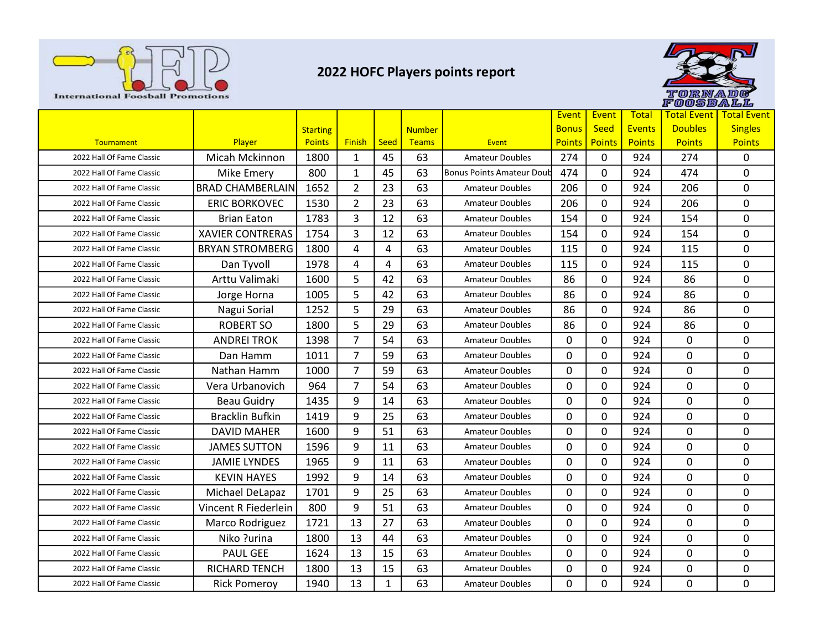



| <b>International Foosball Promotions</b>               |                                |                 |                                  |          |               | 2022 HOFC Players points report                  |               |             |               | torna<br>FOOSBALL | 101 G              |
|--------------------------------------------------------|--------------------------------|-----------------|----------------------------------|----------|---------------|--------------------------------------------------|---------------|-------------|---------------|-------------------|--------------------|
|                                                        |                                |                 |                                  |          |               |                                                  | Event         | Event       | <b>Total</b>  | Total Event       | <b>Total Event</b> |
|                                                        |                                | <b>Starting</b> |                                  |          | <b>Number</b> |                                                  | <b>Bonus</b>  | <b>Seed</b> | <b>Events</b> | <b>Doubles</b>    | <b>Singles</b>     |
| Tournament                                             | Player                         | <b>Points</b>   | <b>Finish</b>                    | Seed     | <b>Teams</b>  | <b>Event</b>                                     | <b>Points</b> | Points      | <b>Points</b> | <b>Points</b>     | <b>Points</b>      |
| 2022 Hall Of Fame Classic                              | Micah Mckinnon                 | 1800            | 1                                | 45       | 63            | <b>Amateur Doubles</b>                           | 274           | 0           | 924           | 274               | 0                  |
| 2022 Hall Of Fame Classic                              | <b>Mike Emery</b>              | 800             | 1                                | 45       | 63            | Bonus Points Amateur Doub                        | 474           | 0           | 924           | 474               | 0                  |
| 2022 Hall Of Fame Classic                              | <b>BRAD CHAMBERLAIN</b>        | 1652            | $\overline{2}$                   | 23       | 63            | Amateur Doubles                                  | 206           | 0           | 924           | 206               | 0                  |
| 2022 Hall Of Fame Classic                              | <b>ERIC BORKOVEC</b>           | 1530            | $\overline{2}$                   | 23       | 63            | <b>Amateur Doubles</b>                           | 206           | 0           | 924           | 206               | 0                  |
| 2022 Hall Of Fame Classic                              | <b>Brian Eaton</b>             | 1783            | 3                                | 12       | 63            | <b>Amateur Doubles</b>                           | 154           | 0           | 924           | 154               | 0                  |
| 2022 Hall Of Fame Classic                              | <b>XAVIER CONTRERAS</b>        | 1754            | 3                                | 12       | 63            | <b>Amateur Doubles</b>                           | 154           | 0           | 924           | 154               | 0                  |
| 2022 Hall Of Fame Classic                              | <b>BRYAN STROMBERG</b>         | 1800            | 4                                | 4        | 63            | <b>Amateur Doubles</b>                           | 115           | 0           | 924           | 115               | 0                  |
| 2022 Hall Of Fame Classic                              | Dan Tyvoll                     | 1978            | 4                                | 4        | 63            | Amateur Doubles                                  | 115           | 0           | 924           | 115               | 0                  |
| 2022 Hall Of Fame Classic                              | Arttu Valimaki                 | 1600            | 5                                | 42       | 63            | <b>Amateur Doubles</b>                           | 86            | 0           | 924           | 86                | 0                  |
| 2022 Hall Of Fame Classic                              | Jorge Horna                    | 1005            | 5                                | 42       | 63            | <b>Amateur Doubles</b>                           | 86            | 0           | 924           | 86                | $\mathbf{0}$       |
| 2022 Hall Of Fame Classic<br>2022 Hall Of Fame Classic | Nagui Sorial                   | 1252            | 5                                | 29       | 63            | <b>Amateur Doubles</b>                           | 86            | 0           | 924           | 86                | 0                  |
|                                                        | <b>ROBERT SO</b>               | 1800            | 5                                | 29       | 63            | <b>Amateur Doubles</b>                           | 86            | 0           | 924           | 86                | 0                  |
| 2022 Hall Of Fame Classic<br>2022 Hall Of Fame Classic | <b>ANDREI TROK</b><br>Dan Hamm | 1398<br>1011    | $\overline{7}$<br>$\overline{7}$ | 54<br>59 | 63<br>63      | <b>Amateur Doubles</b><br><b>Amateur Doubles</b> | 0<br>0        | 0<br>0      | 924<br>924    | 0<br>0            | 0<br>0             |
| 2022 Hall Of Fame Classic                              | Nathan Hamm                    | 1000            | $\overline{7}$                   | 59       | 63            | <b>Amateur Doubles</b>                           | 0             | 0           | 924           | 0                 | 0                  |
| 2022 Hall Of Fame Classic                              | Vera Urbanovich                | 964             | $\overline{7}$                   | 54       | 63            | <b>Amateur Doubles</b>                           | $\mathbf{0}$  | 0           | 924           | 0                 | 0                  |
| 2022 Hall Of Fame Classic                              | <b>Beau Guidry</b>             | 1435            | 9                                | 14       | 63            | <b>Amateur Doubles</b>                           | 0             | 0           | 924           | 0                 | 0                  |
| 2022 Hall Of Fame Classic                              | <b>Bracklin Bufkin</b>         | 1419            | 9                                | 25       | 63            | <b>Amateur Doubles</b>                           | 0             | 0           | 924           | 0                 | $\mathbf{0}$       |
| 2022 Hall Of Fame Classic                              | <b>DAVID MAHER</b>             | 1600            | 9                                | 51       | 63            | <b>Amateur Doubles</b>                           | 0             | 0           | 924           | 0                 | 0                  |
| 2022 Hall Of Fame Classic                              | <b>JAMES SUTTON</b>            | 1596            | 9                                | 11       | 63            | <b>Amateur Doubles</b>                           | 0             | 0           | 924           | 0                 | 0                  |
| 2022 Hall Of Fame Classic                              | <b>JAMIE LYNDES</b>            | 1965            | 9                                | 11       | 63            | <b>Amateur Doubles</b>                           | $\mathbf{0}$  | 0           | 924           | 0                 | 0                  |
| 2022 Hall Of Fame Classic                              | <b>KEVIN HAYES</b>             | 1992            | 9                                | 14       | 63            | <b>Amateur Doubles</b>                           | 0             | 0           | 924           | 0                 | 0                  |
| 2022 Hall Of Fame Classic                              | Michael DeLapaz                | 1701            | 9                                | 25       | 63            | <b>Amateur Doubles</b>                           | 0             | 0           | 924           | 0                 | 0                  |
| 2022 Hall Of Fame Classic                              | Vincent R Fiederlein           | 800             | 9                                | 51       | 63            | <b>Amateur Doubles</b>                           | 0             | 0           | 924           | 0                 | 0                  |
|                                                        |                                | 1721            | 13                               | 27       | 63            | <b>Amateur Doubles</b>                           | 0             | 0           | 924           | 0                 | 0                  |
| 2022 Hall Of Fame Classic                              |                                |                 |                                  |          |               |                                                  |               |             |               |                   |                    |
| 2022 Hall Of Fame Classic                              | Marco Rodriguez<br>Niko ?urina | 1800            | 13                               | 44       | 63            | <b>Amateur Doubles</b>                           | 0             | 0           | 924           | 0                 | 0                  |
| 2022 Hall Of Fame Classic                              | <b>PAUL GEE</b>                | 1624            | 13                               | 15       | 63            | <b>Amateur Doubles</b>                           | 0             | 0           | 924           | 0                 | 0                  |
| 2022 Hall Of Fame Classic                              | RICHARD TENCH                  | 1800            | 13                               | 15       | 63            | <b>Amateur Doubles</b>                           | $\mathbf{0}$  | 0           | 924           | 0                 | 0                  |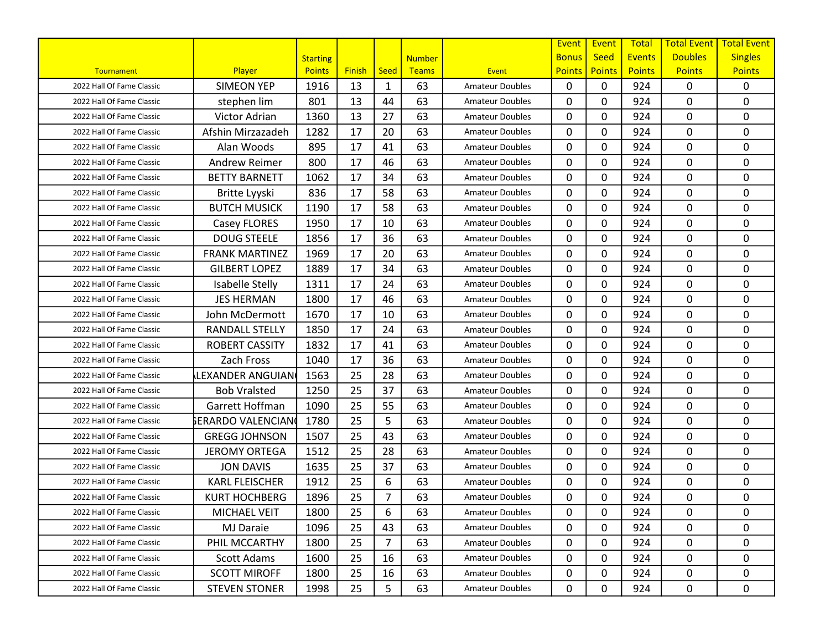|                           |                       |                 |               |      |               |                        | Event         | Event         | <b>Total</b>  | <b>Total Event</b> | <b>Total Event</b> |
|---------------------------|-----------------------|-----------------|---------------|------|---------------|------------------------|---------------|---------------|---------------|--------------------|--------------------|
|                           |                       | <b>Starting</b> |               |      | <b>Number</b> |                        | <b>Bonus</b>  | <b>Seed</b>   | <b>Events</b> | <b>Doubles</b>     | <b>Singles</b>     |
| Tournament                | Player                | <b>Points</b>   | <b>Finish</b> | Seed | <b>Teams</b>  | Event                  | <b>Points</b> | <b>Points</b> | <b>Points</b> | <b>Points</b>      | <b>Points</b>      |
| 2022 Hall Of Fame Classic | <b>SIMEON YEP</b>     | 1916            | 13            | 1    | 63            | <b>Amateur Doubles</b> | $\mathbf{0}$  | 0             | 924           | 0                  | 0                  |
| 2022 Hall Of Fame Classic | stephen lim           | 801             | 13            | 44   | 63            | <b>Amateur Doubles</b> | 0             | 0             | 924           | 0                  | $\mathbf 0$        |
| 2022 Hall Of Fame Classic | Victor Adrian         | 1360            | 13            | 27   | 63            | <b>Amateur Doubles</b> | $\mathbf{0}$  | 0             | 924           | 0                  | $\mathbf 0$        |
| 2022 Hall Of Fame Classic | Afshin Mirzazadeh     | 1282            | 17            | 20   | 63            | <b>Amateur Doubles</b> | $\mathbf{0}$  | 0             | 924           | 0                  | $\mathbf 0$        |
| 2022 Hall Of Fame Classic | Alan Woods            | 895             | 17            | 41   | 63            | <b>Amateur Doubles</b> | 0             | 0             | 924           | 0                  | 0                  |
| 2022 Hall Of Fame Classic | <b>Andrew Reimer</b>  | 800             | 17            | 46   | 63            | <b>Amateur Doubles</b> | 0             | 0             | 924           | 0                  | 0                  |
| 2022 Hall Of Fame Classic | <b>BETTY BARNETT</b>  | 1062            | 17            | 34   | 63            | <b>Amateur Doubles</b> | $\mathbf{0}$  | 0             | 924           | 0                  | $\mathbf 0$        |
| 2022 Hall Of Fame Classic | Britte Lyyski         | 836             | 17            | 58   | 63            | <b>Amateur Doubles</b> | $\Omega$      | $\Omega$      | 924           | 0                  | 0                  |
| 2022 Hall Of Fame Classic | <b>BUTCH MUSICK</b>   | 1190            | 17            | 58   | 63            | <b>Amateur Doubles</b> | 0             | 0             | 924           | 0                  | 0                  |
| 2022 Hall Of Fame Classic | Casey FLORES          | 1950            | 17            | 10   | 63            | <b>Amateur Doubles</b> | $\mathbf{0}$  | 0             | 924           | 0                  | $\mathbf 0$        |
| 2022 Hall Of Fame Classic | <b>DOUG STEELE</b>    | 1856            | 17            | 36   | 63            | <b>Amateur Doubles</b> | $\mathbf{0}$  | 0             | 924           | 0                  | 0                  |
| 2022 Hall Of Fame Classic | <b>FRANK MARTINEZ</b> | 1969            | 17            | 20   | 63            | <b>Amateur Doubles</b> | $\mathbf{0}$  | 0             | 924           | 0                  | $\mathbf 0$        |
| 2022 Hall Of Fame Classic | <b>GILBERT LOPEZ</b>  | 1889            | 17            | 34   | 63            | <b>Amateur Doubles</b> | $\mathbf{0}$  | 0             | 924           | 0                  | 0                  |
| 2022 Hall Of Fame Classic | Isabelle Stelly       | 1311            | 17            | 24   | 63            | <b>Amateur Doubles</b> | 0             | 0             | 924           | 0                  | $\mathbf 0$        |
| 2022 Hall Of Fame Classic | <b>JES HERMAN</b>     | 1800            | 17            | 46   | 63            | <b>Amateur Doubles</b> | $\mathbf{0}$  | 0             | 924           | 0                  | $\mathbf 0$        |
| 2022 Hall Of Fame Classic | John McDermott        | 1670            | 17            | 10   | 63            | <b>Amateur Doubles</b> | 0             | 0             | 924           | 0                  | $\pmb{0}$          |
| 2022 Hall Of Fame Classic | <b>RANDALL STELLY</b> | 1850            | 17            | 24   | 63            | <b>Amateur Doubles</b> | $\mathbf{0}$  | 0             | 924           | 0                  | $\mathbf 0$        |
| 2022 Hall Of Fame Classic | <b>ROBERT CASSITY</b> | 1832            | 17            | 41   | 63            | <b>Amateur Doubles</b> | $\mathbf{0}$  | 0             | 924           | 0                  | 0                  |
| 2022 Hall Of Fame Classic | Zach Fross            | 1040            | 17            | 36   | 63            | <b>Amateur Doubles</b> | 0             | 0             | 924           | 0                  | 0                  |
| 2022 Hall Of Fame Classic | LEXANDER ANGUIAN      | 1563            | 25            | 28   | 63            | <b>Amateur Doubles</b> | $\mathbf{0}$  | 0             | 924           | 0                  | $\mathbf 0$        |
| 2022 Hall Of Fame Classic | <b>Bob Vralsted</b>   | 1250            | 25            | 37   | 63            | <b>Amateur Doubles</b> | 0             | 0             | 924           | 0                  | $\mathbf 0$        |
| 2022 Hall Of Fame Classic | Garrett Hoffman       | 1090            | 25            | 55   | 63            | <b>Amateur Doubles</b> | $\mathbf{0}$  | 0             | 924           | 0                  | $\mathbf 0$        |
| 2022 Hall Of Fame Classic | ኔERARDO VALENCIAN     | 1780            | 25            | 5    | 63            | <b>Amateur Doubles</b> | $\mathbf{0}$  | 0             | 924           | 0                  | $\mathbf 0$        |
| 2022 Hall Of Fame Classic | <b>GREGG JOHNSON</b>  | 1507            | 25            | 43   | 63            | <b>Amateur Doubles</b> | 0             | 0             | 924           | 0                  | 0                  |
| 2022 Hall Of Fame Classic | <b>JEROMY ORTEGA</b>  | 1512            | 25            | 28   | 63            | <b>Amateur Doubles</b> | 0             | 0             | 924           | 0                  | $\mathbf 0$        |
| 2022 Hall Of Fame Classic | <b>JON DAVIS</b>      | 1635            | 25            | 37   | 63            | <b>Amateur Doubles</b> | 0             | 0             | 924           | 0                  | $\mathbf 0$        |
| 2022 Hall Of Fame Classic | <b>KARL FLEISCHER</b> | 1912            | 25            | 6    | 63            | <b>Amateur Doubles</b> | $\mathbf{0}$  | 0             | 924           | 0                  | $\mathbf 0$        |
| 2022 Hall Of Fame Classic | <b>KURT HOCHBERG</b>  | 1896            | 25            | 7    | 63            | <b>Amateur Doubles</b> | 0             | 0             | 924           | 0                  | $\mathbf 0$        |
| 2022 Hall Of Fame Classic | MICHAEL VEIT          | 1800            | 25            | 6    | 63            | <b>Amateur Doubles</b> | 0             | 0             | 924           | 0                  | 0                  |
| 2022 Hall Of Fame Classic | <b>MJ Daraie</b>      | 1096            | 25            | 43   | 63            | <b>Amateur Doubles</b> | $\mathbf{0}$  | 0             | 924           | 0                  | 0                  |
| 2022 Hall Of Fame Classic | PHIL MCCARTHY         | 1800            | 25            | 7    | 63            | <b>Amateur Doubles</b> | 0             | 0             | 924           | 0                  | 0                  |
| 2022 Hall Of Fame Classic | Scott Adams           | 1600            | 25            | 16   | 63            | <b>Amateur Doubles</b> | 0             | 0             | 924           | 0                  | $\mathbf{0}$       |
| 2022 Hall Of Fame Classic | <b>SCOTT MIROFF</b>   | 1800            | 25            | 16   | 63            | <b>Amateur Doubles</b> | 0             | 0             | 924           | 0                  | $\mathbf 0$        |
| 2022 Hall Of Fame Classic | <b>STEVEN STONER</b>  | 1998            | 25            | 5    | 63            | <b>Amateur Doubles</b> | 0             | 0             | 924           | 0                  | 0                  |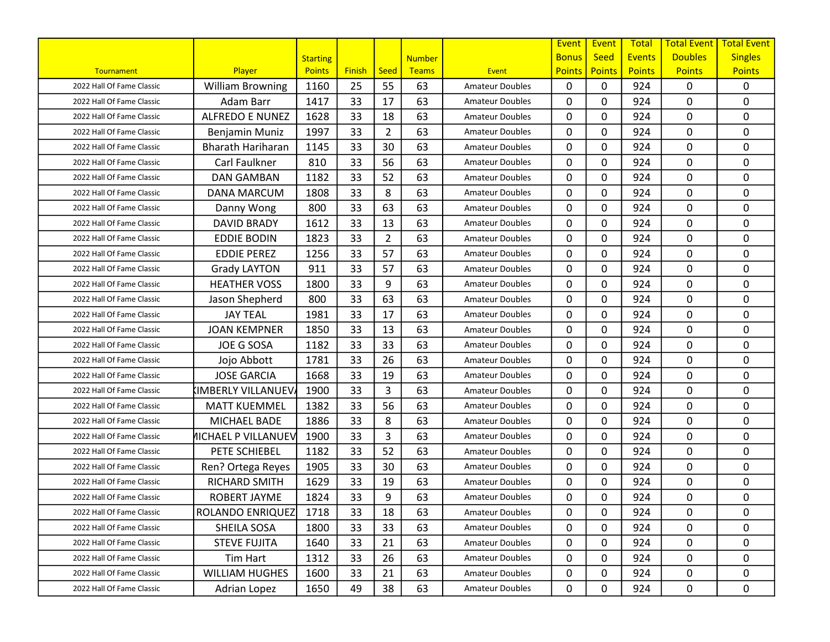|                           |                            |                 |               |                |               |                        | Event         | Event         | <b>Total</b>  | <b>Total Event</b> | <b>Total Event</b> |
|---------------------------|----------------------------|-----------------|---------------|----------------|---------------|------------------------|---------------|---------------|---------------|--------------------|--------------------|
|                           |                            | <b>Starting</b> |               |                | <b>Number</b> |                        | <b>Bonus</b>  | <b>Seed</b>   | <b>Events</b> | <b>Doubles</b>     | <b>Singles</b>     |
| Tournament                | Player                     | <b>Points</b>   | <b>Finish</b> | Seed           | <b>Teams</b>  | Event                  | <b>Points</b> | <b>Points</b> | <b>Points</b> | <b>Points</b>      | <b>Points</b>      |
| 2022 Hall Of Fame Classic | <b>William Browning</b>    | 1160            | 25            | 55             | 63            | <b>Amateur Doubles</b> | $\mathbf{0}$  | 0             | 924           | 0                  | 0                  |
| 2022 Hall Of Fame Classic | Adam Barr                  | 1417            | 33            | 17             | 63            | <b>Amateur Doubles</b> | 0             | 0             | 924           | 0                  | $\mathbf 0$        |
| 2022 Hall Of Fame Classic | <b>ALFREDO E NUNEZ</b>     | 1628            | 33            | 18             | 63            | <b>Amateur Doubles</b> | $\mathbf{0}$  | 0             | 924           | 0                  | $\mathbf 0$        |
| 2022 Hall Of Fame Classic | Benjamin Muniz             | 1997            | 33            | $\overline{2}$ | 63            | <b>Amateur Doubles</b> | $\mathbf{0}$  | 0             | 924           | 0                  | $\mathbf 0$        |
| 2022 Hall Of Fame Classic | <b>Bharath Hariharan</b>   | 1145            | 33            | 30             | 63            | <b>Amateur Doubles</b> | 0             | 0             | 924           | 0                  | 0                  |
| 2022 Hall Of Fame Classic | Carl Faulkner              | 810             | 33            | 56             | 63            | <b>Amateur Doubles</b> | $\mathbf{0}$  | 0             | 924           | 0                  | 0                  |
| 2022 Hall Of Fame Classic | <b>DAN GAMBAN</b>          | 1182            | 33            | 52             | 63            | <b>Amateur Doubles</b> | $\mathbf{0}$  | 0             | 924           | 0                  | $\mathbf 0$        |
| 2022 Hall Of Fame Classic | <b>DANA MARCUM</b>         | 1808            | 33            | 8              | 63            | <b>Amateur Doubles</b> | $\Omega$      | 0             | 924           | 0                  | 0                  |
| 2022 Hall Of Fame Classic | Danny Wong                 | 800             | 33            | 63             | 63            | <b>Amateur Doubles</b> | 0             | 0             | 924           | 0                  | 0                  |
| 2022 Hall Of Fame Classic | <b>DAVID BRADY</b>         | 1612            | 33            | 13             | 63            | <b>Amateur Doubles</b> | $\mathbf{0}$  | 0             | 924           | 0                  | $\mathbf 0$        |
| 2022 Hall Of Fame Classic | <b>EDDIE BODIN</b>         | 1823            | 33            | $\overline{2}$ | 63            | <b>Amateur Doubles</b> | $\mathbf{0}$  | 0             | 924           | 0                  | $\mathbf 0$        |
| 2022 Hall Of Fame Classic | <b>EDDIE PEREZ</b>         | 1256            | 33            | 57             | 63            | <b>Amateur Doubles</b> | $\mathbf{0}$  | 0             | 924           | 0                  | $\mathbf 0$        |
| 2022 Hall Of Fame Classic | <b>Grady LAYTON</b>        | 911             | 33            | 57             | 63            | <b>Amateur Doubles</b> | $\mathbf{0}$  | 0             | 924           | 0                  | 0                  |
| 2022 Hall Of Fame Classic | <b>HEATHER VOSS</b>        | 1800            | 33            | 9              | 63            | <b>Amateur Doubles</b> | 0             | 0             | 924           | 0                  | $\mathbf 0$        |
| 2022 Hall Of Fame Classic | Jason Shepherd             | 800             | 33            | 63             | 63            | <b>Amateur Doubles</b> | $\mathbf{0}$  | 0             | 924           | 0                  | $\mathbf 0$        |
| 2022 Hall Of Fame Classic | <b>JAY TEAL</b>            | 1981            | 33            | 17             | 63            | <b>Amateur Doubles</b> | 0             | 0             | 924           | 0                  | $\pmb{0}$          |
| 2022 Hall Of Fame Classic | <b>JOAN KEMPNER</b>        | 1850            | 33            | 13             | 63            | <b>Amateur Doubles</b> | $\mathbf{0}$  | 0             | 924           | 0                  | $\mathbf 0$        |
| 2022 Hall Of Fame Classic | <b>JOE G SOSA</b>          | 1182            | 33            | 33             | 63            | <b>Amateur Doubles</b> | $\mathbf{0}$  | 0             | 924           | 0                  | 0                  |
| 2022 Hall Of Fame Classic | Jojo Abbott                | 1781            | 33            | 26             | 63            | <b>Amateur Doubles</b> | 0             | 0             | 924           | 0                  | 0                  |
| 2022 Hall Of Fame Classic | <b>JOSE GARCIA</b>         | 1668            | 33            | 19             | 63            | <b>Amateur Doubles</b> | $\mathbf{0}$  | 0             | 924           | 0                  | $\mathbf 0$        |
| 2022 Hall Of Fame Classic | <b>IMBERLY VILLANUEV</b>   | 1900            | 33            | 3              | 63            | <b>Amateur Doubles</b> | $\mathbf{0}$  | 0             | 924           | 0                  | $\mathbf 0$        |
| 2022 Hall Of Fame Classic | <b>MATT KUEMMEL</b>        | 1382            | 33            | 56             | 63            | <b>Amateur Doubles</b> | $\mathbf{0}$  | 0             | 924           | 0                  | $\mathbf 0$        |
| 2022 Hall Of Fame Classic | MICHAEL BADE               | 1886            | 33            | 8              | 63            | <b>Amateur Doubles</b> | $\mathbf{0}$  | 0             | 924           | 0                  | 0                  |
| 2022 Hall Of Fame Classic | <b>MICHAEL P VILLANUEV</b> | 1900            | 33            | 3              | 63            | <b>Amateur Doubles</b> | 0             | 0             | 924           | 0                  | 0                  |
| 2022 Hall Of Fame Classic | PETE SCHIEBEL              | 1182            | 33            | 52             | 63            | <b>Amateur Doubles</b> | 0             | 0             | 924           | 0                  | $\mathbf 0$        |
| 2022 Hall Of Fame Classic | Ren? Ortega Reyes          | 1905            | 33            | 30             | 63            | <b>Amateur Doubles</b> | 0             | 0             | 924           | 0                  | $\mathbf 0$        |
| 2022 Hall Of Fame Classic | RICHARD SMITH              | 1629            | 33            | 19             | 63            | <b>Amateur Doubles</b> | $\mathbf{0}$  | 0             | 924           | 0                  | $\mathbf 0$        |
| 2022 Hall Of Fame Classic | <b>ROBERT JAYME</b>        | 1824            | 33            | 9              | 63            | Amateur Doubles        | 0             | 0             | 924           | 0                  | $\mathbf 0$        |
| 2022 Hall Of Fame Classic | ROLANDO ENRIQUEZ           | 1718            | 33            | 18             | 63            | <b>Amateur Doubles</b> | 0             | 0             | 924           | 0                  | 0                  |
| 2022 Hall Of Fame Classic | SHEILA SOSA                | 1800            | 33            | 33             | 63            | <b>Amateur Doubles</b> | $\mathbf{0}$  | 0             | 924           | 0                  | 0                  |
| 2022 Hall Of Fame Classic | <b>STEVE FUJITA</b>        | 1640            | 33            | 21             | 63            | <b>Amateur Doubles</b> | 0             | 0             | 924           | 0                  | 0                  |
| 2022 Hall Of Fame Classic | Tim Hart                   | 1312            | 33            | 26             | 63            | <b>Amateur Doubles</b> | 0             | 0             | 924           | 0                  | 0                  |
| 2022 Hall Of Fame Classic | <b>WILLIAM HUGHES</b>      | 1600            | 33            | 21             | 63            | <b>Amateur Doubles</b> | 0             | 0             | 924           | 0                  | 0                  |
| 2022 Hall Of Fame Classic | Adrian Lopez               | 1650            | 49            | 38             | 63            | <b>Amateur Doubles</b> | 0             | 0             | 924           | 0                  | 0                  |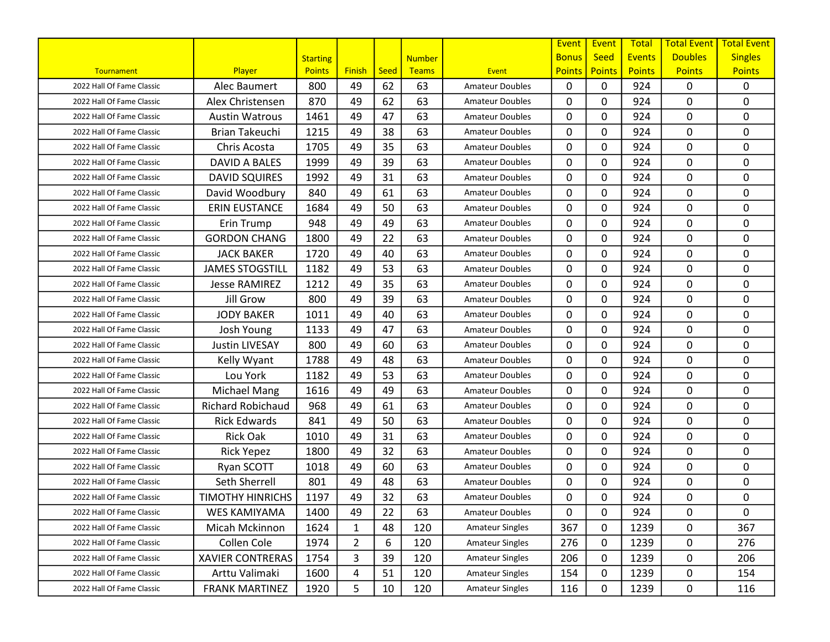|                           |                          |                 |                |      |               |                        | Event         | Event         | <b>Total</b>  | <b>Total Event</b> | <b>Total Event</b> |
|---------------------------|--------------------------|-----------------|----------------|------|---------------|------------------------|---------------|---------------|---------------|--------------------|--------------------|
|                           |                          | <b>Starting</b> |                |      | <b>Number</b> |                        | <b>Bonus</b>  | <b>Seed</b>   | <b>Events</b> | <b>Doubles</b>     | <b>Singles</b>     |
| Tournament                | Player                   | <b>Points</b>   | <b>Finish</b>  | Seed | <b>Teams</b>  | Event                  | <b>Points</b> | <b>Points</b> | <b>Points</b> | <b>Points</b>      | <b>Points</b>      |
| 2022 Hall Of Fame Classic | Alec Baumert             | 800             | 49             | 62   | 63            | <b>Amateur Doubles</b> | $\mathbf{0}$  | 0             | 924           | 0                  | $\mathbf{0}$       |
| 2022 Hall Of Fame Classic | Alex Christensen         | 870             | 49             | 62   | 63            | <b>Amateur Doubles</b> | 0             | 0             | 924           | 0                  | $\mathbf 0$        |
| 2022 Hall Of Fame Classic | <b>Austin Watrous</b>    | 1461            | 49             | 47   | 63            | <b>Amateur Doubles</b> | $\mathbf{0}$  | 0             | 924           | 0                  | $\mathbf 0$        |
| 2022 Hall Of Fame Classic | <b>Brian Takeuchi</b>    | 1215            | 49             | 38   | 63            | <b>Amateur Doubles</b> | $\mathbf{0}$  | 0             | 924           | 0                  | $\mathbf 0$        |
| 2022 Hall Of Fame Classic | Chris Acosta             | 1705            | 49             | 35   | 63            | <b>Amateur Doubles</b> | 0             | 0             | 924           | 0                  | 0                  |
| 2022 Hall Of Fame Classic | DAVID A BALES            | 1999            | 49             | 39   | 63            | <b>Amateur Doubles</b> | $\mathbf{0}$  | 0             | 924           | 0                  | 0                  |
| 2022 Hall Of Fame Classic | <b>DAVID SQUIRES</b>     | 1992            | 49             | 31   | 63            | <b>Amateur Doubles</b> | $\mathbf{0}$  | 0             | 924           | 0                  | $\mathbf 0$        |
| 2022 Hall Of Fame Classic | David Woodbury           | 840             | 49             | 61   | 63            | <b>Amateur Doubles</b> | $\Omega$      | 0             | 924           | 0                  | 0                  |
| 2022 Hall Of Fame Classic | <b>ERIN EUSTANCE</b>     | 1684            | 49             | 50   | 63            | <b>Amateur Doubles</b> | 0             | 0             | 924           | 0                  | 0                  |
| 2022 Hall Of Fame Classic | Erin Trump               | 948             | 49             | 49   | 63            | <b>Amateur Doubles</b> | $\mathbf{0}$  | 0             | 924           | 0                  | $\mathbf 0$        |
| 2022 Hall Of Fame Classic | <b>GORDON CHANG</b>      | 1800            | 49             | 22   | 63            | <b>Amateur Doubles</b> | $\mathbf{0}$  | 0             | 924           | 0                  | $\mathbf 0$        |
| 2022 Hall Of Fame Classic | <b>JACK BAKER</b>        | 1720            | 49             | 40   | 63            | <b>Amateur Doubles</b> | $\mathbf{0}$  | 0             | 924           | 0                  | $\mathbf 0$        |
| 2022 Hall Of Fame Classic | <b>JAMES STOGSTILL</b>   | 1182            | 49             | 53   | 63            | <b>Amateur Doubles</b> | $\mathbf{0}$  | 0             | 924           | 0                  | 0                  |
| 2022 Hall Of Fame Classic | <b>Jesse RAMIREZ</b>     | 1212            | 49             | 35   | 63            | <b>Amateur Doubles</b> | 0             | 0             | 924           | 0                  | $\mathbf 0$        |
| 2022 Hall Of Fame Classic | <b>Jill Grow</b>         | 800             | 49             | 39   | 63            | <b>Amateur Doubles</b> | $\mathbf{0}$  | 0             | 924           | 0                  | $\mathbf 0$        |
| 2022 Hall Of Fame Classic | <b>JODY BAKER</b>        | 1011            | 49             | 40   | 63            | <b>Amateur Doubles</b> | 0             | 0             | 924           | 0                  | $\pmb{0}$          |
| 2022 Hall Of Fame Classic | Josh Young               | 1133            | 49             | 47   | 63            | <b>Amateur Doubles</b> | $\mathbf{0}$  | 0             | 924           | 0                  | $\mathbf 0$        |
| 2022 Hall Of Fame Classic | <b>Justin LIVESAY</b>    | 800             | 49             | 60   | 63            | <b>Amateur Doubles</b> | $\mathbf{0}$  | 0             | 924           | 0                  | 0                  |
| 2022 Hall Of Fame Classic | Kelly Wyant              | 1788            | 49             | 48   | 63            | <b>Amateur Doubles</b> | 0             | 0             | 924           | 0                  | 0                  |
| 2022 Hall Of Fame Classic | Lou York                 | 1182            | 49             | 53   | 63            | <b>Amateur Doubles</b> | $\mathbf{0}$  | 0             | 924           | 0                  | $\mathbf 0$        |
| 2022 Hall Of Fame Classic | Michael Mang             | 1616            | 49             | 49   | 63            | <b>Amateur Doubles</b> | $\mathbf{0}$  | 0             | 924           | 0                  | $\mathbf 0$        |
| 2022 Hall Of Fame Classic | <b>Richard Robichaud</b> | 968             | 49             | 61   | 63            | <b>Amateur Doubles</b> | $\mathbf{0}$  | 0             | 924           | 0                  | $\mathbf 0$        |
| 2022 Hall Of Fame Classic | <b>Rick Edwards</b>      | 841             | 49             | 50   | 63            | <b>Amateur Doubles</b> | $\mathbf{0}$  | 0             | 924           | 0                  | 0                  |
| 2022 Hall Of Fame Classic | <b>Rick Oak</b>          | 1010            | 49             | 31   | 63            | <b>Amateur Doubles</b> | 0             | 0             | 924           | 0                  | 0                  |
| 2022 Hall Of Fame Classic | <b>Rick Yepez</b>        | 1800            | 49             | 32   | 63            | <b>Amateur Doubles</b> | 0             | 0             | 924           | 0                  | 0                  |
| 2022 Hall Of Fame Classic | Ryan SCOTT               | 1018            | 49             | 60   | 63            | <b>Amateur Doubles</b> | $\mathbf{0}$  | 0             | 924           | 0                  | $\mathbf 0$        |
| 2022 Hall Of Fame Classic | Seth Sherrell            | 801             | 49             | 48   | 63            | <b>Amateur Doubles</b> | $\mathbf{0}$  | 0             | 924           | 0                  | $\mathbf 0$        |
| 2022 Hall Of Fame Classic | <b>TIMOTHY HINRICHS</b>  | 1197            | 49             | 32   | 63            | <b>Amateur Doubles</b> | 0             | 0             | 924           | 0                  | $\mathbf 0$        |
| 2022 Hall Of Fame Classic | WES KAMIYAMA             | 1400            | 49             | 22   | 63            | <b>Amateur Doubles</b> | 0             | 0             | 924           | 0                  | 0                  |
| 2022 Hall Of Fame Classic | Micah Mckinnon           | 1624            | $\mathbf{1}$   | 48   | 120           | <b>Amateur Singles</b> | 367           | $\mathbf{0}$  | 1239          | 0                  | 367                |
| 2022 Hall Of Fame Classic | Collen Cole              | 1974            | $\overline{2}$ | 6    | 120           | <b>Amateur Singles</b> | 276           | 0             | 1239          | 0                  | 276                |
| 2022 Hall Of Fame Classic | <b>XAVIER CONTRERAS</b>  | 1754            | 3              | 39   | 120           | <b>Amateur Singles</b> | 206           | 0             | 1239          | 0                  | 206                |
| 2022 Hall Of Fame Classic | Arttu Valimaki           | 1600            | 4              | 51   | 120           | <b>Amateur Singles</b> | 154           | 0             | 1239          | 0                  | 154                |
| 2022 Hall Of Fame Classic | <b>FRANK MARTINEZ</b>    | 1920            | 5              | 10   | 120           | <b>Amateur Singles</b> | 116           | 0             | 1239          | 0                  | 116                |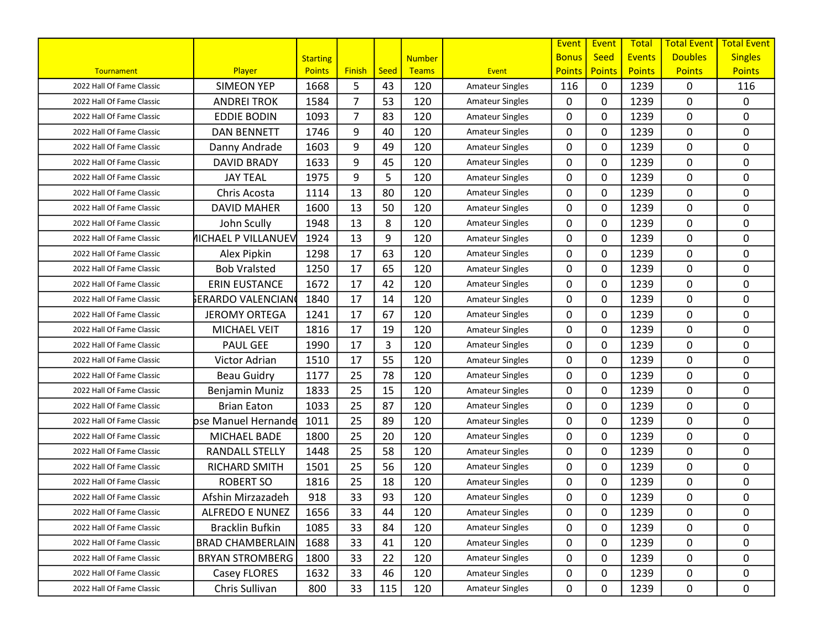|                           |                            |                 |                |      |               |                        | Event         | Event         | Total         | <b>Total Event</b> | <b>Total Event</b> |
|---------------------------|----------------------------|-----------------|----------------|------|---------------|------------------------|---------------|---------------|---------------|--------------------|--------------------|
|                           |                            | <b>Starting</b> |                |      | <b>Number</b> |                        | <b>Bonus</b>  | <b>Seed</b>   | <b>Events</b> | <b>Doubles</b>     | <b>Singles</b>     |
| Tournament                | Player                     | <b>Points</b>   | <b>Finish</b>  | Seed | <b>Teams</b>  | Event                  | <b>Points</b> | <b>Points</b> | <b>Points</b> | <b>Points</b>      | <b>Points</b>      |
| 2022 Hall Of Fame Classic | <b>SIMEON YEP</b>          | 1668            | 5              | 43   | 120           | <b>Amateur Singles</b> | 116           | 0             | 1239          | 0                  | 116                |
| 2022 Hall Of Fame Classic | <b>ANDREI TROK</b>         | 1584            | $\overline{7}$ | 53   | 120           | <b>Amateur Singles</b> | 0             | 0             | 1239          | 0                  | 0                  |
| 2022 Hall Of Fame Classic | <b>EDDIE BODIN</b>         | 1093            | $\overline{7}$ | 83   | 120           | <b>Amateur Singles</b> | $\mathbf{0}$  | 0             | 1239          | 0                  | $\mathbf 0$        |
| 2022 Hall Of Fame Classic | <b>DAN BENNETT</b>         | 1746            | 9              | 40   | 120           | <b>Amateur Singles</b> | $\mathbf{0}$  | 0             | 1239          | 0                  | 0                  |
| 2022 Hall Of Fame Classic | Danny Andrade              | 1603            | 9              | 49   | 120           | <b>Amateur Singles</b> | $\mathbf{0}$  | 0             | 1239          | 0                  | 0                  |
| 2022 Hall Of Fame Classic | <b>DAVID BRADY</b>         | 1633            | 9              | 45   | 120           | <b>Amateur Singles</b> | 0             | 0             | 1239          | 0                  | 0                  |
| 2022 Hall Of Fame Classic | <b>JAY TEAL</b>            | 1975            | 9              | 5    | 120           | <b>Amateur Singles</b> | $\mathbf{0}$  | 0             | 1239          | 0                  | $\mathbf 0$        |
| 2022 Hall Of Fame Classic | Chris Acosta               | 1114            | 13             | 80   | 120           | <b>Amateur Singles</b> | $\mathbf{0}$  | 0             | 1239          | 0                  | 0                  |
| 2022 Hall Of Fame Classic | <b>DAVID MAHER</b>         | 1600            | 13             | 50   | 120           | <b>Amateur Singles</b> | 0             | 0             | 1239          | 0                  | $\mathbf 0$        |
| 2022 Hall Of Fame Classic | John Scully                | 1948            | 13             | 8    | 120           | <b>Amateur Singles</b> | $\mathbf{0}$  | 0             | 1239          | 0                  | $\mathbf 0$        |
| 2022 Hall Of Fame Classic | <b>NICHAEL P VILLANUEV</b> | 1924            | 13             | 9    | 120           | <b>Amateur Singles</b> | $\mathbf{0}$  | 0             | 1239          | 0                  | 0                  |
| 2022 Hall Of Fame Classic | Alex Pipkin                | 1298            | 17             | 63   | 120           | <b>Amateur Singles</b> | $\mathbf{0}$  | 0             | 1239          | 0                  | $\mathbf 0$        |
| 2022 Hall Of Fame Classic | <b>Bob Vralsted</b>        | 1250            | 17             | 65   | 120           | <b>Amateur Singles</b> | $\mathbf{0}$  | 0             | 1239          | 0                  | 0                  |
| 2022 Hall Of Fame Classic | <b>ERIN EUSTANCE</b>       | 1672            | 17             | 42   | 120           | <b>Amateur Singles</b> | $\mathbf{0}$  | 0             | 1239          | 0                  | $\mathbf 0$        |
| 2022 Hall Of Fame Classic | ኔERARDO VALENCIAN          | 1840            | 17             | 14   | 120           | <b>Amateur Singles</b> | $\mathbf{0}$  | 0             | 1239          | 0                  | 0                  |
| 2022 Hall Of Fame Classic | <b>JEROMY ORTEGA</b>       | 1241            | 17             | 67   | 120           | <b>Amateur Singles</b> | 0             | 0             | 1239          | 0                  | $\pmb{0}$          |
| 2022 Hall Of Fame Classic | <b>MICHAEL VEIT</b>        | 1816            | 17             | 19   | 120           | <b>Amateur Singles</b> | $\mathbf{0}$  | 0             | 1239          | 0                  | 0                  |
| 2022 Hall Of Fame Classic | <b>PAUL GEE</b>            | 1990            | 17             | 3    | 120           | <b>Amateur Singles</b> | $\mathbf{0}$  | 0             | 1239          | 0                  | 0                  |
| 2022 Hall Of Fame Classic | Victor Adrian              | 1510            | 17             | 55   | 120           | <b>Amateur Singles</b> | 0             | 0             | 1239          | 0                  | 0                  |
| 2022 Hall Of Fame Classic | <b>Beau Guidry</b>         | 1177            | 25             | 78   | 120           | <b>Amateur Singles</b> | $\mathbf{0}$  | 0             | 1239          | 0                  | $\mathbf 0$        |
| 2022 Hall Of Fame Classic | Benjamin Muniz             | 1833            | 25             | 15   | 120           | <b>Amateur Singles</b> | $\mathbf{0}$  | 0             | 1239          | 0                  | $\pmb{0}$          |
| 2022 Hall Of Fame Classic | <b>Brian Eaton</b>         | 1033            | 25             | 87   | 120           | <b>Amateur Singles</b> | $\mathbf{0}$  | 0             | 1239          | 0                  | $\mathbf 0$        |
| 2022 Hall Of Fame Classic | bse Manuel Hernande        | 1011            | 25             | 89   | 120           | <b>Amateur Singles</b> | $\mathbf{0}$  | 0             | 1239          | 0                  | 0                  |
| 2022 Hall Of Fame Classic | MICHAEL BADE               | 1800            | 25             | 20   | 120           | <b>Amateur Singles</b> | 0             | 0             | 1239          | 0                  | 0                  |
| 2022 Hall Of Fame Classic | <b>RANDALL STELLY</b>      | 1448            | 25             | 58   | 120           | <b>Amateur Singles</b> | 0             | 0             | 1239          | 0                  | $\mathbf 0$        |
| 2022 Hall Of Fame Classic | <b>RICHARD SMITH</b>       | 1501            | 25             | 56   | 120           | <b>Amateur Singles</b> | 0             | 0             | 1239          | 0                  | $\mathbf 0$        |
| 2022 Hall Of Fame Classic | <b>ROBERT SO</b>           | 1816            | 25             | 18   | 120           | <b>Amateur Singles</b> | $\mathbf{0}$  | 0             | 1239          | 0                  | $\mathbf 0$        |
| 2022 Hall Of Fame Classic | Afshin Mirzazadeh          | 918             | 33             | 93   | 120           | <b>Amateur Singles</b> | 0             | 0             | 1239          | 0                  | $\mathbf 0$        |
| 2022 Hall Of Fame Classic | <b>ALFREDO E NUNEZ</b>     | 1656            | 33             | 44   | 120           | <b>Amateur Singles</b> | 0             | 0             | 1239          | 0                  | 0                  |
| 2022 Hall Of Fame Classic | <b>Bracklin Bufkin</b>     | 1085            | 33             | 84   | 120           | <b>Amateur Singles</b> | 0             | 0             | 1239          | 0                  | 0                  |
| 2022 Hall Of Fame Classic | <b>BRAD CHAMBERLAIN</b>    | 1688            | 33             | 41   | 120           | <b>Amateur Singles</b> | 0             | 0             | 1239          | 0                  | 0                  |
| 2022 Hall Of Fame Classic | <b>BRYAN STROMBERG</b>     | 1800            | 33             | 22   | 120           | <b>Amateur Singles</b> | 0             | 0             | 1239          | 0                  | 0                  |
| 2022 Hall Of Fame Classic | Casey FLORES               | 1632            | 33             | 46   | 120           | <b>Amateur Singles</b> | 0             | 0             | 1239          | 0                  | 0                  |
| 2022 Hall Of Fame Classic | Chris Sullivan             | 800             | 33             | 115  | 120           | <b>Amateur Singles</b> | 0             | 0             | 1239          | 0                  | $\mathbf 0$        |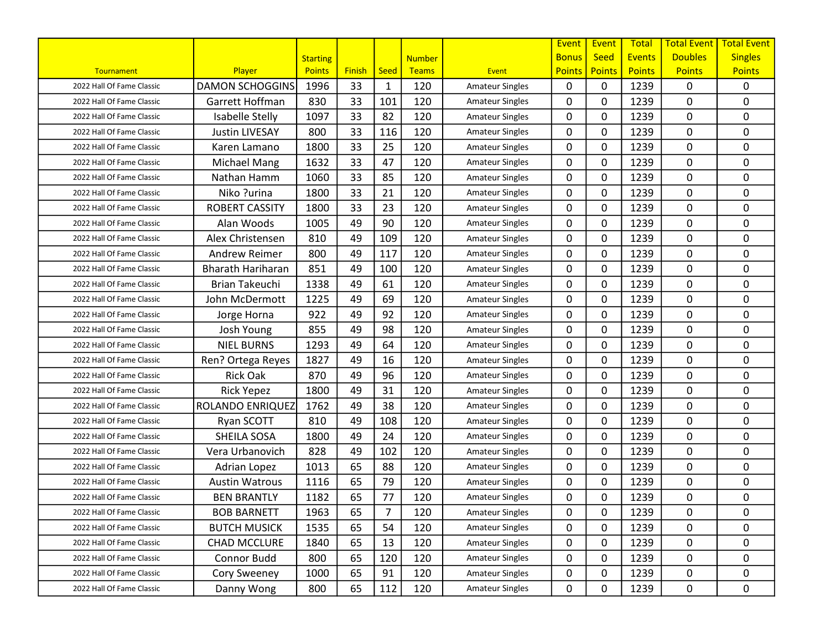|                           |                          |                 |               |      |               |                        | Event         | Event         | Total         | <b>Total Event</b> | <b>Total Event</b> |
|---------------------------|--------------------------|-----------------|---------------|------|---------------|------------------------|---------------|---------------|---------------|--------------------|--------------------|
|                           |                          | <b>Starting</b> |               |      | <b>Number</b> |                        | <b>Bonus</b>  | <b>Seed</b>   | <b>Events</b> | <b>Doubles</b>     | <b>Singles</b>     |
| Tournament                | Player                   | <b>Points</b>   | <b>Finish</b> | Seed | <b>Teams</b>  | Event                  | <b>Points</b> | <b>Points</b> | <b>Points</b> | <b>Points</b>      | <b>Points</b>      |
| 2022 Hall Of Fame Classic | <b>DAMON SCHOGGINS</b>   | 1996            | 33            | 1    | 120           | <b>Amateur Singles</b> | $\mathbf{0}$  | 0             | 1239          | 0                  | $\mathbf{0}$       |
| 2022 Hall Of Fame Classic | Garrett Hoffman          | 830             | 33            | 101  | 120           | <b>Amateur Singles</b> | 0             | 0             | 1239          | 0                  | $\pmb{0}$          |
| 2022 Hall Of Fame Classic | Isabelle Stelly          | 1097            | 33            | 82   | 120           | <b>Amateur Singles</b> | $\mathbf{0}$  | 0             | 1239          | 0                  | $\mathbf 0$        |
| 2022 Hall Of Fame Classic | <b>Justin LIVESAY</b>    | 800             | 33            | 116  | 120           | <b>Amateur Singles</b> | $\mathbf{0}$  | 0             | 1239          | 0                  | $\mathbf 0$        |
| 2022 Hall Of Fame Classic | Karen Lamano             | 1800            | 33            | 25   | 120           | <b>Amateur Singles</b> | $\mathbf{0}$  | 0             | 1239          | 0                  | 0                  |
| 2022 Hall Of Fame Classic | <b>Michael Mang</b>      | 1632            | 33            | 47   | 120           | <b>Amateur Singles</b> | 0             | 0             | 1239          | 0                  | 0                  |
| 2022 Hall Of Fame Classic | Nathan Hamm              | 1060            | 33            | 85   | 120           | <b>Amateur Singles</b> | 0             | 0             | 1239          | 0                  | $\mathbf 0$        |
| 2022 Hall Of Fame Classic | Niko ?urina              | 1800            | 33            | 21   | 120           | <b>Amateur Singles</b> | $\mathbf{0}$  | 0             | 1239          | 0                  | 0                  |
| 2022 Hall Of Fame Classic | <b>ROBERT CASSITY</b>    | 1800            | 33            | 23   | 120           | <b>Amateur Singles</b> | 0             | 0             | 1239          | 0                  | $\mathbf 0$        |
| 2022 Hall Of Fame Classic | Alan Woods               | 1005            | 49            | 90   | 120           | <b>Amateur Singles</b> | $\mathbf{0}$  | 0             | 1239          | 0                  | $\mathbf 0$        |
| 2022 Hall Of Fame Classic | Alex Christensen         | 810             | 49            | 109  | 120           | <b>Amateur Singles</b> | $\mathbf{0}$  | 0             | 1239          | 0                  | $\mathbf 0$        |
| 2022 Hall Of Fame Classic | <b>Andrew Reimer</b>     | 800             | 49            | 117  | 120           | <b>Amateur Singles</b> | $\mathbf{0}$  | 0             | 1239          | 0                  | $\mathbf 0$        |
| 2022 Hall Of Fame Classic | <b>Bharath Hariharan</b> | 851             | 49            | 100  | 120           | <b>Amateur Singles</b> | $\mathbf{0}$  | 0             | 1239          | 0                  | 0                  |
| 2022 Hall Of Fame Classic | <b>Brian Takeuchi</b>    | 1338            | 49            | 61   | 120           | <b>Amateur Singles</b> | $\mathbf{0}$  | 0             | 1239          | 0                  | $\mathbf 0$        |
| 2022 Hall Of Fame Classic | John McDermott           | 1225            | 49            | 69   | 120           | <b>Amateur Singles</b> | $\mathbf{0}$  | 0             | 1239          | 0                  | $\mathbf 0$        |
| 2022 Hall Of Fame Classic | Jorge Horna              | 922             | 49            | 92   | 120           | <b>Amateur Singles</b> | 0             | 0             | 1239          | 0                  | $\pmb{0}$          |
| 2022 Hall Of Fame Classic | Josh Young               | 855             | 49            | 98   | 120           | <b>Amateur Singles</b> | $\mathbf{0}$  | 0             | 1239          | 0                  | 0                  |
| 2022 Hall Of Fame Classic | <b>NIEL BURNS</b>        | 1293            | 49            | 64   | 120           | <b>Amateur Singles</b> | $\mathbf{0}$  | 0             | 1239          | 0                  | 0                  |
| 2022 Hall Of Fame Classic | Ren? Ortega Reyes        | 1827            | 49            | 16   | 120           | <b>Amateur Singles</b> | 0             | 0             | 1239          | 0                  | 0                  |
| 2022 Hall Of Fame Classic | <b>Rick Oak</b>          | 870             | 49            | 96   | 120           | <b>Amateur Singles</b> | $\mathbf{0}$  | 0             | 1239          | 0                  | $\mathbf 0$        |
| 2022 Hall Of Fame Classic | <b>Rick Yepez</b>        | 1800            | 49            | 31   | 120           | <b>Amateur Singles</b> | $\mathbf{0}$  | 0             | 1239          | 0                  | $\pmb{0}$          |
| 2022 Hall Of Fame Classic | ROLANDO ENRIQUEZ         | 1762            | 49            | 38   | 120           | <b>Amateur Singles</b> | $\mathbf{0}$  | 0             | 1239          | 0                  | $\mathbf 0$        |
| 2022 Hall Of Fame Classic | Ryan SCOTT               | 810             | 49            | 108  | 120           | <b>Amateur Singles</b> | $\mathbf{0}$  | 0             | 1239          | 0                  | 0                  |
| 2022 Hall Of Fame Classic | SHEILA SOSA              | 1800            | 49            | 24   | 120           | <b>Amateur Singles</b> | 0             | 0             | 1239          | 0                  | 0                  |
| 2022 Hall Of Fame Classic | Vera Urbanovich          | 828             | 49            | 102  | 120           | <b>Amateur Singles</b> | 0             | 0             | 1239          | 0                  | $\mathbf 0$        |
| 2022 Hall Of Fame Classic | Adrian Lopez             | 1013            | 65            | 88   | 120           | <b>Amateur Singles</b> | 0             | 0             | 1239          | 0                  | $\mathbf 0$        |
| 2022 Hall Of Fame Classic | <b>Austin Watrous</b>    | 1116            | 65            | 79   | 120           | <b>Amateur Singles</b> | $\mathbf{0}$  | 0             | 1239          | 0                  | $\mathbf 0$        |
| 2022 Hall Of Fame Classic | <b>BEN BRANTLY</b>       | 1182            | 65            | 77   | 120           | <b>Amateur Singles</b> | 0             | 0             | 1239          | 0                  | $\mathbf 0$        |
| 2022 Hall Of Fame Classic | <b>BOB BARNETT</b>       | 1963            | 65            | 7    | 120           | <b>Amateur Singles</b> | 0             | 0             | 1239          | 0                  | 0                  |
| 2022 Hall Of Fame Classic | <b>BUTCH MUSICK</b>      | 1535            | 65            | 54   | 120           | <b>Amateur Singles</b> | 0             | 0             | 1239          | 0                  | 0                  |
| 2022 Hall Of Fame Classic | <b>CHAD MCCLURE</b>      | 1840            | 65            | 13   | 120           | <b>Amateur Singles</b> | 0             | 0             | 1239          | 0                  | 0                  |
| 2022 Hall Of Fame Classic | Connor Budd              | 800             | 65            | 120  | 120           | <b>Amateur Singles</b> | 0             | 0             | 1239          | 0                  | 0                  |
| 2022 Hall Of Fame Classic | Cory Sweeney             | 1000            | 65            | 91   | 120           | <b>Amateur Singles</b> | 0             | 0             | 1239          | 0                  | 0                  |
| 2022 Hall Of Fame Classic | Danny Wong               | 800             | 65            | 112  | 120           | <b>Amateur Singles</b> | 0             | 0             | 1239          | 0                  | 0                  |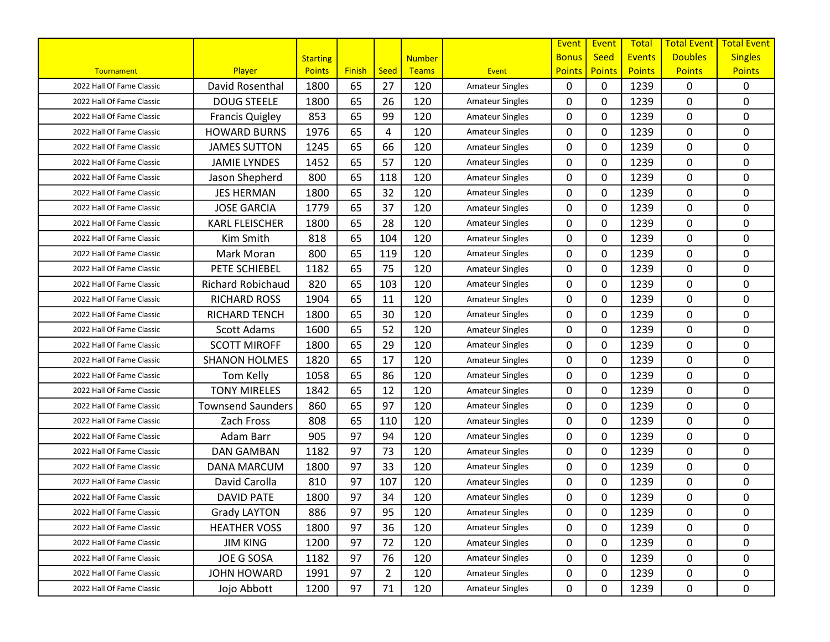|                           |                          |                 |               |      |               |                        | Event         | Event         | Total         | <b>Total Event</b> | <b>Total Event</b> |
|---------------------------|--------------------------|-----------------|---------------|------|---------------|------------------------|---------------|---------------|---------------|--------------------|--------------------|
|                           |                          | <b>Starting</b> |               |      | <b>Number</b> |                        | <b>Bonus</b>  | <b>Seed</b>   | <b>Events</b> | <b>Doubles</b>     | <b>Singles</b>     |
| Tournament                | Player                   | <b>Points</b>   | <b>Finish</b> | Seed | <b>Teams</b>  | Event                  | <b>Points</b> | <b>Points</b> | <b>Points</b> | <b>Points</b>      | <b>Points</b>      |
| 2022 Hall Of Fame Classic | David Rosenthal          | 1800            | 65            | 27   | 120           | <b>Amateur Singles</b> | $\mathbf{0}$  | 0             | 1239          | 0                  | $\mathbf{0}$       |
| 2022 Hall Of Fame Classic | <b>DOUG STEELE</b>       | 1800            | 65            | 26   | 120           | <b>Amateur Singles</b> | 0             | 0             | 1239          | 0                  | $\mathbf 0$        |
| 2022 Hall Of Fame Classic | <b>Francis Quigley</b>   | 853             | 65            | 99   | 120           | <b>Amateur Singles</b> | $\mathbf{0}$  | 0             | 1239          | 0                  | $\mathbf 0$        |
| 2022 Hall Of Fame Classic | <b>HOWARD BURNS</b>      | 1976            | 65            | 4    | 120           | <b>Amateur Singles</b> | $\mathbf{0}$  | 0             | 1239          | 0                  | 0                  |
| 2022 Hall Of Fame Classic | <b>JAMES SUTTON</b>      | 1245            | 65            | 66   | 120           | <b>Amateur Singles</b> | 0             | 0             | 1239          | 0                  | 0                  |
| 2022 Hall Of Fame Classic | <b>JAMIE LYNDES</b>      | 1452            | 65            | 57   | 120           | <b>Amateur Singles</b> | 0             | 0             | 1239          | 0                  | 0                  |
| 2022 Hall Of Fame Classic | Jason Shepherd           | 800             | 65            | 118  | 120           | <b>Amateur Singles</b> | $\mathbf{0}$  | 0             | 1239          | 0                  | $\mathbf 0$        |
| 2022 Hall Of Fame Classic | <b>JES HERMAN</b>        | 1800            | 65            | 32   | 120           | <b>Amateur Singles</b> | $\mathbf{0}$  | 0             | 1239          | 0                  | 0                  |
| 2022 Hall Of Fame Classic | <b>JOSE GARCIA</b>       | 1779            | 65            | 37   | 120           | <b>Amateur Singles</b> | 0             | 0             | 1239          | 0                  | $\mathbf 0$        |
| 2022 Hall Of Fame Classic | <b>KARL FLEISCHER</b>    | 1800            | 65            | 28   | 120           | <b>Amateur Singles</b> | $\mathbf{0}$  | 0             | 1239          | 0                  | $\mathbf 0$        |
| 2022 Hall Of Fame Classic | Kim Smith                | 818             | 65            | 104  | 120           | <b>Amateur Singles</b> | $\mathbf{0}$  | 0             | 1239          | 0                  | 0                  |
| 2022 Hall Of Fame Classic | Mark Moran               | 800             | 65            | 119  | 120           | <b>Amateur Singles</b> | $\mathbf{0}$  | 0             | 1239          | 0                  | $\mathbf 0$        |
| 2022 Hall Of Fame Classic | PETE SCHIEBEL            | 1182            | 65            | 75   | 120           | <b>Amateur Singles</b> | $\mathbf{0}$  | 0             | 1239          | 0                  | 0                  |
| 2022 Hall Of Fame Classic | <b>Richard Robichaud</b> | 820             | 65            | 103  | 120           | <b>Amateur Singles</b> | $\mathbf{0}$  | 0             | 1239          | 0                  | $\mathbf 0$        |
| 2022 Hall Of Fame Classic | <b>RICHARD ROSS</b>      | 1904            | 65            | 11   | 120           | <b>Amateur Singles</b> | $\mathbf{0}$  | 0             | 1239          | 0                  | $\mathbf 0$        |
| 2022 Hall Of Fame Classic | RICHARD TENCH            | 1800            | 65            | 30   | 120           | <b>Amateur Singles</b> | 0             | 0             | 1239          | 0                  | $\pmb{0}$          |
| 2022 Hall Of Fame Classic | <b>Scott Adams</b>       | 1600            | 65            | 52   | 120           | <b>Amateur Singles</b> | $\mathbf{0}$  | 0             | 1239          | 0                  | $\mathbf 0$        |
| 2022 Hall Of Fame Classic | <b>SCOTT MIROFF</b>      | 1800            | 65            | 29   | 120           | <b>Amateur Singles</b> | $\mathbf{0}$  | 0             | 1239          | 0                  | 0                  |
| 2022 Hall Of Fame Classic | <b>SHANON HOLMES</b>     | 1820            | 65            | 17   | 120           | <b>Amateur Singles</b> | 0             | 0             | 1239          | 0                  | 0                  |
| 2022 Hall Of Fame Classic | Tom Kelly                | 1058            | 65            | 86   | 120           | <b>Amateur Singles</b> | $\mathbf{0}$  | 0             | 1239          | 0                  | $\mathbf 0$        |
| 2022 Hall Of Fame Classic | <b>TONY MIRELES</b>      | 1842            | 65            | 12   | 120           | <b>Amateur Singles</b> | $\mathbf{0}$  | 0             | 1239          | 0                  | $\pmb{0}$          |
| 2022 Hall Of Fame Classic | <b>Townsend Saunders</b> | 860             | 65            | 97   | 120           | <b>Amateur Singles</b> | $\mathbf{0}$  | 0             | 1239          | 0                  | $\mathbf 0$        |
| 2022 Hall Of Fame Classic | Zach Fross               | 808             | 65            | 110  | 120           | <b>Amateur Singles</b> | $\mathbf{0}$  | 0             | 1239          | 0                  | 0                  |
| 2022 Hall Of Fame Classic | Adam Barr                | 905             | 97            | 94   | 120           | <b>Amateur Singles</b> | 0             | 0             | 1239          | 0                  | 0                  |
| 2022 Hall Of Fame Classic | <b>DAN GAMBAN</b>        | 1182            | 97            | 73   | 120           | <b>Amateur Singles</b> | 0             | 0             | 1239          | 0                  | $\mathbf 0$        |
| 2022 Hall Of Fame Classic | <b>DANA MARCUM</b>       | 1800            | 97            | 33   | 120           | <b>Amateur Singles</b> | 0             | 0             | 1239          | 0                  | $\mathbf 0$        |
| 2022 Hall Of Fame Classic | David Carolla            | 810             | 97            | 107  | 120           | <b>Amateur Singles</b> | $\mathbf{0}$  | 0             | 1239          | 0                  | $\mathbf 0$        |
| 2022 Hall Of Fame Classic | <b>DAVID PATE</b>        | 1800            | 97            | 34   | 120           | <b>Amateur Singles</b> | 0             | 0             | 1239          | 0                  | $\mathbf 0$        |
| 2022 Hall Of Fame Classic | <b>Grady LAYTON</b>      | 886             | 97            | 95   | 120           | <b>Amateur Singles</b> | 0             | 0             | 1239          | 0                  | 0                  |
| 2022 Hall Of Fame Classic | <b>HEATHER VOSS</b>      | 1800            | 97            | 36   | 120           | <b>Amateur Singles</b> | 0             | 0             | 1239          | 0                  | 0                  |
| 2022 Hall Of Fame Classic | <b>JIM KING</b>          | 1200            | 97            | 72   | 120           | <b>Amateur Singles</b> | 0             | 0             | 1239          | 0                  | 0                  |
| 2022 Hall Of Fame Classic | JOE G SOSA               | 1182            | 97            | 76   | 120           | <b>Amateur Singles</b> | 0             | 0             | 1239          | 0                  | 0                  |
| 2022 Hall Of Fame Classic | <b>JOHN HOWARD</b>       | 1991            | 97            | 2    | 120           | <b>Amateur Singles</b> | 0             | 0             | 1239          | 0                  | 0                  |
| 2022 Hall Of Fame Classic | Jojo Abbott              | 1200            | 97            | 71   | 120           | <b>Amateur Singles</b> | 0             | 0             | 1239          | 0                  | $\mathbf 0$        |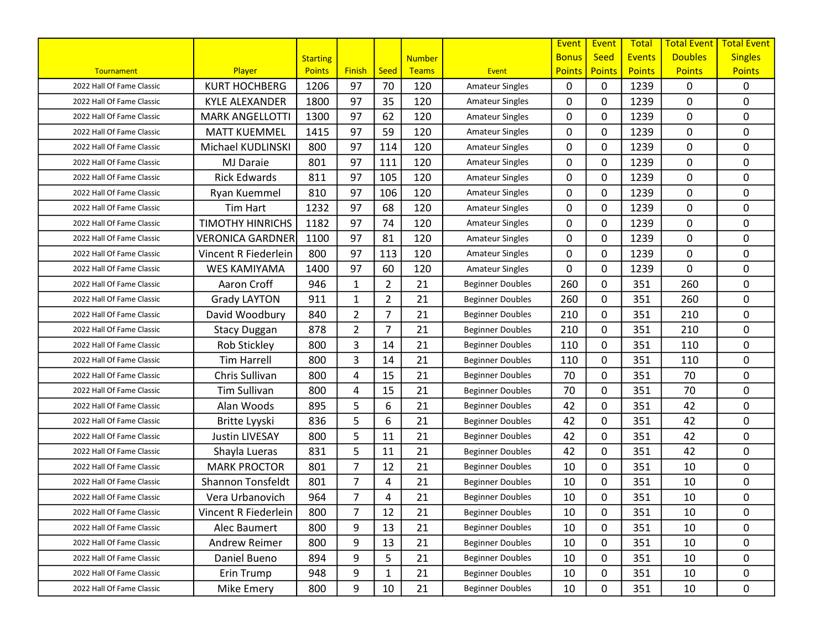|                           |                          |                 |                |                |               |                         | Event         | Event         | <b>Total</b>  | <b>Total Event</b> | <b>Total Event</b> |
|---------------------------|--------------------------|-----------------|----------------|----------------|---------------|-------------------------|---------------|---------------|---------------|--------------------|--------------------|
|                           |                          | <b>Starting</b> |                |                | <b>Number</b> |                         | <b>Bonus</b>  | <b>Seed</b>   | <b>Events</b> | <b>Doubles</b>     | <b>Singles</b>     |
| Tournament                | Player                   | <b>Points</b>   | <b>Finish</b>  | Seed           | <b>Teams</b>  | Event                   | <b>Points</b> | <b>Points</b> | <b>Points</b> | <b>Points</b>      | <b>Points</b>      |
| 2022 Hall Of Fame Classic | <b>KURT HOCHBERG</b>     | 1206            | 97             | 70             | 120           | <b>Amateur Singles</b>  | $\mathbf{0}$  | 0             | 1239          | 0                  | 0                  |
| 2022 Hall Of Fame Classic | <b>KYLE ALEXANDER</b>    | 1800            | 97             | 35             | 120           | <b>Amateur Singles</b>  | 0             | 0             | 1239          | 0                  | $\pmb{0}$          |
| 2022 Hall Of Fame Classic | <b>MARK ANGELLOTTI</b>   | 1300            | 97             | 62             | 120           | <b>Amateur Singles</b>  | $\mathbf{0}$  | 0             | 1239          | 0                  | $\mathbf 0$        |
| 2022 Hall Of Fame Classic | <b>MATT KUEMMEL</b>      | 1415            | 97             | 59             | 120           | <b>Amateur Singles</b>  | $\mathbf{0}$  | 0             | 1239          | 0                  | $\mathbf 0$        |
| 2022 Hall Of Fame Classic | Michael KUDLINSKI        | 800             | 97             | 114            | 120           | <b>Amateur Singles</b>  | 0             | 0             | 1239          | 0                  | 0                  |
| 2022 Hall Of Fame Classic | <b>MJ Daraie</b>         | 801             | 97             | 111            | 120           | <b>Amateur Singles</b>  | 0             | 0             | 1239          | 0                  | 0                  |
| 2022 Hall Of Fame Classic | <b>Rick Edwards</b>      | 811             | 97             | 105            | 120           | <b>Amateur Singles</b>  | 0             | 0             | 1239          | 0                  | $\mathbf 0$        |
| 2022 Hall Of Fame Classic | Ryan Kuemmel             | 810             | 97             | 106            | 120           | <b>Amateur Singles</b>  | $\mathbf{0}$  | 0             | 1239          | 0                  | $\mathbf 0$        |
| 2022 Hall Of Fame Classic | Tim Hart                 | 1232            | 97             | 68             | 120           | <b>Amateur Singles</b>  | 0             | 0             | 1239          | 0                  | 0                  |
| 2022 Hall Of Fame Classic | <b>TIMOTHY HINRICHS</b>  | 1182            | 97             | 74             | 120           | <b>Amateur Singles</b>  | $\mathbf{0}$  | 0             | 1239          | 0                  | $\mathbf 0$        |
| 2022 Hall Of Fame Classic | <b>VERONICA GARDNER</b>  | 1100            | 97             | 81             | 120           | <b>Amateur Singles</b>  | $\mathbf{0}$  | 0             | 1239          | 0                  | 0                  |
| 2022 Hall Of Fame Classic | Vincent R Fiederlein     | 800             | 97             | 113            | 120           | <b>Amateur Singles</b>  | $\mathbf{0}$  | 0             | 1239          | 0                  | $\mathbf 0$        |
| 2022 Hall Of Fame Classic | <b>WES KAMIYAMA</b>      | 1400            | 97             | 60             | 120           | <b>Amateur Singles</b>  | $\mathbf{0}$  | 0             | 1239          | 0                  | 0                  |
| 2022 Hall Of Fame Classic | Aaron Croff              | 946             | $\mathbf{1}$   | $\overline{2}$ | 21            | <b>Beginner Doubles</b> | 260           | 0             | 351           | 260                | 0                  |
| 2022 Hall Of Fame Classic | <b>Grady LAYTON</b>      | 911             | $\mathbf{1}$   | $\overline{2}$ | 21            | <b>Beginner Doubles</b> | 260           | 0             | 351           | 260                | 0                  |
| 2022 Hall Of Fame Classic | David Woodbury           | 840             | 2              | 7              | 21            | <b>Beginner Doubles</b> | 210           | 0             | 351           | 210                | 0                  |
| 2022 Hall Of Fame Classic | <b>Stacy Duggan</b>      | 878             | $\overline{2}$ | $\overline{7}$ | 21            | <b>Beginner Doubles</b> | 210           | 0             | 351           | 210                | 0                  |
| 2022 Hall Of Fame Classic | <b>Rob Stickley</b>      | 800             | 3              | 14             | 21            | <b>Beginner Doubles</b> | 110           | 0             | 351           | 110                | 0                  |
| 2022 Hall Of Fame Classic | <b>Tim Harrell</b>       | 800             | 3              | 14             | 21            | <b>Beginner Doubles</b> | 110           | 0             | 351           | 110                | 0                  |
| 2022 Hall Of Fame Classic | Chris Sullivan           | 800             | 4              | 15             | 21            | <b>Beginner Doubles</b> | 70            | 0             | 351           | 70                 | 0                  |
| 2022 Hall Of Fame Classic | <b>Tim Sullivan</b>      | 800             | 4              | 15             | 21            | <b>Beginner Doubles</b> | 70            | 0             | 351           | 70                 | 0                  |
| 2022 Hall Of Fame Classic | Alan Woods               | 895             | 5              | 6              | 21            | <b>Beginner Doubles</b> | 42            | 0             | 351           | 42                 | 0                  |
| 2022 Hall Of Fame Classic | Britte Lyyski            | 836             | 5              | 6              | 21            | <b>Beginner Doubles</b> | 42            | 0             | 351           | 42                 | 0                  |
| 2022 Hall Of Fame Classic | <b>Justin LIVESAY</b>    | 800             | 5              | 11             | 21            | <b>Beginner Doubles</b> | 42            | 0             | 351           | 42                 | 0                  |
| 2022 Hall Of Fame Classic | Shayla Lueras            | 831             | 5              | 11             | 21            | <b>Beginner Doubles</b> | 42            | 0             | 351           | 42                 | 0                  |
| 2022 Hall Of Fame Classic | <b>MARK PROCTOR</b>      | 801             | $\overline{7}$ | 12             | 21            | <b>Beginner Doubles</b> | 10            | 0             | 351           | 10                 | 0                  |
| 2022 Hall Of Fame Classic | <b>Shannon Tonsfeldt</b> | 801             | $\overline{7}$ | 4              | 21            | <b>Beginner Doubles</b> | 10            | 0             | 351           | 10                 | 0                  |
| 2022 Hall Of Fame Classic | Vera Urbanovich          | 964             | $\overline{7}$ | 4              | 21            | <b>Beginner Doubles</b> | 10            | 0             | 351           | 10                 | 0                  |
| 2022 Hall Of Fame Classic | Vincent R Fiederlein     | 800             | 7              | 12             | 21            | <b>Beginner Doubles</b> | 10            | 0             | 351           | 10                 | 0                  |
| 2022 Hall Of Fame Classic | Alec Baumert             | 800             | 9              | 13             | 21            | <b>Beginner Doubles</b> | 10            | 0             | 351           | 10                 | 0                  |
| 2022 Hall Of Fame Classic | Andrew Reimer            | 800             | 9              | 13             | 21            | <b>Beginner Doubles</b> | 10            | 0             | 351           | 10                 | 0                  |
| 2022 Hall Of Fame Classic | Daniel Bueno             | 894             | 9              | 5              | 21            | <b>Beginner Doubles</b> | 10            | 0             | 351           | 10                 | 0                  |
| 2022 Hall Of Fame Classic | Erin Trump               | 948             | 9              | 1              | 21            | <b>Beginner Doubles</b> | 10            | 0             | 351           | 10                 | 0                  |
| 2022 Hall Of Fame Classic | Mike Emery               | 800             | 9              | 10             | 21            | <b>Beginner Doubles</b> | 10            | 0             | 351           | 10                 | 0                  |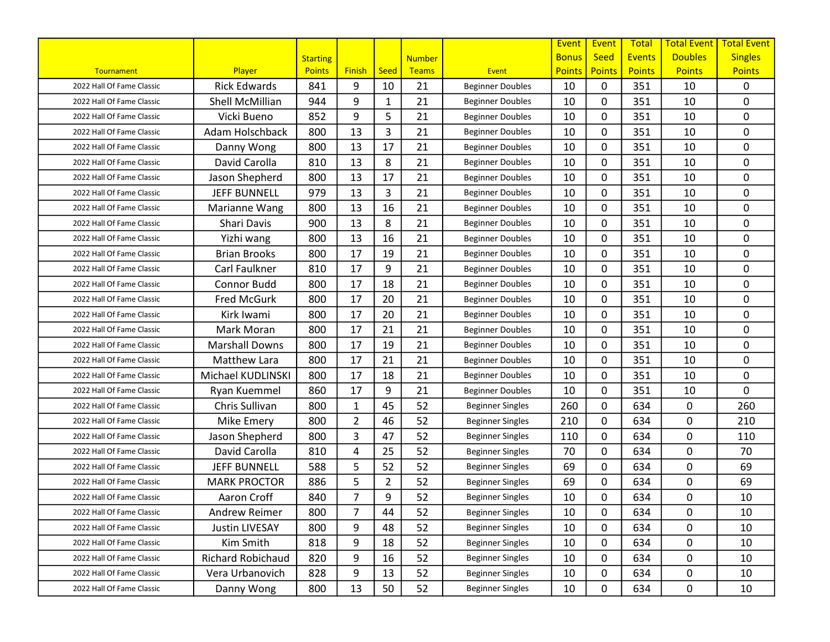|                           |                       |                 |                |                |               |                         | Event        | Event         | Total         | <b>Total Event</b> | <b>Total Event</b> |
|---------------------------|-----------------------|-----------------|----------------|----------------|---------------|-------------------------|--------------|---------------|---------------|--------------------|--------------------|
|                           |                       | <b>Starting</b> |                |                | <b>Number</b> |                         | <b>Bonus</b> | <b>Seed</b>   | <b>Events</b> | <b>Doubles</b>     | <b>Singles</b>     |
| Tournament                | Player                | <b>Points</b>   | <b>Finish</b>  | Seed           | Teams         | Event                   | Points       | <b>Points</b> | <b>Points</b> | <b>Points</b>      | <b>Points</b>      |
| 2022 Hall Of Fame Classic | <b>Rick Edwards</b>   | 841             | 9              | 10             | 21            | <b>Beginner Doubles</b> | 10           | 0             | 351           | 10                 | 0                  |
| 2022 Hall Of Fame Classic | Shell McMillian       | 944             | 9              | 1              | 21            | <b>Beginner Doubles</b> | 10           | 0             | 351           | 10                 | 0                  |
| 2022 Hall Of Fame Classic | Vicki Bueno           | 852             | 9              | 5              | 21            | <b>Beginner Doubles</b> | 10           | 0             | 351           | 10                 | 0                  |
| 2022 Hall Of Fame Classic | Adam Holschback       | 800             | 13             | 3              | 21            | <b>Beginner Doubles</b> | 10           | 0             | 351           | 10                 | 0                  |
| 2022 Hall Of Fame Classic | Danny Wong            | 800             | 13             | 17             | 21            | <b>Beginner Doubles</b> | 10           | 0             | 351           | 10                 | 0                  |
| 2022 Hall Of Fame Classic | David Carolla         | 810             | 13             | 8              | 21            | <b>Beginner Doubles</b> | 10           | 0             | 351           | 10                 | 0                  |
| 2022 Hall Of Fame Classic | Jason Shepherd        | 800             | 13             | 17             | 21            | <b>Beginner Doubles</b> | 10           | 0             | 351           | 10                 | 0                  |
| 2022 Hall Of Fame Classic | <b>JEFF BUNNELL</b>   | 979             | 13             | 3              | 21            | <b>Beginner Doubles</b> | 10           | 0             | 351           | 10                 | 0                  |
| 2022 Hall Of Fame Classic | Marianne Wang         | 800             | 13             | 16             | 21            | <b>Beginner Doubles</b> | 10           | 0             | 351           | 10                 | 0                  |
| 2022 Hall Of Fame Classic | Shari Davis           | 900             | 13             | 8              | 21            | <b>Beginner Doubles</b> | 10           | 0             | 351           | 10                 | 0                  |
| 2022 Hall Of Fame Classic | Yizhi wang            | 800             | 13             | 16             | 21            | <b>Beginner Doubles</b> | 10           | 0             | 351           | 10                 | 0                  |
| 2022 Hall Of Fame Classic | <b>Brian Brooks</b>   | 800             | 17             | 19             | 21            | <b>Beginner Doubles</b> | 10           | 0             | 351           | 10                 | 0                  |
| 2022 Hall Of Fame Classic | Carl Faulkner         | 810             | 17             | 9              | 21            | <b>Beginner Doubles</b> | 10           | 0             | 351           | 10                 | 0                  |
| 2022 Hall Of Fame Classic | Connor Budd           | 800             | 17             | 18             | 21            | <b>Beginner Doubles</b> | 10           | 0             | 351           | 10                 | 0                  |
| 2022 Hall Of Fame Classic | <b>Fred McGurk</b>    | 800             | 17             | 20             | 21            | <b>Beginner Doubles</b> | 10           | 0             | 351           | 10                 | 0                  |
| 2022 Hall Of Fame Classic | Kirk Iwami            | 800             | 17             | 20             | 21            | <b>Beginner Doubles</b> | 10           | 0             | 351           | 10                 | 0                  |
| 2022 Hall Of Fame Classic | Mark Moran            | 800             | 17             | 21             | 21            | <b>Beginner Doubles</b> | 10           | 0             | 351           | 10                 | 0                  |
| 2022 Hall Of Fame Classic | <b>Marshall Downs</b> | 800             | 17             | 19             | 21            | <b>Beginner Doubles</b> | 10           | $\mathbf{0}$  | 351           | 10                 | 0                  |
| 2022 Hall Of Fame Classic | Matthew Lara          | 800             | 17             | 21             | 21            | <b>Beginner Doubles</b> | 10           | 0             | 351           | 10                 | 0                  |
| 2022 Hall Of Fame Classic | Michael KUDLINSKI     | 800             | 17             | 18             | 21            | <b>Beginner Doubles</b> | 10           | 0             | 351           | 10                 | 0                  |
| 2022 Hall Of Fame Classic | Ryan Kuemmel          | 860             | 17             | 9              | 21            | <b>Beginner Doubles</b> | 10           | 0             | 351           | 10                 | 0                  |
| 2022 Hall Of Fame Classic | Chris Sullivan        | 800             | $\mathbf{1}$   | 45             | 52            | <b>Beginner Singles</b> | 260          | 0             | 634           | 0                  | 260                |
| 2022 Hall Of Fame Classic | Mike Emery            | 800             | $\overline{2}$ | 46             | 52            | <b>Beginner Singles</b> | 210          | 0             | 634           | 0                  | 210                |
| 2022 Hall Of Fame Classic | Jason Shepherd        | 800             | 3              | 47             | 52            | <b>Beginner Singles</b> | 110          | 0             | 634           | 0                  | 110                |
| 2022 Hall Of Fame Classic | David Carolla         | 810             | 4              | 25             | 52            | <b>Beginner Singles</b> | 70           | 0             | 634           | 0                  | 70                 |
| 2022 Hall Of Fame Classic | <b>JEFF BUNNELL</b>   | 588             | 5              | 52             | 52            | <b>Beginner Singles</b> | 69           | 0             | 634           | 0                  | 69                 |
| 2022 Hall Of Fame Classic | <b>MARK PROCTOR</b>   | 886             | 5              | $\overline{2}$ | 52            | <b>Beginner Singles</b> | 69           | 0             | 634           | 0                  | 69                 |
| 2022 Hall Of Fame Classic | Aaron Croff           | 840             | $\overline{7}$ | 9              | 52            | <b>Beginner Singles</b> | 10           | 0             | 634           | 0                  | 10                 |
| 2022 Hall Of Fame Classic | Andrew Reimer         | 800             | 7              | 44             | 52            | <b>Beginner Singles</b> | 10           | 0             | 634           | 0                  | 10                 |
| 2022 Hall Of Fame Classic | <b>Justin LIVESAY</b> | 800             | 9              | 48             | 52            | <b>Beginner Singles</b> | 10           | 0             | 634           | 0                  | 10                 |
| 2022 Hall Of Fame Classic | Kim Smith             | 818             | 9              | 18             | 52            | <b>Beginner Singles</b> | 10           | 0             | 634           | 0                  | 10                 |
| 2022 Hall Of Fame Classic | Richard Robichaud     | 820             | 9              | 16             | 52            | <b>Beginner Singles</b> | 10           | 0             | 634           | 0                  | 10                 |
| 2022 Hall Of Fame Classic | Vera Urbanovich       | 828             | 9              | 13             | 52            | <b>Beginner Singles</b> | 10           | 0             | 634           | 0                  | 10                 |
| 2022 Hall Of Fame Classic | Danny Wong            | 800             | 13             | 50             | 52            | <b>Beginner Singles</b> | 10           | 0             | 634           | 0                  | 10                 |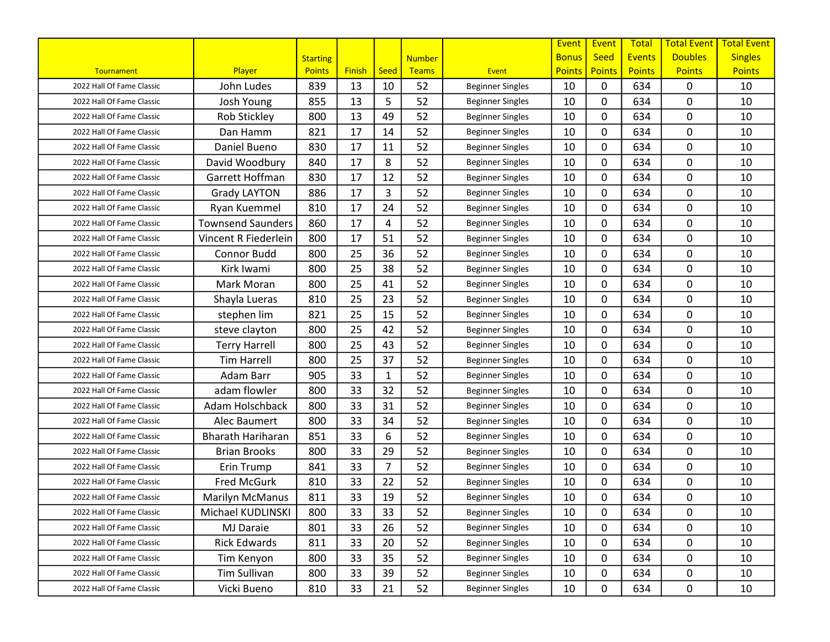|                           |                          |                 |               |                |               |                         | <b>Event</b>  | Event         | <b>Total</b>  | <b>Total Event</b> | <b>Total Event</b> |
|---------------------------|--------------------------|-----------------|---------------|----------------|---------------|-------------------------|---------------|---------------|---------------|--------------------|--------------------|
|                           |                          | <b>Starting</b> |               |                | <b>Number</b> |                         | <b>Bonus</b>  | <b>Seed</b>   | <b>Events</b> | <b>Doubles</b>     | <b>Singles</b>     |
| Tournament                | Player                   | <b>Points</b>   | <b>Finish</b> | Seed           | <b>Teams</b>  | <b>Event</b>            | <b>Points</b> | <b>Points</b> | <b>Points</b> | <b>Points</b>      | <b>Points</b>      |
| 2022 Hall Of Fame Classic | John Ludes               | 839             | 13            | 10             | 52            | <b>Beginner Singles</b> | 10            | 0             | 634           | 0                  | 10                 |
| 2022 Hall Of Fame Classic | Josh Young               | 855             | 13            | 5              | 52            | <b>Beginner Singles</b> | 10            | 0             | 634           | 0                  | 10                 |
| 2022 Hall Of Fame Classic | <b>Rob Stickley</b>      | 800             | 13            | 49             | 52            | <b>Beginner Singles</b> | 10            | 0             | 634           | 0                  | 10                 |
| 2022 Hall Of Fame Classic | Dan Hamm                 | 821             | 17            | 14             | 52            | <b>Beginner Singles</b> | 10            | 0             | 634           | 0                  | 10                 |
| 2022 Hall Of Fame Classic | Daniel Bueno             | 830             | 17            | 11             | 52            | <b>Beginner Singles</b> | 10            | 0             | 634           | 0                  | 10                 |
| 2022 Hall Of Fame Classic | David Woodbury           | 840             | 17            | 8              | 52            | <b>Beginner Singles</b> | 10            | 0             | 634           | 0                  | 10                 |
| 2022 Hall Of Fame Classic | Garrett Hoffman          | 830             | 17            | 12             | 52            | <b>Beginner Singles</b> | 10            | 0             | 634           | 0                  | 10                 |
| 2022 Hall Of Fame Classic | <b>Grady LAYTON</b>      | 886             | 17            | 3              | 52            | <b>Beginner Singles</b> | 10            | 0             | 634           | 0                  | 10                 |
| 2022 Hall Of Fame Classic | Ryan Kuemmel             | 810             | 17            | 24             | 52            | <b>Beginner Singles</b> | 10            | 0             | 634           | 0                  | 10                 |
| 2022 Hall Of Fame Classic | <b>Townsend Saunders</b> | 860             | 17            | 4              | 52            | <b>Beginner Singles</b> | 10            | 0             | 634           | 0                  | 10                 |
| 2022 Hall Of Fame Classic | Vincent R Fiederlein     | 800             | 17            | 51             | 52            | <b>Beginner Singles</b> | 10            | 0             | 634           | 0                  | 10                 |
| 2022 Hall Of Fame Classic | Connor Budd              | 800             | 25            | 36             | 52            | <b>Beginner Singles</b> | 10            | 0             | 634           | 0                  | 10                 |
| 2022 Hall Of Fame Classic | Kirk Iwami               | 800             | 25            | 38             | 52            | <b>Beginner Singles</b> | 10            | $\mathbf{0}$  | 634           | 0                  | 10                 |
| 2022 Hall Of Fame Classic | Mark Moran               | 800             | 25            | 41             | 52            | <b>Beginner Singles</b> | 10            | 0             | 634           | 0                  | 10                 |
| 2022 Hall Of Fame Classic | Shayla Lueras            | 810             | 25            | 23             | 52            | <b>Beginner Singles</b> | 10            | 0             | 634           | 0                  | 10                 |
| 2022 Hall Of Fame Classic | stephen lim              | 821             | 25            | 15             | 52            | <b>Beginner Singles</b> | 10            | 0             | 634           | 0                  | 10                 |
| 2022 Hall Of Fame Classic | steve clayton            | 800             | 25            | 42             | 52            | <b>Beginner Singles</b> | 10            | 0             | 634           | 0                  | 10                 |
| 2022 Hall Of Fame Classic | <b>Terry Harrell</b>     | 800             | 25            | 43             | 52            | <b>Beginner Singles</b> | 10            | 0             | 634           | 0                  | 10                 |
| 2022 Hall Of Fame Classic | <b>Tim Harrell</b>       | 800             | 25            | 37             | 52            | <b>Beginner Singles</b> | 10            | 0             | 634           | 0                  | 10                 |
| 2022 Hall Of Fame Classic | Adam Barr                | 905             | 33            | 1              | 52            | <b>Beginner Singles</b> | 10            | 0             | 634           | 0                  | 10                 |
| 2022 Hall Of Fame Classic | adam flowler             | 800             | 33            | 32             | 52            | <b>Beginner Singles</b> | 10            | 0             | 634           | 0                  | 10                 |
| 2022 Hall Of Fame Classic | Adam Holschback          | 800             | 33            | 31             | 52            | <b>Beginner Singles</b> | 10            | 0             | 634           | 0                  | 10                 |
| 2022 Hall Of Fame Classic | Alec Baumert             | 800             | 33            | 34             | 52            | <b>Beginner Singles</b> | 10            | 0             | 634           | 0                  | 10                 |
| 2022 Hall Of Fame Classic | <b>Bharath Hariharan</b> | 851             | 33            | 6              | 52            | <b>Beginner Singles</b> | 10            | 0             | 634           | 0                  | 10                 |
| 2022 Hall Of Fame Classic | <b>Brian Brooks</b>      | 800             | 33            | 29             | 52            | <b>Beginner Singles</b> | 10            | 0             | 634           | 0                  | 10                 |
| 2022 Hall Of Fame Classic | Erin Trump               | 841             | 33            | $\overline{7}$ | 52            | <b>Beginner Singles</b> | 10            | 0             | 634           | 0                  | 10                 |
| 2022 Hall Of Fame Classic | <b>Fred McGurk</b>       | 810             | 33            | 22             | 52            | <b>Beginner Singles</b> | 10            | 0             | 634           | 0                  | 10                 |
| 2022 Hall Of Fame Classic | <b>Marilyn McManus</b>   | 811             | 33            | 19             | 52            | <b>Beginner Singles</b> | 10            | 0             | 634           | 0                  | 10                 |
| 2022 Hall Of Fame Classic | Michael KUDLINSKI        | 800             | 33            | 33             | 52            | <b>Beginner Singles</b> | 10            | 0             | 634           | $\mathbf 0$        | 10                 |
| 2022 Hall Of Fame Classic | MJ Daraie                | 801             | 33            | 26             | 52            | <b>Beginner Singles</b> | 10            | $\mathbf{0}$  | 634           | 0                  | 10                 |
| 2022 Hall Of Fame Classic | <b>Rick Edwards</b>      | 811             | 33            | 20             | 52            | <b>Beginner Singles</b> | 10            | 0             | 634           | $\mathbf 0$        | 10                 |
| 2022 Hall Of Fame Classic | Tim Kenyon               | 800             | 33            | 35             | 52            | <b>Beginner Singles</b> | 10            | 0             | 634           | 0                  | 10                 |
| 2022 Hall Of Fame Classic | <b>Tim Sullivan</b>      | 800             | 33            | 39             | 52            | <b>Beginner Singles</b> | 10            | 0             | 634           | $\mathbf 0$        | 10                 |
| 2022 Hall Of Fame Classic | Vicki Bueno              | 810             | 33            | 21             | 52            | <b>Beginner Singles</b> | 10            | 0             | 634           | 0                  | 10                 |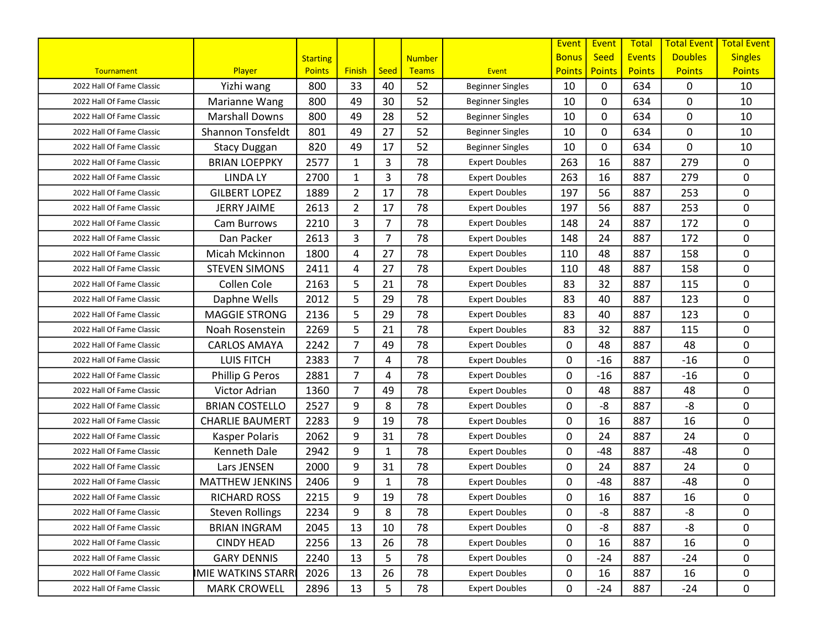|                           |                          |                 |                |                |               |                         | Event         | Event         | <b>Total</b>  | <b>Total Event</b> | <b>Total Event</b> |
|---------------------------|--------------------------|-----------------|----------------|----------------|---------------|-------------------------|---------------|---------------|---------------|--------------------|--------------------|
|                           |                          | <b>Starting</b> |                |                | <b>Number</b> |                         | <b>Bonus</b>  | <b>Seed</b>   | <b>Events</b> | <b>Doubles</b>     | <b>Singles</b>     |
| Tournament                | Player                   | <b>Points</b>   | <b>Finish</b>  | Seed           | <b>Teams</b>  | <b>Event</b>            | <b>Points</b> | <b>Points</b> | <b>Points</b> | <b>Points</b>      | <b>Points</b>      |
| 2022 Hall Of Fame Classic | Yizhi wang               | 800             | 33             | 40             | 52            | <b>Beginner Singles</b> | 10            | $\mathbf{0}$  | 634           | 0                  | 10                 |
| 2022 Hall Of Fame Classic | Marianne Wang            | 800             | 49             | 30             | 52            | <b>Beginner Singles</b> | 10            | 0             | 634           | 0                  | 10                 |
| 2022 Hall Of Fame Classic | <b>Marshall Downs</b>    | 800             | 49             | 28             | 52            | <b>Beginner Singles</b> | 10            | 0             | 634           | 0                  | 10                 |
| 2022 Hall Of Fame Classic | <b>Shannon Tonsfeldt</b> | 801             | 49             | 27             | 52            | <b>Beginner Singles</b> | 10            | 0             | 634           | 0                  | 10                 |
| 2022 Hall Of Fame Classic | <b>Stacy Duggan</b>      | 820             | 49             | 17             | 52            | <b>Beginner Singles</b> | 10            | 0             | 634           | 0                  | 10                 |
| 2022 Hall Of Fame Classic | <b>BRIAN LOEPPKY</b>     | 2577            | $\mathbf{1}$   | 3              | 78            | <b>Expert Doubles</b>   | 263           | 16            | 887           | 279                | 0                  |
| 2022 Hall Of Fame Classic | <b>LINDA LY</b>          | 2700            | $\mathbf{1}$   | 3              | 78            | <b>Expert Doubles</b>   | 263           | 16            | 887           | 279                | 0                  |
| 2022 Hall Of Fame Classic | <b>GILBERT LOPEZ</b>     | 1889            | $\overline{2}$ | 17             | 78            | <b>Expert Doubles</b>   | 197           | 56            | 887           | 253                | 0                  |
| 2022 Hall Of Fame Classic | <b>JERRY JAIME</b>       | 2613            | $\overline{2}$ | 17             | 78            | <b>Expert Doubles</b>   | 197           | 56            | 887           | 253                | 0                  |
| 2022 Hall Of Fame Classic | Cam Burrows              | 2210            | 3              | $\overline{7}$ | 78            | <b>Expert Doubles</b>   | 148           | 24            | 887           | 172                | 0                  |
| 2022 Hall Of Fame Classic | Dan Packer               | 2613            | 3              | $\overline{7}$ | 78            | <b>Expert Doubles</b>   | 148           | 24            | 887           | 172                | 0                  |
| 2022 Hall Of Fame Classic | Micah Mckinnon           | 1800            | 4              | 27             | 78            | <b>Expert Doubles</b>   | 110           | 48            | 887           | 158                | 0                  |
| 2022 Hall Of Fame Classic | <b>STEVEN SIMONS</b>     | 2411            | 4              | 27             | 78            | <b>Expert Doubles</b>   | 110           | 48            | 887           | 158                | 0                  |
| 2022 Hall Of Fame Classic | Collen Cole              | 2163            | 5              | 21             | 78            | <b>Expert Doubles</b>   | 83            | 32            | 887           | 115                | 0                  |
| 2022 Hall Of Fame Classic | Daphne Wells             | 2012            | 5              | 29             | 78            | <b>Expert Doubles</b>   | 83            | 40            | 887           | 123                | 0                  |
| 2022 Hall Of Fame Classic | <b>MAGGIE STRONG</b>     | 2136            | 5              | 29             | 78            | <b>Expert Doubles</b>   | 83            | 40            | 887           | 123                | 0                  |
| 2022 Hall Of Fame Classic | Noah Rosenstein          | 2269            | 5              | 21             | 78            | <b>Expert Doubles</b>   | 83            | 32            | 887           | 115                | 0                  |
| 2022 Hall Of Fame Classic | <b>CARLOS AMAYA</b>      | 2242            | $\overline{7}$ | 49             | 78            | <b>Expert Doubles</b>   | $\mathbf{0}$  | 48            | 887           | 48                 | 0                  |
| 2022 Hall Of Fame Classic | <b>LUIS FITCH</b>        | 2383            | $\overline{7}$ | 4              | 78            | <b>Expert Doubles</b>   | 0             | $-16$         | 887           | $-16$              | 0                  |
| 2022 Hall Of Fame Classic | Phillip G Peros          | 2881            | $\overline{7}$ | 4              | 78            | <b>Expert Doubles</b>   | 0             | $-16$         | 887           | $-16$              | 0                  |
| 2022 Hall Of Fame Classic | Victor Adrian            | 1360            | $\overline{7}$ | 49             | 78            | <b>Expert Doubles</b>   | $\mathbf{0}$  | 48            | 887           | 48                 | 0                  |
| 2022 Hall Of Fame Classic | <b>BRIAN COSTELLO</b>    | 2527            | 9              | 8              | 78            | <b>Expert Doubles</b>   | 0             | -8            | 887           | -8                 | $\mathbf 0$        |
| 2022 Hall Of Fame Classic | <b>CHARLIE BAUMERT</b>   | 2283            | 9              | 19             | 78            | <b>Expert Doubles</b>   | $\mathbf{0}$  | 16            | 887           | 16                 | 0                  |
| 2022 Hall Of Fame Classic | Kasper Polaris           | 2062            | 9              | 31             | 78            | <b>Expert Doubles</b>   | 0             | 24            | 887           | 24                 | 0                  |
| 2022 Hall Of Fame Classic | Kenneth Dale             | 2942            | 9              | $\mathbf{1}$   | 78            | <b>Expert Doubles</b>   | $\mathbf{0}$  | $-48$         | 887           | $-48$              | 0                  |
| 2022 Hall Of Fame Classic | Lars JENSEN              | 2000            | 9              | 31             | 78            | <b>Expert Doubles</b>   | 0             | 24            | 887           | 24                 | 0                  |
| 2022 Hall Of Fame Classic | <b>MATTHEW JENKINS</b>   | 2406            | 9              | 1              | 78            | <b>Expert Doubles</b>   | $\mathbf{0}$  | $-48$         | 887           | $-48$              | 0                  |
| 2022 Hall Of Fame Classic | <b>RICHARD ROSS</b>      | 2215            | 9              | 19             | 78            | <b>Expert Doubles</b>   | $\mathbf{0}$  | 16            | 887           | 16                 | 0                  |
| 2022 Hall Of Fame Classic | <b>Steven Rollings</b>   | 2234            | 9              | 8              | 78            | <b>Expert Doubles</b>   | 0             | -8            | 887           | -8                 | 0                  |
| 2022 Hall Of Fame Classic | <b>BRIAN INGRAM</b>      | 2045            | 13             | 10             | 78            | <b>Expert Doubles</b>   | 0             | -8            | 887           | $-8$               | 0                  |
| 2022 Hall Of Fame Classic | <b>CINDY HEAD</b>        | 2256            | 13             | 26             | 78            | <b>Expert Doubles</b>   | 0             | 16            | 887           | 16                 | 0                  |
| 2022 Hall Of Fame Classic | <b>GARY DENNIS</b>       | 2240            | 13             | 5              | 78            | <b>Expert Doubles</b>   | 0             | $-24$         | 887           | $-24$              | 0                  |
| 2022 Hall Of Fame Classic | <b>MIE WATKINS STARR</b> | 2026            | 13             | 26             | 78            | <b>Expert Doubles</b>   | 0             | 16            | 887           | 16                 | 0                  |
| 2022 Hall Of Fame Classic | <b>MARK CROWELL</b>      | 2896            | 13             | 5              | 78            | <b>Expert Doubles</b>   | 0             | $-24$         | 887           | $-24$              | $\mathbf 0$        |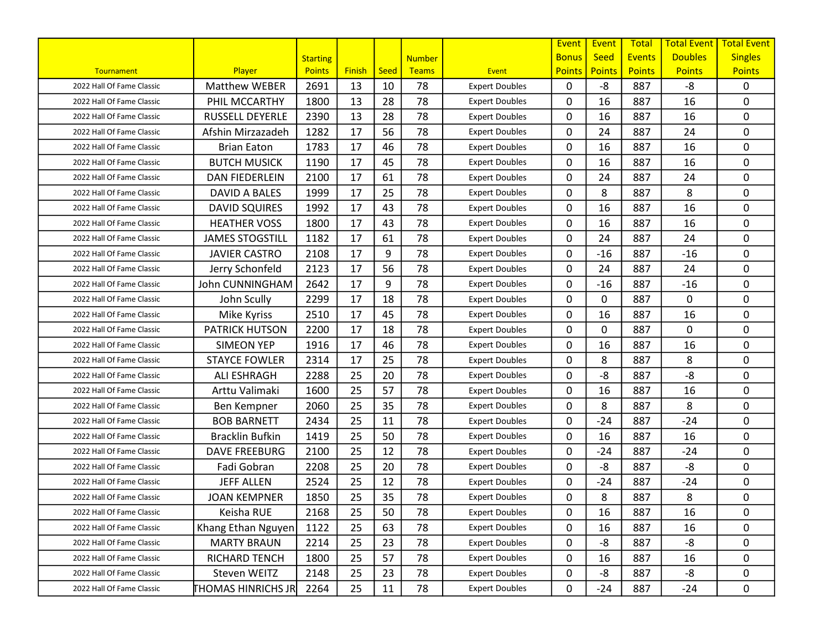|                           |                           |                 |               |      |               |                       | Event         | Event         | <b>Total</b>  | <b>Total Event</b> | <b>Total Event</b> |
|---------------------------|---------------------------|-----------------|---------------|------|---------------|-----------------------|---------------|---------------|---------------|--------------------|--------------------|
|                           |                           | <b>Starting</b> |               |      | <b>Number</b> |                       | <b>Bonus</b>  | <b>Seed</b>   | <b>Events</b> | <b>Doubles</b>     | <b>Singles</b>     |
| <b>Tournament</b>         | Player                    | <b>Points</b>   | <b>Finish</b> | Seed | <b>Teams</b>  | <b>Event</b>          | <b>Points</b> | <b>Points</b> | <b>Points</b> | <b>Points</b>      | <b>Points</b>      |
| 2022 Hall Of Fame Classic | <b>Matthew WEBER</b>      | 2691            | 13            | 10   | 78            | <b>Expert Doubles</b> | $\mathbf{0}$  | $-8$          | 887           | -8                 | 0                  |
| 2022 Hall Of Fame Classic | PHIL MCCARTHY             | 1800            | 13            | 28   | 78            | <b>Expert Doubles</b> | 0             | 16            | 887           | 16                 | $\mathbf 0$        |
| 2022 Hall Of Fame Classic | RUSSELL DEYERLE           | 2390            | 13            | 28   | 78            | <b>Expert Doubles</b> | 0             | 16            | 887           | 16                 | 0                  |
| 2022 Hall Of Fame Classic | Afshin Mirzazadeh         | 1282            | 17            | 56   | 78            | <b>Expert Doubles</b> | $\mathbf{0}$  | 24            | 887           | 24                 | 0                  |
| 2022 Hall Of Fame Classic | <b>Brian Eaton</b>        | 1783            | 17            | 46   | 78            | <b>Expert Doubles</b> | 0             | 16            | 887           | 16                 | 0                  |
| 2022 Hall Of Fame Classic | <b>BUTCH MUSICK</b>       | 1190            | 17            | 45   | 78            | <b>Expert Doubles</b> | 0             | 16            | 887           | 16                 | 0                  |
| 2022 Hall Of Fame Classic | <b>DAN FIEDERLEIN</b>     | 2100            | 17            | 61   | 78            | <b>Expert Doubles</b> | 0             | 24            | 887           | 24                 | $\mathbf 0$        |
| 2022 Hall Of Fame Classic | DAVID A BALES             | 1999            | 17            | 25   | 78            | <b>Expert Doubles</b> | 0             | 8             | 887           | 8                  | $\mathbf 0$        |
| 2022 Hall Of Fame Classic | <b>DAVID SQUIRES</b>      | 1992            | 17            | 43   | 78            | <b>Expert Doubles</b> | 0             | 16            | 887           | 16                 | 0                  |
| 2022 Hall Of Fame Classic | <b>HEATHER VOSS</b>       | 1800            | 17            | 43   | 78            | <b>Expert Doubles</b> | 0             | 16            | 887           | 16                 | 0                  |
| 2022 Hall Of Fame Classic | <b>JAMES STOGSTILL</b>    | 1182            | 17            | 61   | 78            | <b>Expert Doubles</b> | $\mathbf{0}$  | 24            | 887           | 24                 | 0                  |
| 2022 Hall Of Fame Classic | <b>JAVIER CASTRO</b>      | 2108            | 17            | 9    | 78            | <b>Expert Doubles</b> | 0             | $-16$         | 887           | $-16$              | 0                  |
| 2022 Hall Of Fame Classic | Jerry Schonfeld           | 2123            | 17            | 56   | 78            | <b>Expert Doubles</b> | 0             | 24            | 887           | 24                 | 0                  |
| 2022 Hall Of Fame Classic | <b>John CUNNINGHAM</b>    | 2642            | 17            | 9    | 78            | <b>Expert Doubles</b> | 0             | $-16$         | 887           | $-16$              | 0                  |
| 2022 Hall Of Fame Classic | John Scully               | 2299            | 17            | 18   | 78            | <b>Expert Doubles</b> | 0             | 0             | 887           | 0                  | $\mathbf 0$        |
| 2022 Hall Of Fame Classic | Mike Kyriss               | 2510            | 17            | 45   | 78            | <b>Expert Doubles</b> | 0             | 16            | 887           | 16                 | $\mathbf 0$        |
| 2022 Hall Of Fame Classic | <b>PATRICK HUTSON</b>     | 2200            | 17            | 18   | 78            | <b>Expert Doubles</b> | 0             | 0             | 887           | 0                  | $\mathbf 0$        |
| 2022 Hall Of Fame Classic | <b>SIMEON YEP</b>         | 1916            | 17            | 46   | 78            | <b>Expert Doubles</b> | $\mathbf{0}$  | 16            | 887           | 16                 | 0                  |
| 2022 Hall Of Fame Classic | <b>STAYCE FOWLER</b>      | 2314            | 17            | 25   | 78            | <b>Expert Doubles</b> | 0             | 8             | 887           | 8                  | 0                  |
| 2022 Hall Of Fame Classic | <b>ALI ESHRAGH</b>        | 2288            | 25            | 20   | 78            | <b>Expert Doubles</b> | 0             | $-8$          | 887           | -8                 | $\mathbf 0$        |
| 2022 Hall Of Fame Classic | Arttu Valimaki            | 1600            | 25            | 57   | 78            | <b>Expert Doubles</b> | 0             | 16            | 887           | 16                 | $\mathbf 0$        |
| 2022 Hall Of Fame Classic | Ben Kempner               | 2060            | 25            | 35   | 78            | <b>Expert Doubles</b> | 0             | 8             | 887           | 8                  | $\mathbf 0$        |
| 2022 Hall Of Fame Classic | <b>BOB BARNETT</b>        | 2434            | 25            | 11   | 78            | <b>Expert Doubles</b> | $\mathbf{0}$  | $-24$         | 887           | $-24$              | 0                  |
| 2022 Hall Of Fame Classic | <b>Bracklin Bufkin</b>    | 1419            | 25            | 50   | 78            | <b>Expert Doubles</b> | 0             | 16            | 887           | 16                 | 0                  |
| 2022 Hall Of Fame Classic | <b>DAVE FREEBURG</b>      | 2100            | 25            | 12   | 78            | <b>Expert Doubles</b> | 0             | $-24$         | 887           | $-24$              | 0                  |
| 2022 Hall Of Fame Classic | Fadi Gobran               | 2208            | 25            | 20   | 78            | <b>Expert Doubles</b> | 0             | -8            | 887           | -8                 | $\mathbf 0$        |
| 2022 Hall Of Fame Classic | <b>JEFF ALLEN</b>         | 2524            | 25            | 12   | 78            | <b>Expert Doubles</b> | 0             | $-24$         | 887           | $-24$              | 0                  |
| 2022 Hall Of Fame Classic | <b>JOAN KEMPNER</b>       | 1850            | 25            | 35   | 78            | <b>Expert Doubles</b> | 0             | 8             | 887           | 8                  | $\pmb{0}$          |
| 2022 Hall Of Fame Classic | Keisha RUE                | 2168            | 25            | 50   | 78            | <b>Expert Doubles</b> | 0             | 16            | 887           | 16                 | 0                  |
| 2022 Hall Of Fame Classic | Khang Ethan Nguyen        | 1122            | 25            | 63   | 78            | <b>Expert Doubles</b> | 0             | 16            | 887           | 16                 | 0                  |
| 2022 Hall Of Fame Classic | <b>MARTY BRAUN</b>        | 2214            | 25            | 23   | 78            | <b>Expert Doubles</b> | 0             | -8            | 887           | -8                 | 0                  |
| 2022 Hall Of Fame Classic | RICHARD TENCH             | 1800            | 25            | 57   | 78            | <b>Expert Doubles</b> | 0             | 16            | 887           | 16                 | 0                  |
| 2022 Hall Of Fame Classic | Steven WEITZ              | 2148            | 25            | 23   | 78            | <b>Expert Doubles</b> | 0             | -8            | 887           | -8                 | 0                  |
| 2022 Hall Of Fame Classic | <b>FHOMAS HINRICHS JR</b> | 2264            | 25            | 11   | 78            | <b>Expert Doubles</b> | 0             | $-24$         | 887           | $-24$              | 0                  |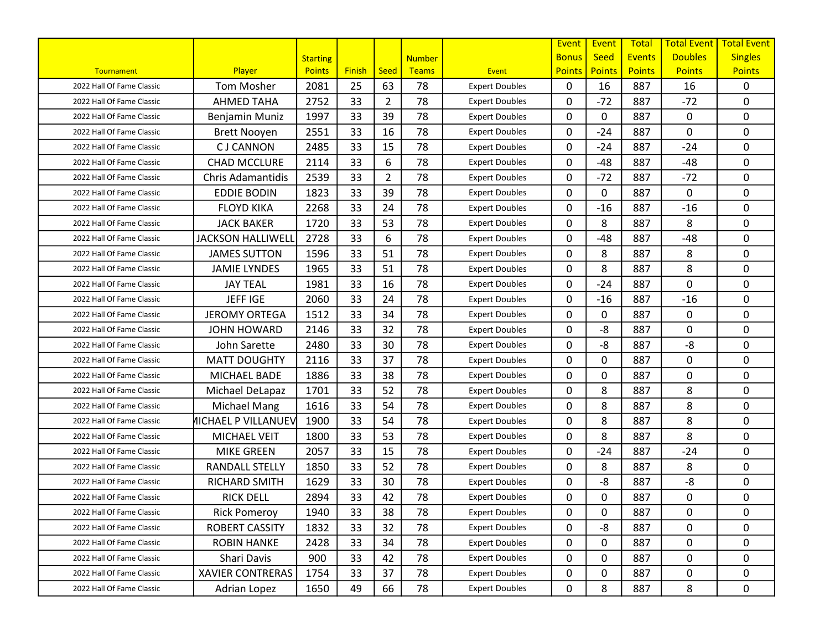|                           |                            |                 |               |                |               |                       | Event         | Event         | <b>Total</b>  | <b>Total Event</b> | <b>Total Event</b> |
|---------------------------|----------------------------|-----------------|---------------|----------------|---------------|-----------------------|---------------|---------------|---------------|--------------------|--------------------|
|                           |                            | <b>Starting</b> |               |                | <b>Number</b> |                       | <b>Bonus</b>  | <b>Seed</b>   | <b>Events</b> | <b>Doubles</b>     | <b>Singles</b>     |
| <b>Tournament</b>         | Player                     | <b>Points</b>   | <b>Finish</b> | Seed           | <b>Teams</b>  | <b>Event</b>          | <b>Points</b> | <b>Points</b> | <b>Points</b> | <b>Points</b>      | <b>Points</b>      |
| 2022 Hall Of Fame Classic | <b>Tom Mosher</b>          | 2081            | 25            | 63             | 78            | <b>Expert Doubles</b> | $\mathbf{0}$  | 16            | 887           | 16                 | $\mathbf 0$        |
| 2022 Hall Of Fame Classic | <b>AHMED TAHA</b>          | 2752            | 33            | $\overline{2}$ | 78            | <b>Expert Doubles</b> | 0             | $-72$         | 887           | $-72$              | $\mathbf 0$        |
| 2022 Hall Of Fame Classic | Benjamin Muniz             | 1997            | 33            | 39             | 78            | <b>Expert Doubles</b> | 0             | 0             | 887           | 0                  | $\mathbf 0$        |
| 2022 Hall Of Fame Classic | <b>Brett Nooyen</b>        | 2551            | 33            | 16             | 78            | <b>Expert Doubles</b> | $\mathbf{0}$  | $-24$         | 887           | 0                  | $\mathbf 0$        |
| 2022 Hall Of Fame Classic | <b>CJ CANNON</b>           | 2485            | 33            | 15             | 78            | <b>Expert Doubles</b> | 0             | $-24$         | 887           | $-24$              | 0                  |
| 2022 Hall Of Fame Classic | <b>CHAD MCCLURE</b>        | 2114            | 33            | 6              | 78            | <b>Expert Doubles</b> | 0             | $-48$         | 887           | $-48$              | 0                  |
| 2022 Hall Of Fame Classic | <b>Chris Adamantidis</b>   | 2539            | 33            | $\overline{2}$ | 78            | <b>Expert Doubles</b> | 0             | $-72$         | 887           | $-72$              | 0                  |
| 2022 Hall Of Fame Classic | <b>EDDIE BODIN</b>         | 1823            | 33            | 39             | 78            | <b>Expert Doubles</b> | 0             | 0             | 887           | 0                  | 0                  |
| 2022 Hall Of Fame Classic | <b>FLOYD KIKA</b>          | 2268            | 33            | 24             | 78            | <b>Expert Doubles</b> | 0             | $-16$         | 887           | $-16$              | 0                  |
| 2022 Hall Of Fame Classic | <b>JACK BAKER</b>          | 1720            | 33            | 53             | 78            | <b>Expert Doubles</b> | 0             | 8             | 887           | 8                  | $\mathbf 0$        |
| 2022 Hall Of Fame Classic | <b>JACKSON HALLIWELL</b>   | 2728            | 33            | 6              | 78            | <b>Expert Doubles</b> | $\mathbf{0}$  | $-48$         | 887           | $-48$              | 0                  |
| 2022 Hall Of Fame Classic | <b>JAMES SUTTON</b>        | 1596            | 33            | 51             | 78            | <b>Expert Doubles</b> | 0             | 8             | 887           | 8                  | $\mathbf 0$        |
| 2022 Hall Of Fame Classic | <b>JAMIE LYNDES</b>        | 1965            | 33            | 51             | 78            | <b>Expert Doubles</b> | 0             | 8             | 887           | 8                  | 0                  |
| 2022 Hall Of Fame Classic | <b>JAY TEAL</b>            | 1981            | 33            | 16             | 78            | <b>Expert Doubles</b> | 0             | $-24$         | 887           | 0                  | $\mathbf 0$        |
| 2022 Hall Of Fame Classic | <b>JEFFIGE</b>             | 2060            | 33            | 24             | 78            | <b>Expert Doubles</b> | 0             | $-16$         | 887           | $-16$              | 0                  |
| 2022 Hall Of Fame Classic | <b>JEROMY ORTEGA</b>       | 1512            | 33            | 34             | 78            | <b>Expert Doubles</b> | 0             | 0             | 887           | 0                  | $\pmb{0}$          |
| 2022 Hall Of Fame Classic | <b>JOHN HOWARD</b>         | 2146            | 33            | 32             | 78            | <b>Expert Doubles</b> | 0             | $-8$          | 887           | 0                  | $\mathbf 0$        |
| 2022 Hall Of Fame Classic | John Sarette               | 2480            | 33            | 30             | 78            | <b>Expert Doubles</b> | $\mathbf{0}$  | -8            | 887           | -8                 | 0                  |
| 2022 Hall Of Fame Classic | <b>MATT DOUGHTY</b>        | 2116            | 33            | 37             | 78            | <b>Expert Doubles</b> | 0             | 0             | 887           | 0                  | 0                  |
| 2022 Hall Of Fame Classic | MICHAEL BADE               | 1886            | 33            | 38             | 78            | <b>Expert Doubles</b> | 0             | 0             | 887           | 0                  | $\mathbf 0$        |
| 2022 Hall Of Fame Classic | Michael DeLapaz            | 1701            | 33            | 52             | 78            | <b>Expert Doubles</b> | 0             | 8             | 887           | 8                  | $\mathbf 0$        |
| 2022 Hall Of Fame Classic | Michael Mang               | 1616            | 33            | 54             | 78            | <b>Expert Doubles</b> | 0             | 8             | 887           | 8                  | $\mathbf 0$        |
| 2022 Hall Of Fame Classic | <b>MICHAEL P VILLANUEV</b> | 1900            | 33            | 54             | 78            | <b>Expert Doubles</b> | $\mathbf{0}$  | 8             | 887           | 8                  | $\mathbf 0$        |
| 2022 Hall Of Fame Classic | MICHAEL VEIT               | 1800            | 33            | 53             | 78            | <b>Expert Doubles</b> | 0             | 8             | 887           | 8                  | 0                  |
| 2022 Hall Of Fame Classic | <b>MIKE GREEN</b>          | 2057            | 33            | 15             | 78            | <b>Expert Doubles</b> | 0             | $-24$         | 887           | $-24$              | 0                  |
| 2022 Hall Of Fame Classic | <b>RANDALL STELLY</b>      | 1850            | 33            | 52             | 78            | <b>Expert Doubles</b> | 0             | 8             | 887           | 8                  | $\mathbf 0$        |
| 2022 Hall Of Fame Classic | RICHARD SMITH              | 1629            | 33            | 30             | 78            | <b>Expert Doubles</b> | 0             | -8            | 887           | -8                 | $\mathbf 0$        |
| 2022 Hall Of Fame Classic | <b>RICK DELL</b>           | 2894            | 33            | 42             | 78            | <b>Expert Doubles</b> | 0             | 0             | 887           | 0                  | $\pmb{0}$          |
| 2022 Hall Of Fame Classic | <b>Rick Pomeroy</b>        | 1940            | 33            | 38             | 78            | <b>Expert Doubles</b> | 0             | 0             | 887           | 0                  | 0                  |
| 2022 Hall Of Fame Classic | ROBERT CASSITY             | 1832            | 33            | 32             | 78            | <b>Expert Doubles</b> | 0             | -8            | 887           | 0                  | 0                  |
| 2022 Hall Of Fame Classic | <b>ROBIN HANKE</b>         | 2428            | 33            | 34             | 78            | <b>Expert Doubles</b> | 0             | 0             | 887           | 0                  | 0                  |
| 2022 Hall Of Fame Classic | Shari Davis                | 900             | 33            | 42             | 78            | <b>Expert Doubles</b> | 0             | 0             | 887           | 0                  | 0                  |
| 2022 Hall Of Fame Classic | <b>XAVIER CONTRERAS</b>    | 1754            | 33            | 37             | 78            | <b>Expert Doubles</b> | 0             | 0             | 887           | 0                  | 0                  |
| 2022 Hall Of Fame Classic | Adrian Lopez               | 1650            | 49            | 66             | 78            | <b>Expert Doubles</b> | 0             | 8             | 887           | 8                  | $\mathbf 0$        |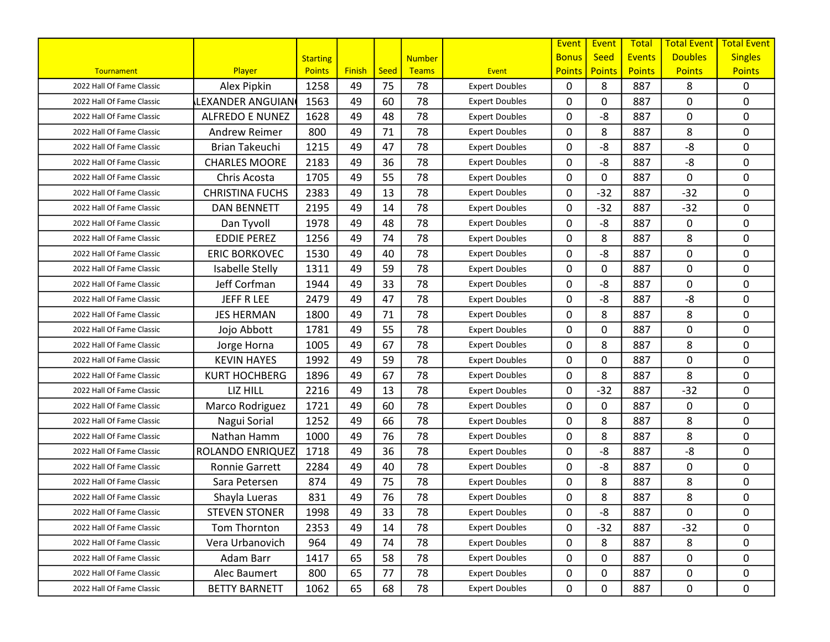|                           |                        |                 |               |             |               |                       | Event         | Event         | <b>Total</b>  | <b>Total Event</b> | <b>Total Event</b> |
|---------------------------|------------------------|-----------------|---------------|-------------|---------------|-----------------------|---------------|---------------|---------------|--------------------|--------------------|
|                           |                        | <b>Starting</b> |               |             | <b>Number</b> |                       | <b>Bonus</b>  | <b>Seed</b>   | <b>Events</b> | <b>Doubles</b>     | <b>Singles</b>     |
| Tournament                | Player                 | <b>Points</b>   | <b>Finish</b> | <b>Seed</b> | Teams         | Event                 | <b>Points</b> | <b>Points</b> | <b>Points</b> | <b>Points</b>      | <b>Points</b>      |
| 2022 Hall Of Fame Classic | Alex Pipkin            | 1258            | 49            | 75          | 78            | <b>Expert Doubles</b> | $\mathbf{0}$  | 8             | 887           | 8                  | 0                  |
| 2022 Hall Of Fame Classic | LEXANDER ANGUIAN       | 1563            | 49            | 60          | 78            | <b>Expert Doubles</b> | 0             | 0             | 887           | 0                  | $\mathbf 0$        |
| 2022 Hall Of Fame Classic | <b>ALFREDO E NUNEZ</b> | 1628            | 49            | 48          | 78            | <b>Expert Doubles</b> | 0             | -8            | 887           | 0                  | $\mathbf 0$        |
| 2022 Hall Of Fame Classic | <b>Andrew Reimer</b>   | 800             | 49            | 71          | 78            | <b>Expert Doubles</b> | $\mathbf{0}$  | 8             | 887           | 8                  | $\mathbf 0$        |
| 2022 Hall Of Fame Classic | <b>Brian Takeuchi</b>  | 1215            | 49            | 47          | 78            | <b>Expert Doubles</b> | 0             | -8            | 887           | $-8$               | 0                  |
| 2022 Hall Of Fame Classic | <b>CHARLES MOORE</b>   | 2183            | 49            | 36          | 78            | <b>Expert Doubles</b> | 0             | -8            | 887           | $-8$               | 0                  |
| 2022 Hall Of Fame Classic | Chris Acosta           | 1705            | 49            | 55          | 78            | <b>Expert Doubles</b> | 0             | 0             | 887           | 0                  | $\mathbf 0$        |
| 2022 Hall Of Fame Classic | <b>CHRISTINA FUCHS</b> | 2383            | 49            | 13          | 78            | <b>Expert Doubles</b> | $\mathbf{0}$  | $-32$         | 887           | $-32$              | 0                  |
| 2022 Hall Of Fame Classic | <b>DAN BENNETT</b>     | 2195            | 49            | 14          | 78            | <b>Expert Doubles</b> | 0             | $-32$         | 887           | $-32$              | 0                  |
| 2022 Hall Of Fame Classic | Dan Tyvoll             | 1978            | 49            | 48          | 78            | <b>Expert Doubles</b> | $\mathbf{0}$  | -8            | 887           | 0                  | $\mathbf 0$        |
| 2022 Hall Of Fame Classic | <b>EDDIE PEREZ</b>     | 1256            | 49            | 74          | 78            | <b>Expert Doubles</b> | $\mathbf{0}$  | 8             | 887           | 8                  | 0                  |
| 2022 Hall Of Fame Classic | <b>ERIC BORKOVEC</b>   | 1530            | 49            | 40          | 78            | <b>Expert Doubles</b> | 0             | -8            | 887           | 0                  | 0                  |
| 2022 Hall Of Fame Classic | Isabelle Stelly        | 1311            | 49            | 59          | 78            | <b>Expert Doubles</b> | 0             | 0             | 887           | 0                  | 0                  |
| 2022 Hall Of Fame Classic | Jeff Corfman           | 1944            | 49            | 33          | 78            | <b>Expert Doubles</b> | 0             | -8            | 887           | 0                  | $\mathbf 0$        |
| 2022 Hall Of Fame Classic | JEFF R LEE             | 2479            | 49            | 47          | 78            | <b>Expert Doubles</b> | 0             | -8            | 887           | $-8$               | $\mathbf 0$        |
| 2022 Hall Of Fame Classic | <b>JES HERMAN</b>      | 1800            | 49            | 71          | 78            | <b>Expert Doubles</b> | 0             | 8             | 887           | 8                  | $\pmb{0}$          |
| 2022 Hall Of Fame Classic | Jojo Abbott            | 1781            | 49            | 55          | 78            | <b>Expert Doubles</b> | 0             | 0             | 887           | 0                  | $\mathbf 0$        |
| 2022 Hall Of Fame Classic | Jorge Horna            | 1005            | 49            | 67          | 78            | <b>Expert Doubles</b> | 0             | 8             | 887           | 8                  | $\mathbf 0$        |
| 2022 Hall Of Fame Classic | <b>KEVIN HAYES</b>     | 1992            | 49            | 59          | 78            | <b>Expert Doubles</b> | 0             | 0             | 887           | 0                  | 0                  |
| 2022 Hall Of Fame Classic | <b>KURT HOCHBERG</b>   | 1896            | 49            | 67          | 78            | <b>Expert Doubles</b> | 0             | 8             | 887           | 8                  | $\mathbf 0$        |
| 2022 Hall Of Fame Classic | LIZ HILL               | 2216            | 49            | 13          | 78            | <b>Expert Doubles</b> | 0             | $-32$         | 887           | $-32$              | 0                  |
| 2022 Hall Of Fame Classic | Marco Rodriguez        | 1721            | 49            | 60          | 78            | <b>Expert Doubles</b> | $\mathbf{0}$  | 0             | 887           | 0                  | $\mathbf 0$        |
| 2022 Hall Of Fame Classic | Nagui Sorial           | 1252            | 49            | 66          | 78            | <b>Expert Doubles</b> | $\mathbf{0}$  | 8             | 887           | 8                  | 0                  |
| 2022 Hall Of Fame Classic | Nathan Hamm            | 1000            | 49            | 76          | 78            | <b>Expert Doubles</b> | 0             | 8             | 887           | 8                  | 0                  |
| 2022 Hall Of Fame Classic | ROLANDO ENRIQUEZ       | 1718            | 49            | 36          | 78            | <b>Expert Doubles</b> | 0             | -8            | 887           | -8                 | $\mathbf 0$        |
| 2022 Hall Of Fame Classic | <b>Ronnie Garrett</b>  | 2284            | 49            | 40          | 78            | <b>Expert Doubles</b> | 0             | -8            | 887           | 0                  | $\mathbf 0$        |
| 2022 Hall Of Fame Classic | Sara Petersen          | 874             | 49            | 75          | 78            | <b>Expert Doubles</b> | 0             | 8             | 887           | 8                  | $\mathbf 0$        |
| 2022 Hall Of Fame Classic | Shayla Lueras          | 831             | 49            | 76          | 78            | <b>Expert Doubles</b> | 0             | 8             | 887           | 8                  | 0                  |
| 2022 Hall Of Fame Classic | <b>STEVEN STONER</b>   | 1998            | 49            | 33          | 78            | <b>Expert Doubles</b> | 0             | -8            | 887           | 0                  | 0                  |
| 2022 Hall Of Fame Classic | Tom Thornton           | 2353            | 49            | 14          | 78            | <b>Expert Doubles</b> | 0             | $-32$         | 887           | $-32$              | 0                  |
| 2022 Hall Of Fame Classic | Vera Urbanovich        | 964             | 49            | 74          | 78            | <b>Expert Doubles</b> | 0             | 8             | 887           | 8                  | 0                  |
| 2022 Hall Of Fame Classic | Adam Barr              | 1417            | 65            | 58          | 78            | <b>Expert Doubles</b> | 0             | 0             | 887           | 0                  | 0                  |
| 2022 Hall Of Fame Classic | Alec Baumert           | 800             | 65            | 77          | 78            | <b>Expert Doubles</b> | 0             | 0             | 887           | 0                  | $\mathbf 0$        |
| 2022 Hall Of Fame Classic | <b>BETTY BARNETT</b>   | 1062            | 65            | 68          | 78            | <b>Expert Doubles</b> | 0             | 0             | 887           | 0                  | $\mathbf 0$        |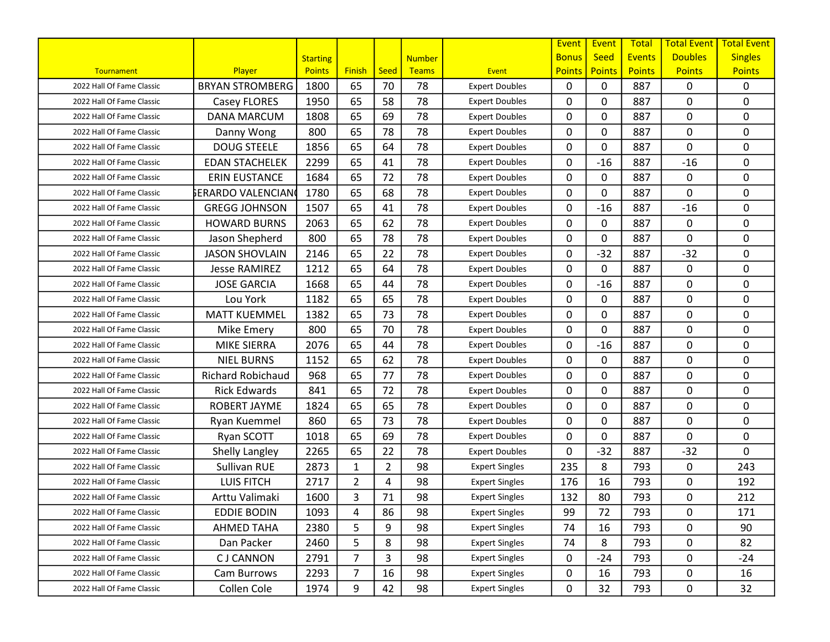|                           |                          |                 |                |                |               |                       | Event         | Event         | <b>Total</b>  | <b>Total Event</b> | <b>Total Event</b> |
|---------------------------|--------------------------|-----------------|----------------|----------------|---------------|-----------------------|---------------|---------------|---------------|--------------------|--------------------|
|                           |                          | <b>Starting</b> |                |                | <b>Number</b> |                       | <b>Bonus</b>  | <b>Seed</b>   | <b>Events</b> | <b>Doubles</b>     | <b>Singles</b>     |
| Tournament                | Player                   | <b>Points</b>   | <b>Finish</b>  | Seed           | <b>Teams</b>  | <b>Event</b>          | <b>Points</b> | <b>Points</b> | <b>Points</b> | <b>Points</b>      | <b>Points</b>      |
| 2022 Hall Of Fame Classic | <b>BRYAN STROMBERG</b>   | 1800            | 65             | 70             | 78            | <b>Expert Doubles</b> | $\mathbf{0}$  | 0             | 887           | 0                  | $\mathbf{0}$       |
| 2022 Hall Of Fame Classic | Casey FLORES             | 1950            | 65             | 58             | 78            | <b>Expert Doubles</b> | $\mathbf{0}$  | 0             | 887           | 0                  | $\mathbf 0$        |
| 2022 Hall Of Fame Classic | <b>DANA MARCUM</b>       | 1808            | 65             | 69             | 78            | <b>Expert Doubles</b> | $\mathbf{0}$  | 0             | 887           | 0                  | $\mathbf 0$        |
| 2022 Hall Of Fame Classic | Danny Wong               | 800             | 65             | 78             | 78            | <b>Expert Doubles</b> | $\mathbf{0}$  | 0             | 887           | 0                  | $\mathbf 0$        |
| 2022 Hall Of Fame Classic | <b>DOUG STEELE</b>       | 1856            | 65             | 64             | 78            | <b>Expert Doubles</b> | $\mathbf{0}$  | 0             | 887           | 0                  | 0                  |
| 2022 Hall Of Fame Classic | <b>EDAN STACHELEK</b>    | 2299            | 65             | 41             | 78            | <b>Expert Doubles</b> | $\mathbf{0}$  | $-16$         | 887           | $-16$              | 0                  |
| 2022 Hall Of Fame Classic | <b>ERIN EUSTANCE</b>     | 1684            | 65             | 72             | 78            | <b>Expert Doubles</b> | $\mathbf{0}$  | 0             | 887           | 0                  | $\mathbf 0$        |
| 2022 Hall Of Fame Classic | ኔERARDO VALENCIAN(       | 1780            | 65             | 68             | 78            | <b>Expert Doubles</b> | $\mathbf{0}$  | 0             | 887           | 0                  | 0                  |
| 2022 Hall Of Fame Classic | <b>GREGG JOHNSON</b>     | 1507            | 65             | 41             | 78            | <b>Expert Doubles</b> | 0             | $-16$         | 887           | $-16$              | 0                  |
| 2022 Hall Of Fame Classic | <b>HOWARD BURNS</b>      | 2063            | 65             | 62             | 78            | <b>Expert Doubles</b> | $\mathbf{0}$  | 0             | 887           | 0                  | $\mathbf 0$        |
| 2022 Hall Of Fame Classic | Jason Shepherd           | 800             | 65             | 78             | 78            | <b>Expert Doubles</b> | $\mathbf{0}$  | 0             | 887           | 0                  | $\mathbf 0$        |
| 2022 Hall Of Fame Classic | <b>JASON SHOVLAIN</b>    | 2146            | 65             | 22             | 78            | <b>Expert Doubles</b> | 0             | $-32$         | 887           | $-32$              | 0                  |
| 2022 Hall Of Fame Classic | <b>Jesse RAMIREZ</b>     | 1212            | 65             | 64             | 78            | <b>Expert Doubles</b> | $\mathbf{0}$  | 0             | 887           | 0                  | 0                  |
| 2022 Hall Of Fame Classic | <b>JOSE GARCIA</b>       | 1668            | 65             | 44             | 78            | <b>Expert Doubles</b> | $\mathbf{0}$  | $-16$         | 887           | 0                  | $\mathbf 0$        |
| 2022 Hall Of Fame Classic | Lou York                 | 1182            | 65             | 65             | 78            | <b>Expert Doubles</b> | $\mathbf{0}$  | 0             | 887           | 0                  | $\mathbf 0$        |
| 2022 Hall Of Fame Classic | <b>MATT KUEMMEL</b>      | 1382            | 65             | 73             | 78            | <b>Expert Doubles</b> | 0             | 0             | 887           | 0                  | $\pmb{0}$          |
| 2022 Hall Of Fame Classic | Mike Emery               | 800             | 65             | 70             | 78            | <b>Expert Doubles</b> | $\mathbf{0}$  | 0             | 887           | 0                  | $\mathbf 0$        |
| 2022 Hall Of Fame Classic | <b>MIKE SIERRA</b>       | 2076            | 65             | 44             | 78            | <b>Expert Doubles</b> | $\mathbf{0}$  | $-16$         | 887           | 0                  | 0                  |
| 2022 Hall Of Fame Classic | <b>NIEL BURNS</b>        | 1152            | 65             | 62             | 78            | <b>Expert Doubles</b> | 0             | 0             | 887           | 0                  | 0                  |
| 2022 Hall Of Fame Classic | <b>Richard Robichaud</b> | 968             | 65             | 77             | 78            | <b>Expert Doubles</b> | $\mathbf{0}$  | 0             | 887           | 0                  | $\mathbf 0$        |
| 2022 Hall Of Fame Classic | <b>Rick Edwards</b>      | 841             | 65             | 72             | 78            | <b>Expert Doubles</b> | $\mathbf{0}$  | 0             | 887           | 0                  | $\pmb{0}$          |
| 2022 Hall Of Fame Classic | ROBERT JAYME             | 1824            | 65             | 65             | 78            | <b>Expert Doubles</b> | $\mathbf{0}$  | 0             | 887           | 0                  | $\mathbf 0$        |
| 2022 Hall Of Fame Classic | Ryan Kuemmel             | 860             | 65             | 73             | 78            | <b>Expert Doubles</b> | $\mathbf{0}$  | 0             | 887           | 0                  | 0                  |
| 2022 Hall Of Fame Classic | Ryan SCOTT               | 1018            | 65             | 69             | 78            | <b>Expert Doubles</b> | $\mathbf{0}$  | 0             | 887           | 0                  | 0                  |
| 2022 Hall Of Fame Classic | Shelly Langley           | 2265            | 65             | 22             | 78            | <b>Expert Doubles</b> | $\mathbf{0}$  | $-32$         | 887           | $-32$              | 0                  |
| 2022 Hall Of Fame Classic | Sullivan RUE             | 2873            | $\mathbf{1}$   | $\overline{2}$ | 98            | <b>Expert Singles</b> | 235           | 8             | 793           | 0                  | 243                |
| 2022 Hall Of Fame Classic | <b>LUIS FITCH</b>        | 2717            | $\overline{2}$ | 4              | 98            | <b>Expert Singles</b> | 176           | 16            | 793           | 0                  | 192                |
| 2022 Hall Of Fame Classic | Arttu Valimaki           | 1600            | 3              | 71             | 98            | <b>Expert Singles</b> | 132           | 80            | 793           | 0                  | 212                |
| 2022 Hall Of Fame Classic | <b>EDDIE BODIN</b>       | 1093            | 4              | 86             | 98            | <b>Expert Singles</b> | 99            | 72            | 793           | 0                  | 171                |
| 2022 Hall Of Fame Classic | AHMED TAHA               | 2380            | 5              | 9              | 98            | <b>Expert Singles</b> | 74            | 16            | 793           | 0                  | 90                 |
| 2022 Hall Of Fame Classic | Dan Packer               | 2460            | 5              | 8              | 98            | <b>Expert Singles</b> | 74            | 8             | 793           | 0                  | 82                 |
| 2022 Hall Of Fame Classic | <b>CJ CANNON</b>         | 2791            | $\overline{7}$ | 3              | 98            | <b>Expert Singles</b> | 0             | $-24$         | 793           | 0                  | $-24$              |
| 2022 Hall Of Fame Classic | Cam Burrows              | 2293            | $\overline{7}$ | 16             | 98            | <b>Expert Singles</b> | 0             | 16            | 793           | 0                  | 16                 |
| 2022 Hall Of Fame Classic | Collen Cole              | 1974            | 9              | 42             | 98            | <b>Expert Singles</b> | 0             | 32            | 793           | 0                  | 32                 |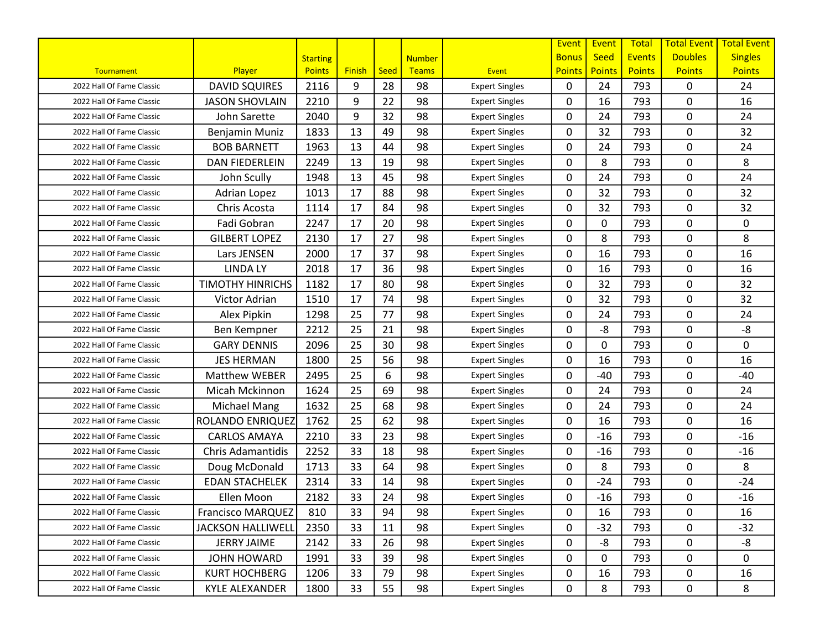|                           |                          |                 |               |      |               |                       | Event         | Event         | <b>Total</b>  | <b>Total Event</b> | <b>Total Event</b> |
|---------------------------|--------------------------|-----------------|---------------|------|---------------|-----------------------|---------------|---------------|---------------|--------------------|--------------------|
|                           |                          | <b>Starting</b> |               |      | <b>Number</b> |                       | <b>Bonus</b>  | Seed          | <b>Events</b> | <b>Doubles</b>     | <b>Singles</b>     |
| Tournament                | Player                   | <b>Points</b>   | <b>Finish</b> | Seed | <b>Teams</b>  | Event                 | <b>Points</b> | <b>Points</b> | <b>Points</b> | <b>Points</b>      | <b>Points</b>      |
| 2022 Hall Of Fame Classic | <b>DAVID SQUIRES</b>     | 2116            | 9             | 28   | 98            | <b>Expert Singles</b> | 0             | 24            | 793           | 0                  | 24                 |
| 2022 Hall Of Fame Classic | <b>JASON SHOVLAIN</b>    | 2210            | 9             | 22   | 98            | <b>Expert Singles</b> | 0             | 16            | 793           | 0                  | 16                 |
| 2022 Hall Of Fame Classic | John Sarette             | 2040            | 9             | 32   | 98            | <b>Expert Singles</b> | 0             | 24            | 793           | 0                  | 24                 |
| 2022 Hall Of Fame Classic | Benjamin Muniz           | 1833            | 13            | 49   | 98            | <b>Expert Singles</b> | $\mathbf{0}$  | 32            | 793           | 0                  | 32                 |
| 2022 Hall Of Fame Classic | <b>BOB BARNETT</b>       | 1963            | 13            | 44   | 98            | <b>Expert Singles</b> | 0             | 24            | 793           | 0                  | 24                 |
| 2022 Hall Of Fame Classic | DAN FIEDERLEIN           | 2249            | 13            | 19   | 98            | <b>Expert Singles</b> | 0             | 8             | 793           | 0                  | 8                  |
| 2022 Hall Of Fame Classic | John Scully              | 1948            | 13            | 45   | 98            | <b>Expert Singles</b> | 0             | 24            | 793           | 0                  | 24                 |
| 2022 Hall Of Fame Classic | Adrian Lopez             | 1013            | 17            | 88   | 98            | <b>Expert Singles</b> | 0             | 32            | 793           | 0                  | 32                 |
| 2022 Hall Of Fame Classic | Chris Acosta             | 1114            | 17            | 84   | 98            | <b>Expert Singles</b> | $\mathbf{0}$  | 32            | 793           | 0                  | 32                 |
| 2022 Hall Of Fame Classic | Fadi Gobran              | 2247            | 17            | 20   | 98            | <b>Expert Singles</b> | $\mathbf{0}$  | 0             | 793           | 0                  | 0                  |
| 2022 Hall Of Fame Classic | <b>GILBERT LOPEZ</b>     | 2130            | 17            | 27   | 98            | <b>Expert Singles</b> | 0             | 8             | 793           | 0                  | 8                  |
| 2022 Hall Of Fame Classic | Lars JENSEN              | 2000            | 17            | 37   | 98            | <b>Expert Singles</b> | 0             | 16            | 793           | 0                  | 16                 |
| 2022 Hall Of Fame Classic | <b>LINDA LY</b>          | 2018            | 17            | 36   | 98            | <b>Expert Singles</b> | 0             | 16            | 793           | 0                  | 16                 |
| 2022 Hall Of Fame Classic | <b>TIMOTHY HINRICHS</b>  | 1182            | 17            | 80   | 98            | <b>Expert Singles</b> | $\mathbf{0}$  | 32            | 793           | 0                  | 32                 |
| 2022 Hall Of Fame Classic | Victor Adrian            | 1510            | 17            | 74   | 98            | <b>Expert Singles</b> | 0             | 32            | 793           | 0                  | 32                 |
| 2022 Hall Of Fame Classic | Alex Pipkin              | 1298            | 25            | 77   | 98            | <b>Expert Singles</b> | 0             | 24            | 793           | 0                  | 24                 |
| 2022 Hall Of Fame Classic | Ben Kempner              | 2212            | 25            | 21   | 98            | <b>Expert Singles</b> | 0             | -8            | 793           | 0                  | -8                 |
| 2022 Hall Of Fame Classic | <b>GARY DENNIS</b>       | 2096            | 25            | 30   | 98            | <b>Expert Singles</b> | $\mathbf{0}$  | $\mathbf 0$   | 793           | 0                  | 0                  |
| 2022 Hall Of Fame Classic | <b>JES HERMAN</b>        | 1800            | 25            | 56   | 98            | <b>Expert Singles</b> | 0             | 16            | 793           | 0                  | 16                 |
| 2022 Hall Of Fame Classic | <b>Matthew WEBER</b>     | 2495            | 25            | 6    | 98            | <b>Expert Singles</b> | $\mathbf{0}$  | $-40$         | 793           | 0                  | $-40$              |
| 2022 Hall Of Fame Classic | Micah Mckinnon           | 1624            | 25            | 69   | 98            | <b>Expert Singles</b> | 0             | 24            | 793           | 0                  | 24                 |
| 2022 Hall Of Fame Classic | <b>Michael Mang</b>      | 1632            | 25            | 68   | 98            | <b>Expert Singles</b> | 0             | 24            | 793           | 0                  | 24                 |
| 2022 Hall Of Fame Classic | ROLANDO ENRIQUEZ         | 1762            | 25            | 62   | 98            | <b>Expert Singles</b> | $\mathbf{0}$  | 16            | 793           | 0                  | 16                 |
| 2022 Hall Of Fame Classic | <b>CARLOS AMAYA</b>      | 2210            | 33            | 23   | 98            | <b>Expert Singles</b> | 0             | $-16$         | 793           | 0                  | $-16$              |
| 2022 Hall Of Fame Classic | <b>Chris Adamantidis</b> | 2252            | 33            | 18   | 98            | <b>Expert Singles</b> | 0             | $-16$         | 793           | 0                  | $-16$              |
| 2022 Hall Of Fame Classic | Doug McDonald            | 1713            | 33            | 64   | 98            | <b>Expert Singles</b> | 0             | 8             | 793           | 0                  | 8                  |
| 2022 Hall Of Fame Classic | <b>EDAN STACHELEK</b>    | 2314            | 33            | 14   | 98            | <b>Expert Singles</b> | 0             | $-24$         | 793           | 0                  | $-24$              |
| 2022 Hall Of Fame Classic | Ellen Moon               | 2182            | 33            | 24   | 98            | <b>Expert Singles</b> | 0             | $-16$         | 793           | 0                  | $-16$              |
| 2022 Hall Of Fame Classic | <b>Francisco MARQUEZ</b> | 810             | 33            | 94   | 98            | <b>Expert Singles</b> | 0             | 16            | 793           | 0                  | 16                 |
| 2022 Hall Of Fame Classic | <b>JACKSON HALLIWELL</b> | 2350            | 33            | 11   | 98            | <b>Expert Singles</b> | 0             | $-32$         | 793           | 0                  | $-32$              |
| 2022 Hall Of Fame Classic | <b>JERRY JAIME</b>       | 2142            | 33            | 26   | 98            | <b>Expert Singles</b> | 0             | -8            | 793           | 0                  | -8                 |
| 2022 Hall Of Fame Classic | <b>JOHN HOWARD</b>       | 1991            | 33            | 39   | 98            | <b>Expert Singles</b> | 0             | 0             | 793           | 0                  | 0                  |
| 2022 Hall Of Fame Classic | <b>KURT HOCHBERG</b>     | 1206            | 33            | 79   | 98            | <b>Expert Singles</b> | 0             | 16            | 793           | 0                  | 16                 |
| 2022 Hall Of Fame Classic | <b>KYLE ALEXANDER</b>    | 1800            | 33            | 55   | 98            | <b>Expert Singles</b> | 0             | 8             | 793           | $\mathsf{O}$       | 8                  |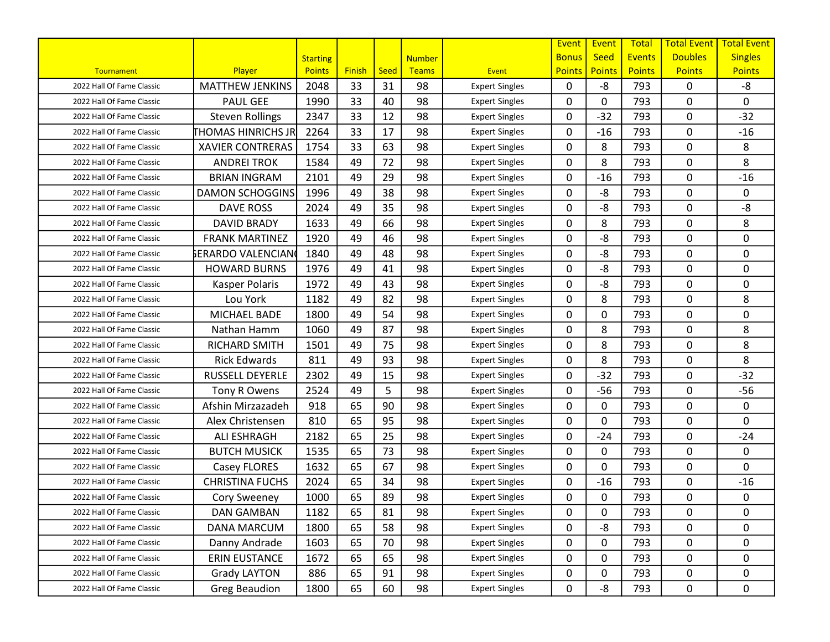|                           |                          |                 |               |      |               |                       | Event         | Event         | <b>Total</b>  | <b>Total Event</b> | <b>Total Event</b> |
|---------------------------|--------------------------|-----------------|---------------|------|---------------|-----------------------|---------------|---------------|---------------|--------------------|--------------------|
|                           |                          | <b>Starting</b> |               |      | <b>Number</b> |                       | <b>Bonus</b>  | <b>Seed</b>   | <b>Events</b> | <b>Doubles</b>     | <b>Singles</b>     |
| Tournament                | Player                   | <b>Points</b>   | <b>Finish</b> | Seed | <b>Teams</b>  | Event                 | <b>Points</b> | <b>Points</b> | <b>Points</b> | <b>Points</b>      | <b>Points</b>      |
| 2022 Hall Of Fame Classic | <b>MATTHEW JENKINS</b>   | 2048            | 33            | 31   | 98            | <b>Expert Singles</b> | 0             | -8            | 793           | 0                  | -8                 |
| 2022 Hall Of Fame Classic | <b>PAUL GEE</b>          | 1990            | 33            | 40   | 98            | <b>Expert Singles</b> | 0             | 0             | 793           | 0                  | 0                  |
| 2022 Hall Of Fame Classic | <b>Steven Rollings</b>   | 2347            | 33            | 12   | 98            | <b>Expert Singles</b> | 0             | $-32$         | 793           | 0                  | $-32$              |
| 2022 Hall Of Fame Classic | <b>HOMAS HINRICHS JR</b> | 2264            | 33            | 17   | 98            | <b>Expert Singles</b> | 0             | $-16$         | 793           | $\mathbf 0$        | $-16$              |
| 2022 Hall Of Fame Classic | <b>XAVIER CONTRERAS</b>  | 1754            | 33            | 63   | 98            | <b>Expert Singles</b> | 0             | 8             | 793           | 0                  | 8                  |
| 2022 Hall Of Fame Classic | <b>ANDREI TROK</b>       | 1584            | 49            | 72   | 98            | <b>Expert Singles</b> | 0             | 8             | 793           | 0                  | 8                  |
| 2022 Hall Of Fame Classic | <b>BRIAN INGRAM</b>      | 2101            | 49            | 29   | 98            | <b>Expert Singles</b> | 0             | $-16$         | 793           | 0                  | $-16$              |
| 2022 Hall Of Fame Classic | <b>DAMON SCHOGGINS</b>   | 1996            | 49            | 38   | 98            | <b>Expert Singles</b> | $\mathbf{0}$  | -8            | 793           | 0                  | 0                  |
| 2022 Hall Of Fame Classic | <b>DAVE ROSS</b>         | 2024            | 49            | 35   | 98            | <b>Expert Singles</b> | 0             | -8            | 793           | 0                  | -8                 |
| 2022 Hall Of Fame Classic | <b>DAVID BRADY</b>       | 1633            | 49            | 66   | 98            | <b>Expert Singles</b> | 0             | 8             | 793           | $\mathbf 0$        | 8                  |
| 2022 Hall Of Fame Classic | <b>FRANK MARTINEZ</b>    | 1920            | 49            | 46   | 98            | <b>Expert Singles</b> | 0             | -8            | 793           | $\mathbf 0$        | 0                  |
| 2022 Hall Of Fame Classic | ኔERARDO VALENCIAN        | 1840            | 49            | 48   | 98            | <b>Expert Singles</b> | 0             | -8            | 793           | 0                  | 0                  |
| 2022 Hall Of Fame Classic | <b>HOWARD BURNS</b>      | 1976            | 49            | 41   | 98            | <b>Expert Singles</b> | 0             | -8            | 793           | $\mathbf 0$        | $\mathbf 0$        |
| 2022 Hall Of Fame Classic | Kasper Polaris           | 1972            | 49            | 43   | 98            | <b>Expert Singles</b> | 0             | -8            | 793           | $\mathbf 0$        | 0                  |
| 2022 Hall Of Fame Classic | Lou York                 | 1182            | 49            | 82   | 98            | <b>Expert Singles</b> | 0             | 8             | 793           | 0                  | 8                  |
| 2022 Hall Of Fame Classic | MICHAEL BADE             | 1800            | 49            | 54   | 98            | <b>Expert Singles</b> | 0             | 0             | 793           | 0                  | 0                  |
| 2022 Hall Of Fame Classic | Nathan Hamm              | 1060            | 49            | 87   | 98            | <b>Expert Singles</b> | 0             | 8             | 793           | 0                  | 8                  |
| 2022 Hall Of Fame Classic | RICHARD SMITH            | 1501            | 49            | 75   | 98            | <b>Expert Singles</b> | $\mathbf{0}$  | 8             | 793           | 0                  | 8                  |
| 2022 Hall Of Fame Classic | <b>Rick Edwards</b>      | 811             | 49            | 93   | 98            | <b>Expert Singles</b> | 0             | 8             | 793           | 0                  | 8                  |
| 2022 Hall Of Fame Classic | <b>RUSSELL DEYERLE</b>   | 2302            | 49            | 15   | 98            | <b>Expert Singles</b> | 0             | $-32$         | 793           | 0                  | $-32$              |
| 2022 Hall Of Fame Classic | Tony R Owens             | 2524            | 49            | 5    | 98            | <b>Expert Singles</b> | 0             | $-56$         | 793           | $\mathbf 0$        | $-56$              |
| 2022 Hall Of Fame Classic | Afshin Mirzazadeh        | 918             | 65            | 90   | 98            | <b>Expert Singles</b> | 0             | 0             | 793           | $\mathbf 0$        | 0                  |
| 2022 Hall Of Fame Classic | Alex Christensen         | 810             | 65            | 95   | 98            | <b>Expert Singles</b> | $\mathbf{0}$  | 0             | 793           | $\mathbf 0$        | 0                  |
| 2022 Hall Of Fame Classic | <b>ALI ESHRAGH</b>       | 2182            | 65            | 25   | 98            | <b>Expert Singles</b> | 0             | $-24$         | 793           | 0                  | $-24$              |
| 2022 Hall Of Fame Classic | <b>BUTCH MUSICK</b>      | 1535            | 65            | 73   | 98            | <b>Expert Singles</b> | 0             | 0             | 793           | 0                  | 0                  |
| 2022 Hall Of Fame Classic | Casey FLORES             | 1632            | 65            | 67   | 98            | <b>Expert Singles</b> | 0             | 0             | 793           | 0                  | 0                  |
| 2022 Hall Of Fame Classic | <b>CHRISTINA FUCHS</b>   | 2024            | 65            | 34   | 98            | <b>Expert Singles</b> | 0             | $-16$         | 793           | 0                  | $-16$              |
| 2022 Hall Of Fame Classic | <b>Cory Sweeney</b>      | 1000            | 65            | 89   | 98            | <b>Expert Singles</b> | 0             | 0             | 793           | 0                  | 0                  |
| 2022 Hall Of Fame Classic | DAN GAMBAN               | 1182            | 65            | 81   | 98            | <b>Expert Singles</b> | 0             | 0             | 793           | $\pmb{0}$          | 0                  |
| 2022 Hall Of Fame Classic | DANA MARCUM              | 1800            | 65            | 58   | 98            | <b>Expert Singles</b> | 0             | -8            | 793           | $\mathbf 0$        | 0                  |
| 2022 Hall Of Fame Classic | Danny Andrade            | 1603            | 65            | 70   | 98            | <b>Expert Singles</b> | 0             | 0             | 793           | 0                  | 0                  |
| 2022 Hall Of Fame Classic | <b>ERIN EUSTANCE</b>     | 1672            | 65            | 65   | 98            | <b>Expert Singles</b> | 0             | 0             | 793           | 0                  | 0                  |
| 2022 Hall Of Fame Classic | Grady LAYTON             | 886             | 65            | 91   | 98            | <b>Expert Singles</b> | 0             | 0             | 793           | 0                  | 0                  |
| 2022 Hall Of Fame Classic | <b>Greg Beaudion</b>     | 1800            | 65            | 60   | 98            | <b>Expert Singles</b> | 0             | -8            | 793           | $\mathbf 0$        | 0                  |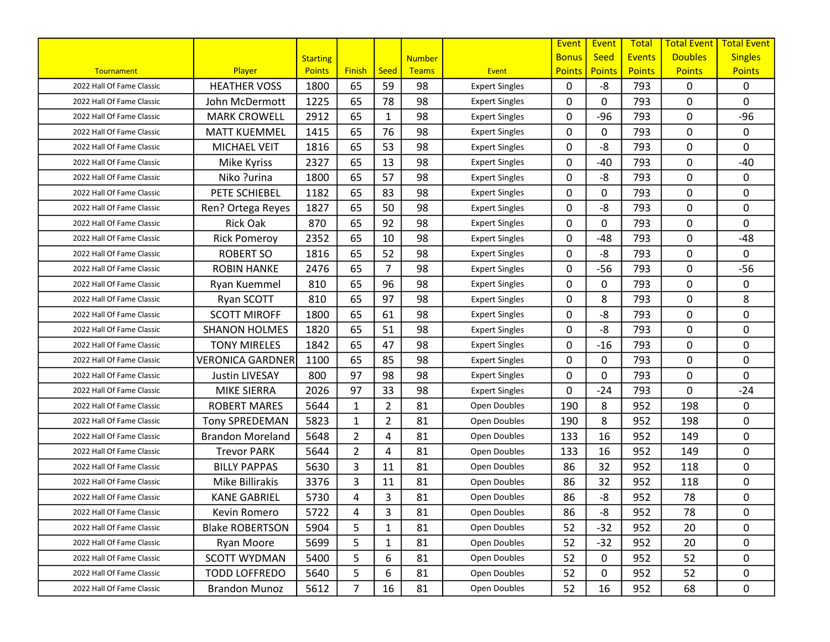|                           |                         |                 |                |                |               |                       | Event         | Event         | <b>Total</b>  | <b>Total Event</b> | <b>Total Event</b> |
|---------------------------|-------------------------|-----------------|----------------|----------------|---------------|-----------------------|---------------|---------------|---------------|--------------------|--------------------|
|                           |                         | <b>Starting</b> |                |                | <b>Number</b> |                       | <b>Bonus</b>  | <b>Seed</b>   | <b>Events</b> | <b>Doubles</b>     | <b>Singles</b>     |
| Tournament                | Player                  | <b>Points</b>   | <b>Finish</b>  | Seed           | <b>Teams</b>  | <b>Event</b>          | <b>Points</b> | <b>Points</b> | <b>Points</b> | <b>Points</b>      | <b>Points</b>      |
| 2022 Hall Of Fame Classic | <b>HEATHER VOSS</b>     | 1800            | 65             | 59             | 98            | <b>Expert Singles</b> | $\mathbf{0}$  | $-8$          | 793           | 0                  | 0                  |
| 2022 Hall Of Fame Classic | John McDermott          | 1225            | 65             | 78             | 98            | <b>Expert Singles</b> | $\mathbf{0}$  | 0             | 793           | 0                  | $\mathbf 0$        |
| 2022 Hall Of Fame Classic | <b>MARK CROWELL</b>     | 2912            | 65             | 1              | 98            | <b>Expert Singles</b> | 0             | $-96$         | 793           | 0                  | $-96$              |
| 2022 Hall Of Fame Classic | <b>MATT KUEMMEL</b>     | 1415            | 65             | 76             | 98            | <b>Expert Singles</b> | 0             | 0             | 793           | 0                  | $\mathbf 0$        |
| 2022 Hall Of Fame Classic | <b>MICHAEL VEIT</b>     | 1816            | 65             | 53             | 98            | <b>Expert Singles</b> | 0             | -8            | 793           | 0                  | 0                  |
| 2022 Hall Of Fame Classic | Mike Kyriss             | 2327            | 65             | 13             | 98            | <b>Expert Singles</b> | $\mathbf{0}$  | $-40$         | 793           | 0                  | $-40$              |
| 2022 Hall Of Fame Classic | Niko ?urina             | 1800            | 65             | 57             | 98            | <b>Expert Singles</b> | $\mathbf{0}$  | $-8$          | 793           | 0                  | 0                  |
| 2022 Hall Of Fame Classic | PETE SCHIEBEL           | 1182            | 65             | 83             | 98            | <b>Expert Singles</b> | $\mathbf{0}$  | 0             | 793           | 0                  | 0                  |
| 2022 Hall Of Fame Classic | Ren? Ortega Reyes       | 1827            | 65             | 50             | 98            | <b>Expert Singles</b> | 0             | -8            | 793           | 0                  | $\mathbf 0$        |
| 2022 Hall Of Fame Classic | <b>Rick Oak</b>         | 870             | 65             | 92             | 98            | <b>Expert Singles</b> | $\mathbf{0}$  | 0             | 793           | 0                  | $\mathbf 0$        |
| 2022 Hall Of Fame Classic | <b>Rick Pomeroy</b>     | 2352            | 65             | 10             | 98            | <b>Expert Singles</b> | $\mathbf{0}$  | $-48$         | 793           | 0                  | $-48$              |
| 2022 Hall Of Fame Classic | <b>ROBERT SO</b>        | 1816            | 65             | 52             | 98            | <b>Expert Singles</b> | 0             | -8            | 793           | 0                  | 0                  |
| 2022 Hall Of Fame Classic | <b>ROBIN HANKE</b>      | 2476            | 65             | $\overline{7}$ | 98            | <b>Expert Singles</b> | $\mathbf{0}$  | $-56$         | 793           | 0                  | $-56$              |
| 2022 Hall Of Fame Classic | Ryan Kuemmel            | 810             | 65             | 96             | 98            | <b>Expert Singles</b> | $\mathbf{0}$  | 0             | 793           | 0                  | 0                  |
| 2022 Hall Of Fame Classic | Ryan SCOTT              | 810             | 65             | 97             | 98            | <b>Expert Singles</b> | 0             | 8             | 793           | 0                  | 8                  |
| 2022 Hall Of Fame Classic | <b>SCOTT MIROFF</b>     | 1800            | 65             | 61             | 98            | <b>Expert Singles</b> | 0             | -8            | 793           | 0                  | $\pmb{0}$          |
| 2022 Hall Of Fame Classic | <b>SHANON HOLMES</b>    | 1820            | 65             | 51             | 98            | <b>Expert Singles</b> | 0             | $-8$          | 793           | 0                  | 0                  |
| 2022 Hall Of Fame Classic | <b>TONY MIRELES</b>     | 1842            | 65             | 47             | 98            | <b>Expert Singles</b> | $\mathbf{0}$  | $-16$         | 793           | 0                  | 0                  |
| 2022 Hall Of Fame Classic | <b>VERONICA GARDNER</b> | 1100            | 65             | 85             | 98            | <b>Expert Singles</b> | 0             | 0             | 793           | 0                  | 0                  |
| 2022 Hall Of Fame Classic | <b>Justin LIVESAY</b>   | 800             | 97             | 98             | 98            | <b>Expert Singles</b> | $\mathbf{0}$  | 0             | 793           | 0                  | $\mathbf 0$        |
| 2022 Hall Of Fame Classic | <b>MIKE SIERRA</b>      | 2026            | 97             | 33             | 98            | <b>Expert Singles</b> | 0             | $-24$         | 793           | 0                  | $-24$              |
| 2022 Hall Of Fame Classic | <b>ROBERT MARES</b>     | 5644            | $\mathbf{1}$   | $\overline{2}$ | 81            | Open Doubles          | 190           | 8             | 952           | 198                | 0                  |
| 2022 Hall Of Fame Classic | <b>Tony SPREDEMAN</b>   | 5823            | $\mathbf{1}$   | $\overline{2}$ | 81            | Open Doubles          | 190           | 8             | 952           | 198                | 0                  |
| 2022 Hall Of Fame Classic | <b>Brandon Moreland</b> | 5648            | $\overline{2}$ | 4              | 81            | Open Doubles          | 133           | 16            | 952           | 149                | 0                  |
| 2022 Hall Of Fame Classic | <b>Trevor PARK</b>      | 5644            | $\overline{2}$ | 4              | 81            | Open Doubles          | 133           | 16            | 952           | 149                | 0                  |
| 2022 Hall Of Fame Classic | <b>BILLY PAPPAS</b>     | 5630            | 3              | 11             | 81            | Open Doubles          | 86            | 32            | 952           | 118                | 0                  |
| 2022 Hall Of Fame Classic | Mike Billirakis         | 3376            | 3              | 11             | 81            | Open Doubles          | 86            | 32            | 952           | 118                | 0                  |
| 2022 Hall Of Fame Classic | <b>KANE GABRIEL</b>     | 5730            | 4              | 3              | 81            | Open Doubles          | 86            | -8            | 952           | 78                 | 0                  |
| 2022 Hall Of Fame Classic | Kevin Romero            | 5722            | 4              | 3              | 81            | Open Doubles          | 86            | -8            | 952           | 78                 | 0                  |
| 2022 Hall Of Fame Classic | <b>Blake ROBERTSON</b>  | 5904            | 5              | 1              | 81            | Open Doubles          | 52            | $-32$         | 952           | 20                 | 0                  |
| 2022 Hall Of Fame Classic | Ryan Moore              | 5699            | 5              | 1              | 81            | Open Doubles          | 52            | $-32$         | 952           | 20                 | 0                  |
| 2022 Hall Of Fame Classic | <b>SCOTT WYDMAN</b>     | 5400            | 5              | 6              | 81            | Open Doubles          | 52            | 0             | 952           | 52                 | 0                  |
| 2022 Hall Of Fame Classic | <b>TODD LOFFREDO</b>    | 5640            | 5              | 6              | 81            | Open Doubles          | 52            | 0             | 952           | 52                 | 0                  |
| 2022 Hall Of Fame Classic | <b>Brandon Munoz</b>    | 5612            | 7              | 16             | 81            | Open Doubles          | 52            | 16            | 952           | 68                 | 0                  |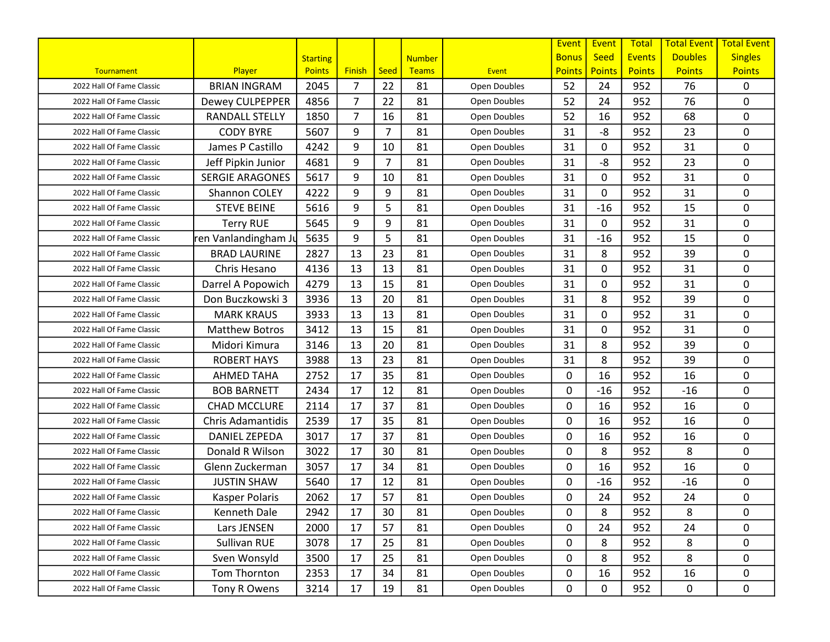|                           |                          |                 |                |                |               |              | Event         | Event         | <b>Total</b>  | <b>Total Event</b> | <b>Total Event</b> |
|---------------------------|--------------------------|-----------------|----------------|----------------|---------------|--------------|---------------|---------------|---------------|--------------------|--------------------|
|                           |                          | <b>Starting</b> |                |                | <b>Number</b> |              | <b>Bonus</b>  | <b>Seed</b>   | <b>Events</b> | <b>Doubles</b>     | <b>Singles</b>     |
| Tournament                | Player                   | <b>Points</b>   | <b>Finish</b>  | <b>Seed</b>    | <b>Teams</b>  | <b>Event</b> | <b>Points</b> | <b>Points</b> | <b>Points</b> | <b>Points</b>      | <b>Points</b>      |
| 2022 Hall Of Fame Classic | <b>BRIAN INGRAM</b>      | 2045            | $\overline{7}$ | 22             | 81            | Open Doubles | 52            | 24            | 952           | 76                 | 0                  |
| 2022 Hall Of Fame Classic | Dewey CULPEPPER          | 4856            | 7              | 22             | 81            | Open Doubles | 52            | 24            | 952           | 76                 | 0                  |
| 2022 Hall Of Fame Classic | <b>RANDALL STELLY</b>    | 1850            | $\overline{7}$ | 16             | 81            | Open Doubles | 52            | 16            | 952           | 68                 | 0                  |
| 2022 Hall Of Fame Classic | <b>CODY BYRE</b>         | 5607            | 9              | 7              | 81            | Open Doubles | 31            | -8            | 952           | 23                 | 0                  |
| 2022 Hall Of Fame Classic | James P Castillo         | 4242            | 9              | 10             | 81            | Open Doubles | 31            | 0             | 952           | 31                 | 0                  |
| 2022 Hall Of Fame Classic | Jeff Pipkin Junior       | 4681            | 9              | $\overline{7}$ | 81            | Open Doubles | 31            | -8            | 952           | 23                 | 0                  |
| 2022 Hall Of Fame Classic | <b>SERGIE ARAGONES</b>   | 5617            | 9              | 10             | 81            | Open Doubles | 31            | 0             | 952           | 31                 | 0                  |
| 2022 Hall Of Fame Classic | Shannon COLEY            | 4222            | 9              | 9              | 81            | Open Doubles | 31            | 0             | 952           | 31                 | 0                  |
| 2022 Hall Of Fame Classic | <b>STEVE BEINE</b>       | 5616            | 9              | 5              | 81            | Open Doubles | 31            | $-16$         | 952           | 15                 | 0                  |
| 2022 Hall Of Fame Classic | <b>Terry RUE</b>         | 5645            | 9              | 9              | 81            | Open Doubles | 31            | 0             | 952           | 31                 | 0                  |
| 2022 Hall Of Fame Classic | ren Vanlandingham Ju     | 5635            | 9              | 5              | 81            | Open Doubles | 31            | $-16$         | 952           | 15                 | 0                  |
| 2022 Hall Of Fame Classic | <b>BRAD LAURINE</b>      | 2827            | 13             | 23             | 81            | Open Doubles | 31            | 8             | 952           | 39                 | 0                  |
| 2022 Hall Of Fame Classic | Chris Hesano             | 4136            | 13             | 13             | 81            | Open Doubles | 31            | 0             | 952           | 31                 | 0                  |
| 2022 Hall Of Fame Classic | Darrel A Popowich        | 4279            | 13             | 15             | 81            | Open Doubles | 31            | 0             | 952           | 31                 | 0                  |
| 2022 Hall Of Fame Classic | Don Buczkowski 3         | 3936            | 13             | 20             | 81            | Open Doubles | 31            | 8             | 952           | 39                 | 0                  |
| 2022 Hall Of Fame Classic | <b>MARK KRAUS</b>        | 3933            | 13             | 13             | 81            | Open Doubles | 31            | 0             | 952           | 31                 | 0                  |
| 2022 Hall Of Fame Classic | <b>Matthew Botros</b>    | 3412            | 13             | 15             | 81            | Open Doubles | 31            | 0             | 952           | 31                 | 0                  |
| 2022 Hall Of Fame Classic | Midori Kimura            | 3146            | 13             | 20             | 81            | Open Doubles | 31            | 8             | 952           | 39                 | 0                  |
| 2022 Hall Of Fame Classic | <b>ROBERT HAYS</b>       | 3988            | 13             | 23             | 81            | Open Doubles | 31            | 8             | 952           | 39                 | 0                  |
| 2022 Hall Of Fame Classic | <b>AHMED TAHA</b>        | 2752            | 17             | 35             | 81            | Open Doubles | 0             | 16            | 952           | 16                 | 0                  |
| 2022 Hall Of Fame Classic | <b>BOB BARNETT</b>       | 2434            | 17             | 12             | 81            | Open Doubles | 0             | $-16$         | 952           | $-16$              | 0                  |
| 2022 Hall Of Fame Classic | <b>CHAD MCCLURE</b>      | 2114            | 17             | 37             | 81            | Open Doubles | 0             | 16            | 952           | 16                 | 0                  |
| 2022 Hall Of Fame Classic | <b>Chris Adamantidis</b> | 2539            | 17             | 35             | 81            | Open Doubles | 0             | 16            | 952           | 16                 | 0                  |
| 2022 Hall Of Fame Classic | <b>DANIEL ZEPEDA</b>     | 3017            | 17             | 37             | 81            | Open Doubles | 0             | 16            | 952           | 16                 | 0                  |
| 2022 Hall Of Fame Classic | Donald R Wilson          | 3022            | 17             | 30             | 81            | Open Doubles | 0             | 8             | 952           | 8                  | 0                  |
| 2022 Hall Of Fame Classic | Glenn Zuckerman          | 3057            | 17             | 34             | 81            | Open Doubles | 0             | 16            | 952           | 16                 | 0                  |
| 2022 Hall Of Fame Classic | <b>JUSTIN SHAW</b>       | 5640            | 17             | 12             | 81            | Open Doubles | 0             | $-16$         | 952           | $-16$              | 0                  |
| 2022 Hall Of Fame Classic | Kasper Polaris           | 2062            | 17             | 57             | 81            | Open Doubles | 0             | 24            | 952           | 24                 | 0                  |
| 2022 Hall Of Fame Classic | Kenneth Dale             | 2942            | 17             | 30             | 81            | Open Doubles | 0             | 8             | 952           | 8                  | 0                  |
| 2022 Hall Of Fame Classic | Lars JENSEN              | 2000            | 17             | 57             | 81            | Open Doubles | 0             | 24            | 952           | 24                 | 0                  |
| 2022 Hall Of Fame Classic | Sullivan RUE             | 3078            | 17             | 25             | 81            | Open Doubles | 0             | 8             | 952           | 8                  | 0                  |
| 2022 Hall Of Fame Classic | Sven Wonsyld             | 3500            | 17             | 25             | 81            | Open Doubles | 0             | 8             | 952           | 8                  | 0                  |
| 2022 Hall Of Fame Classic | Tom Thornton             | 2353            | 17             | 34             | 81            | Open Doubles | 0             | 16            | 952           | 16                 | 0                  |
| 2022 Hall Of Fame Classic | Tony R Owens             | 3214            | 17             | 19             | 81            | Open Doubles | 0             | 0             | 952           | 0                  | $\mathbf 0$        |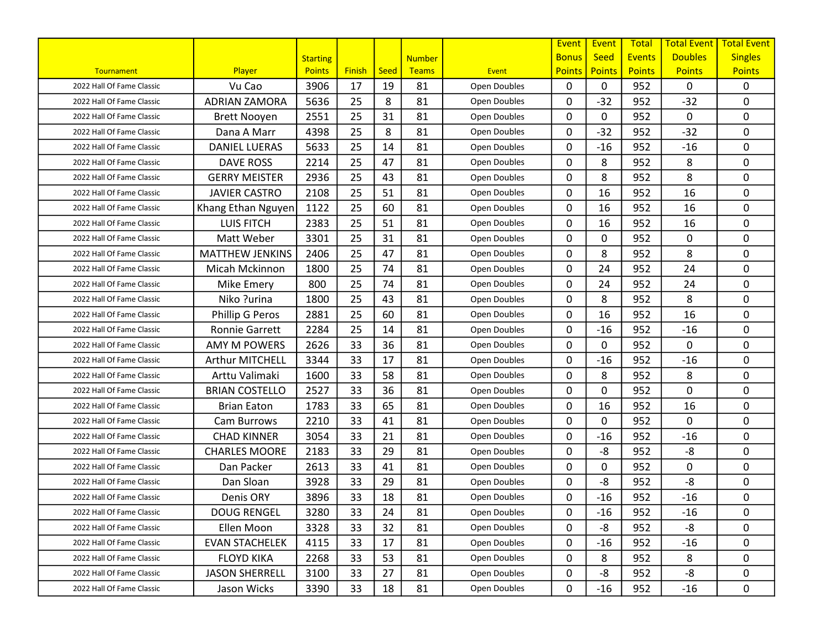|                           |                        |                 |               |      |               |              | Event         | Event         | <b>Total</b>  | <b>Total Event</b> | <b>Total Event</b> |
|---------------------------|------------------------|-----------------|---------------|------|---------------|--------------|---------------|---------------|---------------|--------------------|--------------------|
|                           |                        | <b>Starting</b> |               |      | <b>Number</b> |              | <b>Bonus</b>  | <b>Seed</b>   | <b>Events</b> | <b>Doubles</b>     | <b>Singles</b>     |
| Tournament                | Player                 | <b>Points</b>   | <b>Finish</b> | Seed | <b>Teams</b>  | <b>Event</b> | <b>Points</b> | <b>Points</b> | <b>Points</b> | <b>Points</b>      | <b>Points</b>      |
| 2022 Hall Of Fame Classic | Vu Cao                 | 3906            | 17            | 19   | 81            | Open Doubles | $\mathbf{0}$  | 0             | 952           | 0                  | 0                  |
| 2022 Hall Of Fame Classic | <b>ADRIAN ZAMORA</b>   | 5636            | 25            | 8    | 81            | Open Doubles | 0             | $-32$         | 952           | $-32$              | 0                  |
| 2022 Hall Of Fame Classic | <b>Brett Nooyen</b>    | 2551            | 25            | 31   | 81            | Open Doubles | 0             | 0             | 952           | 0                  | $\mathbf 0$        |
| 2022 Hall Of Fame Classic | Dana A Marr            | 4398            | 25            | 8    | 81            | Open Doubles | 0             | $-32$         | 952           | $-32$              | 0                  |
| 2022 Hall Of Fame Classic | <b>DANIEL LUERAS</b>   | 5633            | 25            | 14   | 81            | Open Doubles | 0             | $-16$         | 952           | $-16$              | 0                  |
| 2022 Hall Of Fame Classic | <b>DAVE ROSS</b>       | 2214            | 25            | 47   | 81            | Open Doubles | $\mathbf{0}$  | 8             | 952           | 8                  | 0                  |
| 2022 Hall Of Fame Classic | <b>GERRY MEISTER</b>   | 2936            | 25            | 43   | 81            | Open Doubles | $\mathbf{0}$  | 8             | 952           | 8                  | $\mathbf 0$        |
| 2022 Hall Of Fame Classic | <b>JAVIER CASTRO</b>   | 2108            | 25            | 51   | 81            | Open Doubles | $\mathbf{0}$  | 16            | 952           | 16                 | 0                  |
| 2022 Hall Of Fame Classic | Khang Ethan Nguyen     | 1122            | 25            | 60   | 81            | Open Doubles | 0             | 16            | 952           | 16                 | 0                  |
| 2022 Hall Of Fame Classic | <b>LUIS FITCH</b>      | 2383            | 25            | 51   | 81            | Open Doubles | $\mathbf{0}$  | 16            | 952           | 16                 | 0                  |
| 2022 Hall Of Fame Classic | Matt Weber             | 3301            | 25            | 31   | 81            | Open Doubles | $\mathbf{0}$  | 0             | 952           | 0                  | 0                  |
| 2022 Hall Of Fame Classic | <b>MATTHEW JENKINS</b> | 2406            | 25            | 47   | 81            | Open Doubles | 0             | 8             | 952           | 8                  | $\mathbf 0$        |
| 2022 Hall Of Fame Classic | Micah Mckinnon         | 1800            | 25            | 74   | 81            | Open Doubles | $\mathbf{0}$  | 24            | 952           | 24                 | 0                  |
| 2022 Hall Of Fame Classic | Mike Emery             | 800             | 25            | 74   | 81            | Open Doubles | $\mathbf{0}$  | 24            | 952           | 24                 | 0                  |
| 2022 Hall Of Fame Classic | Niko ?urina            | 1800            | 25            | 43   | 81            | Open Doubles | 0             | 8             | 952           | 8                  | $\mathbf 0$        |
| 2022 Hall Of Fame Classic | Phillip G Peros        | 2881            | 25            | 60   | 81            | Open Doubles | 0             | 16            | 952           | 16                 | 0                  |
| 2022 Hall Of Fame Classic | <b>Ronnie Garrett</b>  | 2284            | 25            | 14   | 81            | Open Doubles | 0             | $-16$         | 952           | $-16$              | 0                  |
| 2022 Hall Of Fame Classic | <b>AMY M POWERS</b>    | 2626            | 33            | 36   | 81            | Open Doubles | $\mathbf{0}$  | 0             | 952           | $\mathbf{0}$       | $\Omega$           |
| 2022 Hall Of Fame Classic | Arthur MITCHELL        | 3344            | 33            | 17   | 81            | Open Doubles | 0             | $-16$         | 952           | $-16$              | 0                  |
| 2022 Hall Of Fame Classic | Arttu Valimaki         | 1600            | 33            | 58   | 81            | Open Doubles | $\mathbf{0}$  | 8             | 952           | 8                  | $\mathbf 0$        |
| 2022 Hall Of Fame Classic | <b>BRIAN COSTELLO</b>  | 2527            | 33            | 36   | 81            | Open Doubles | $\mathbf{0}$  | 0             | 952           | 0                  | $\pmb{0}$          |
| 2022 Hall Of Fame Classic | <b>Brian Eaton</b>     | 1783            | 33            | 65   | 81            | Open Doubles | 0             | 16            | 952           | 16                 | 0                  |
| 2022 Hall Of Fame Classic | Cam Burrows            | 2210            | 33            | 41   | 81            | Open Doubles | $\mathbf{0}$  | 0             | 952           | 0                  | 0                  |
| 2022 Hall Of Fame Classic | <b>CHAD KINNER</b>     | 3054            | 33            | 21   | 81            | Open Doubles | 0             | $-16$         | 952           | $-16$              | 0                  |
| 2022 Hall Of Fame Classic | <b>CHARLES MOORE</b>   | 2183            | 33            | 29   | 81            | Open Doubles | $\mathbf{0}$  | -8            | 952           | -8                 | 0                  |
| 2022 Hall Of Fame Classic | Dan Packer             | 2613            | 33            | 41   | 81            | Open Doubles | 0             | 0             | 952           | 0                  | $\mathbf 0$        |
| 2022 Hall Of Fame Classic | Dan Sloan              | 3928            | 33            | 29   | 81            | Open Doubles | $\mathbf{0}$  | -8            | 952           | $-8$               | $\mathbf 0$        |
| 2022 Hall Of Fame Classic | Denis ORY              | 3896            | 33            | 18   | 81            | Open Doubles | 0             | $-16$         | 952           | $-16$              | 0                  |
| 2022 Hall Of Fame Classic | <b>DOUG RENGEL</b>     | 3280            | 33            | 24   | 81            | Open Doubles | 0             | -16           | 952           | $-16$              | 0                  |
| 2022 Hall Of Fame Classic | Ellen Moon             | 3328            | 33            | 32   | 81            | Open Doubles | $\mathbf{0}$  | -8            | 952           | -8                 | 0                  |
| 2022 Hall Of Fame Classic | <b>EVAN STACHELEK</b>  | 4115            | 33            | 17   | 81            | Open Doubles | 0             | $-16$         | 952           | $-16$              | 0                  |
| 2022 Hall Of Fame Classic | <b>FLOYD KIKA</b>      | 2268            | 33            | 53   | 81            | Open Doubles | 0             | 8             | 952           | 8                  | 0                  |
| 2022 Hall Of Fame Classic | <b>JASON SHERRELL</b>  | 3100            | 33            | 27   | 81            | Open Doubles | 0             | -8            | 952           | -8                 | $\mathbf 0$        |
| 2022 Hall Of Fame Classic | Jason Wicks            | 3390            | 33            | 18   | 81            | Open Doubles | 0             | $-16$         | 952           | $-16$              | 0                  |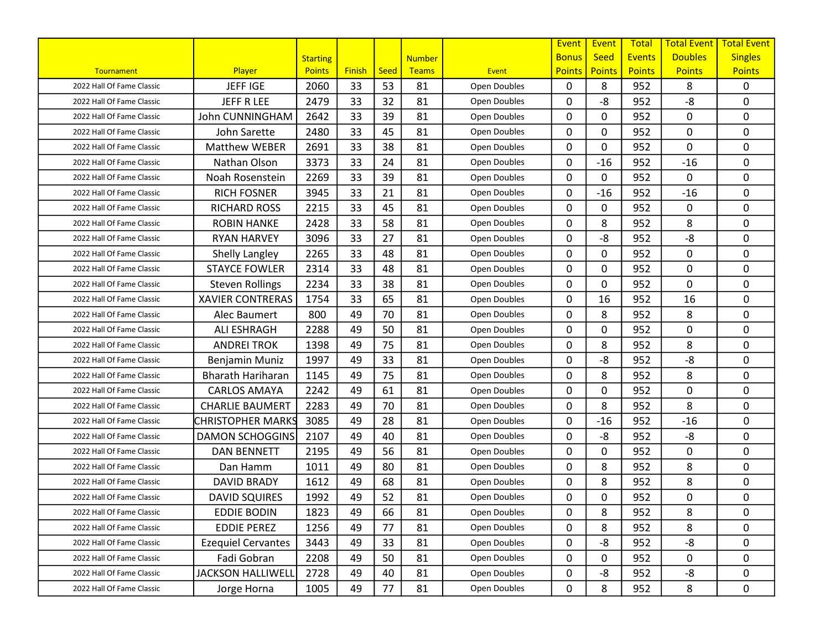|                           |                           |                 |               |      |               |              | Event         | Event         | <b>Total</b>  | <b>Total Event</b> | <b>Total Event</b> |
|---------------------------|---------------------------|-----------------|---------------|------|---------------|--------------|---------------|---------------|---------------|--------------------|--------------------|
|                           |                           | <b>Starting</b> |               |      | <b>Number</b> |              | <b>Bonus</b>  | <b>Seed</b>   | <b>Events</b> | <b>Doubles</b>     | <b>Singles</b>     |
| Tournament                | Player                    | <b>Points</b>   | <b>Finish</b> | Seed | <b>Teams</b>  | <b>Event</b> | <b>Points</b> | <b>Points</b> | <b>Points</b> | <b>Points</b>      | <b>Points</b>      |
| 2022 Hall Of Fame Classic | <b>JEFFIGE</b>            | 2060            | 33            | 53   | 81            | Open Doubles | $\mathbf{0}$  | 8             | 952           | 8                  | 0                  |
| 2022 Hall Of Fame Classic | JEFF R LEE                | 2479            | 33            | 32   | 81            | Open Doubles | 0             | -8            | 952           | -8                 | $\mathbf 0$        |
| 2022 Hall Of Fame Classic | <b>John CUNNINGHAM</b>    | 2642            | 33            | 39   | 81            | Open Doubles | 0             | 0             | 952           | 0                  | $\mathbf 0$        |
| 2022 Hall Of Fame Classic | John Sarette              | 2480            | 33            | 45   | 81            | Open Doubles | $\mathbf{0}$  | 0             | 952           | 0                  | $\mathbf 0$        |
| 2022 Hall Of Fame Classic | <b>Matthew WEBER</b>      | 2691            | 33            | 38   | 81            | Open Doubles | 0             | 0             | 952           | 0                  | 0                  |
| 2022 Hall Of Fame Classic | Nathan Olson              | 3373            | 33            | 24   | 81            | Open Doubles | 0             | $-16$         | 952           | $-16$              | 0                  |
| 2022 Hall Of Fame Classic | Noah Rosenstein           | 2269            | 33            | 39   | 81            | Open Doubles | 0             | 0             | 952           | 0                  | $\mathbf 0$        |
| 2022 Hall Of Fame Classic | <b>RICH FOSNER</b>        | 3945            | 33            | 21   | 81            | Open Doubles | $\mathbf{0}$  | $-16$         | 952           | $-16$              | 0                  |
| 2022 Hall Of Fame Classic | <b>RICHARD ROSS</b>       | 2215            | 33            | 45   | 81            | Open Doubles | 0             | 0             | 952           | 0                  | $\mathbf 0$        |
| 2022 Hall Of Fame Classic | <b>ROBIN HANKE</b>        | 2428            | 33            | 58   | 81            | Open Doubles | 0             | 8             | 952           | 8                  | $\mathbf 0$        |
| 2022 Hall Of Fame Classic | <b>RYAN HARVEY</b>        | 3096            | 33            | 27   | 81            | Open Doubles | $\mathbf{0}$  | -8            | 952           | -8                 | 0                  |
| 2022 Hall Of Fame Classic | Shelly Langley            | 2265            | 33            | 48   | 81            | Open Doubles | 0             | 0             | 952           | 0                  | $\mathbf 0$        |
| 2022 Hall Of Fame Classic | <b>STAYCE FOWLER</b>      | 2314            | 33            | 48   | 81            | Open Doubles | 0             | 0             | 952           | 0                  | 0                  |
| 2022 Hall Of Fame Classic | <b>Steven Rollings</b>    | 2234            | 33            | 38   | 81            | Open Doubles | 0             | 0             | 952           | 0                  | $\mathbf 0$        |
| 2022 Hall Of Fame Classic | <b>XAVIER CONTRERAS</b>   | 1754            | 33            | 65   | 81            | Open Doubles | 0             | 16            | 952           | 16                 | 0                  |
| 2022 Hall Of Fame Classic | Alec Baumert              | 800             | 49            | 70   | 81            | Open Doubles | 0             | 8             | 952           | 8                  | $\pmb{0}$          |
| 2022 Hall Of Fame Classic | <b>ALI ESHRAGH</b>        | 2288            | 49            | 50   | 81            | Open Doubles | 0             | 0             | 952           | 0                  | $\mathbf 0$        |
| 2022 Hall Of Fame Classic | <b>ANDREI TROK</b>        | 1398            | 49            | 75   | 81            | Open Doubles | 0             | 8             | 952           | 8                  | 0                  |
| 2022 Hall Of Fame Classic | Benjamin Muniz            | 1997            | 49            | 33   | 81            | Open Doubles | 0             | -8            | 952           | -8                 | 0                  |
| 2022 Hall Of Fame Classic | <b>Bharath Hariharan</b>  | 1145            | 49            | 75   | 81            | Open Doubles | 0             | 8             | 952           | 8                  | $\mathbf 0$        |
| 2022 Hall Of Fame Classic | <b>CARLOS AMAYA</b>       | 2242            | 49            | 61   | 81            | Open Doubles | 0             | 0             | 952           | 0                  | $\mathbf 0$        |
| 2022 Hall Of Fame Classic | <b>CHARLIE BAUMERT</b>    | 2283            | 49            | 70   | 81            | Open Doubles | 0             | 8             | 952           | 8                  | $\mathbf 0$        |
| 2022 Hall Of Fame Classic | CHRISTOPHER MARKS         | 3085            | 49            | 28   | 81            | Open Doubles | $\mathbf{0}$  | $-16$         | 952           | $-16$              | 0                  |
| 2022 Hall Of Fame Classic | <b>DAMON SCHOGGINS</b>    | 2107            | 49            | 40   | 81            | Open Doubles | 0             | -8            | 952           | -8                 | 0                  |
| 2022 Hall Of Fame Classic | <b>DAN BENNETT</b>        | 2195            | 49            | 56   | 81            | Open Doubles | 0             | 0             | 952           | 0                  | $\mathbf 0$        |
| 2022 Hall Of Fame Classic | Dan Hamm                  | 1011            | 49            | 80   | 81            | Open Doubles | 0             | 8             | 952           | 8                  | $\mathbf 0$        |
| 2022 Hall Of Fame Classic | <b>DAVID BRADY</b>        | 1612            | 49            | 68   | 81            | Open Doubles | 0             | 8             | 952           | 8                  | $\mathbf 0$        |
| 2022 Hall Of Fame Classic | <b>DAVID SQUIRES</b>      | 1992            | 49            | 52   | 81            | Open Doubles | 0             | 0             | 952           | 0                  | $\pmb{0}$          |
| 2022 Hall Of Fame Classic | <b>EDDIE BODIN</b>        | 1823            | 49            | 66   | 81            | Open Doubles | 0             | 8             | 952           | 8                  | 0                  |
| 2022 Hall Of Fame Classic | <b>EDDIE PEREZ</b>        | 1256            | 49            | 77   | 81            | Open Doubles | 0             | 8             | 952           | 8                  | 0                  |
| 2022 Hall Of Fame Classic | <b>Ezequiel Cervantes</b> | 3443            | 49            | 33   | 81            | Open Doubles | 0             | -8            | 952           | -8                 | 0                  |
| 2022 Hall Of Fame Classic | Fadi Gobran               | 2208            | 49            | 50   | 81            | Open Doubles | 0             | 0             | 952           | 0                  | 0                  |
| 2022 Hall Of Fame Classic | <b>JACKSON HALLIWELL</b>  | 2728            | 49            | 40   | 81            | Open Doubles | 0             | -8            | 952           | -8                 | 0                  |
| 2022 Hall Of Fame Classic | Jorge Horna               | 1005            | 49            | 77   | 81            | Open Doubles | 0             | 8             | 952           | 8                  | $\mathbf 0$        |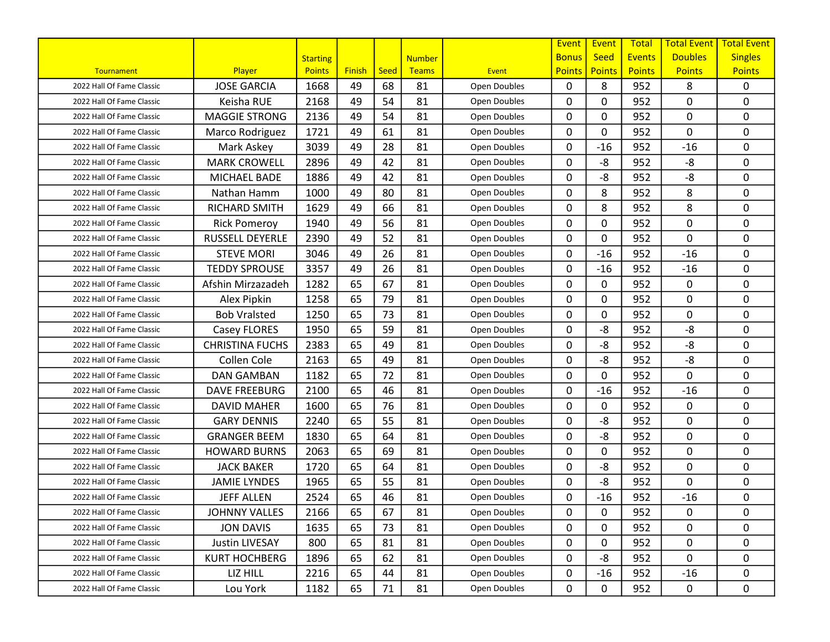|                           |                        |                 |               |             |               |              | Event         | Event         | Total         | <b>Total Event</b> | <b>Total Event</b> |
|---------------------------|------------------------|-----------------|---------------|-------------|---------------|--------------|---------------|---------------|---------------|--------------------|--------------------|
|                           |                        | <b>Starting</b> |               |             | <b>Number</b> |              | <b>Bonus</b>  | <b>Seed</b>   | <b>Events</b> | <b>Doubles</b>     | <b>Singles</b>     |
| Tournament                | Player                 | <b>Points</b>   | <b>Finish</b> | <b>Seed</b> | Teams         | <b>Event</b> | <b>Points</b> | <b>Points</b> | <b>Points</b> | <b>Points</b>      | <b>Points</b>      |
| 2022 Hall Of Fame Classic | <b>JOSE GARCIA</b>     | 1668            | 49            | 68          | 81            | Open Doubles | $\mathbf{0}$  | 8             | 952           | 8                  | $\mathbf{0}$       |
| 2022 Hall Of Fame Classic | Keisha RUE             | 2168            | 49            | 54          | 81            | Open Doubles | 0             | 0             | 952           | 0                  | 0                  |
| 2022 Hall Of Fame Classic | <b>MAGGIE STRONG</b>   | 2136            | 49            | 54          | 81            | Open Doubles | $\mathbf{0}$  | 0             | 952           | 0                  | 0                  |
| 2022 Hall Of Fame Classic | Marco Rodriguez        | 1721            | 49            | 61          | 81            | Open Doubles | 0             | 0             | 952           | 0                  | $\mathbf 0$        |
| 2022 Hall Of Fame Classic | Mark Askey             | 3039            | 49            | 28          | 81            | Open Doubles | $\mathbf{0}$  | $-16$         | 952           | $-16$              | 0                  |
| 2022 Hall Of Fame Classic | <b>MARK CROWELL</b>    | 2896            | 49            | 42          | 81            | Open Doubles | $\mathbf{0}$  | -8            | 952           | -8                 | 0                  |
| 2022 Hall Of Fame Classic | MICHAEL BADE           | 1886            | 49            | 42          | 81            | Open Doubles | 0             | -8            | 952           | -8                 | 0                  |
| 2022 Hall Of Fame Classic | Nathan Hamm            | 1000            | 49            | 80          | 81            | Open Doubles | $\mathbf{0}$  | 8             | 952           | 8                  | 0                  |
| 2022 Hall Of Fame Classic | <b>RICHARD SMITH</b>   | 1629            | 49            | 66          | 81            | Open Doubles | $\mathbf{0}$  | 8             | 952           | 8                  | $\mathbf 0$        |
| 2022 Hall Of Fame Classic | <b>Rick Pomeroy</b>    | 1940            | 49            | 56          | 81            | Open Doubles | $\mathbf{0}$  | 0             | 952           | 0                  | $\mathbf 0$        |
| 2022 Hall Of Fame Classic | <b>RUSSELL DEYERLE</b> | 2390            | 49            | 52          | 81            | Open Doubles | $\mathbf{0}$  | 0             | 952           | 0                  | $\mathbf 0$        |
| 2022 Hall Of Fame Classic | <b>STEVE MORI</b>      | 3046            | 49            | 26          | 81            | Open Doubles | 0             | $-16$         | 952           | $-16$              | 0                  |
| 2022 Hall Of Fame Classic | <b>TEDDY SPROUSE</b>   | 3357            | 49            | 26          | 81            | Open Doubles | $\mathbf{0}$  | $-16$         | 952           | $-16$              | $\mathbf{0}$       |
| 2022 Hall Of Fame Classic | Afshin Mirzazadeh      | 1282            | 65            | 67          | 81            | Open Doubles | $\mathbf{0}$  | 0             | 952           | 0                  | 0                  |
| 2022 Hall Of Fame Classic | Alex Pipkin            | 1258            | 65            | 79          | 81            | Open Doubles | $\mathbf{0}$  | 0             | 952           | 0                  | 0                  |
| 2022 Hall Of Fame Classic | <b>Bob Vralsted</b>    | 1250            | 65            | 73          | 81            | Open Doubles | 0             | 0             | 952           | 0                  | $\pmb{0}$          |
| 2022 Hall Of Fame Classic | Casey FLORES           | 1950            | 65            | 59          | 81            | Open Doubles | $\mathbf{0}$  | -8            | 952           | $-8$               | $\mathbf 0$        |
| 2022 Hall Of Fame Classic | <b>CHRISTINA FUCHS</b> | 2383            | 65            | 49          | 81            | Open Doubles | $\mathbf{0}$  | -8            | 952           | $-8$               | $\mathbf 0$        |
| 2022 Hall Of Fame Classic | Collen Cole            | 2163            | 65            | 49          | 81            | Open Doubles | $\mathbf{0}$  | -8            | 952           | -8                 | 0                  |
| 2022 Hall Of Fame Classic | <b>DAN GAMBAN</b>      | 1182            | 65            | 72          | 81            | Open Doubles | $\mathbf{0}$  | 0             | 952           | 0                  | 0                  |
| 2022 Hall Of Fame Classic | <b>DAVE FREEBURG</b>   | 2100            | 65            | 46          | 81            | Open Doubles | $\mathbf{0}$  | $-16$         | 952           | $-16$              | 0                  |
| 2022 Hall Of Fame Classic | <b>DAVID MAHER</b>     | 1600            | 65            | 76          | 81            | Open Doubles | $\mathbf{0}$  | 0             | 952           | 0                  | 0                  |
| 2022 Hall Of Fame Classic | <b>GARY DENNIS</b>     | 2240            | 65            | 55          | 81            | Open Doubles | 0             | -8            | 952           | 0                  | $\mathbf 0$        |
| 2022 Hall Of Fame Classic | <b>GRANGER BEEM</b>    | 1830            | 65            | 64          | 81            | Open Doubles | $\mathbf{0}$  | -8            | 952           | 0                  | $\mathbf 0$        |
| 2022 Hall Of Fame Classic | <b>HOWARD BURNS</b>    | 2063            | 65            | 69          | 81            | Open Doubles | $\mathbf{0}$  | 0             | 952           | 0                  | $\mathbf 0$        |
| 2022 Hall Of Fame Classic | <b>JACK BAKER</b>      | 1720            | 65            | 64          | 81            | Open Doubles | 0             | -8            | 952           | 0                  | 0                  |
| 2022 Hall Of Fame Classic | <b>JAMIE LYNDES</b>    | 1965            | 65            | 55          | 81            | Open Doubles | $\mathbf{0}$  | -8            | 952           | 0                  | $\mathbf 0$        |
| 2022 Hall Of Fame Classic | <b>JEFF ALLEN</b>      | 2524            | 65            | 46          | 81            | Open Doubles | $\mathbf{0}$  | $-16$         | 952           | $-16$              | 0                  |
| 2022 Hall Of Fame Classic | <b>JOHNNY VALLES</b>   | 2166            | 65            | 67          | 81            | Open Doubles | 0             | 0             | 952           | 0                  | 0                  |
| 2022 Hall Of Fame Classic | <b>JON DAVIS</b>       | 1635            | 65            | 73          | 81            | Open Doubles | 0             | 0             | 952           | 0                  | 0                  |
| 2022 Hall Of Fame Classic | Justin LIVESAY         | 800             | 65            | 81          | 81            | Open Doubles | 0             | 0             | 952           | 0                  | 0                  |
| 2022 Hall Of Fame Classic | <b>KURT HOCHBERG</b>   | 1896            | 65            | 62          | 81            | Open Doubles | 0             | -8            | 952           | 0                  | 0                  |
| 2022 Hall Of Fame Classic | LIZ HILL               | 2216            | 65            | 44          | 81            | Open Doubles | 0             | $-16$         | 952           | $-16$              | 0                  |
| 2022 Hall Of Fame Classic | Lou York               | 1182            | 65            | 71          | 81            | Open Doubles | 0             | 0             | 952           | 0                  | 0                  |